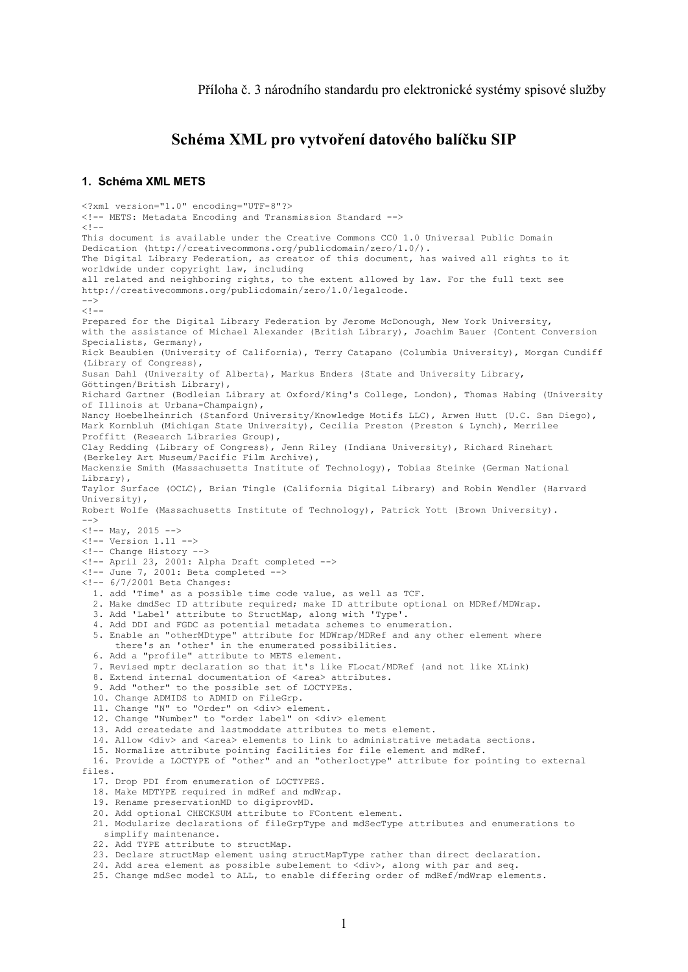# **Schéma XML pro vytvoření datového balíčku SIP**

#### **1. Schéma XML METS**

<?xml version="1.0" encoding="UTF-8"?> <!-- METS: Metadata Encoding and Transmission Standard -->  $< 1 -$ This document is available under the Creative Commons CC0 1.0 Universal Public Domain Dedication (http://creativecommons.org/publicdomain/zero/1.0/). The Digital Library Federation, as creator of this document, has waived all rights to it worldwide under copyright law, including all related and neighboring rights, to the extent allowed by law. For the full text see http://creativecommons.org/publicdomain/zero/1.0/legalcode.  $--&$  $<$ !  $-$ Prepared for the Digital Library Federation by Jerome McDonough, New York University, with the assistance of Michael Alexander (British Library), Joachim Bauer (Content Conversion Specialists, Germany), Rick Beaubien (University of California), Terry Catapano (Columbia University), Morgan Cundiff (Library of Congress), Susan Dahl (University of Alberta), Markus Enders (State and University Library, Göttingen/British Library), Richard Gartner (Bodleian Library at Oxford/King's College, London), Thomas Habing (University of Illinois at Urbana-Champaign), Nancy Hoebelheinrich (Stanford University/Knowledge Motifs LLC), Arwen Hutt (U.C. San Diego), Mark Kornbluh (Michigan State University), Cecilia Preston (Preston & Lynch), Merrilee Proffitt (Research Libraries Group), Clay Redding (Library of Congress), Jenn Riley (Indiana University), Richard Rinehart (Berkeley Art Museum/Pacific Film Archive), Mackenzie Smith (Massachusetts Institute of Technology), Tobias Steinke (German National Library), Taylor Surface (OCLC), Brian Tingle (California Digital Library) and Robin Wendler (Harvard University), Robert Wolfe (Massachusetts Institute of Technology), Patrick Yott (Brown University).  $- \langle$ !-- May, 2015 -->  $\langle$  !-- Version 1.11 --> <!-- Change History --> <!-- April 23, 2001: Alpha Draft completed --> <!-- June 7, 2001: Beta completed --> <!-- 6/7/2001 Beta Changes: 1. add 'Time' as a possible time code value, as well as TCF. 2. Make dmdSec ID attribute required; make ID attribute optional on MDRef/MDWrap. 3. Add 'Label' attribute to StructMap, along with 'Type'. 4. Add DDI and FGDC as potential metadata schemes to enumeration. 5. Enable an "otherMDtype" attribute for MDWrap/MDRef and any other element where there's an 'other' in the enumerated possibilities. 6. Add a "profile" attribute to METS element. 7. Revised mptr declaration so that it's like FLocat/MDRef (and not like XLink) 8. Extend internal documentation of <area> attributes. 9. Add "other" to the possible set of LOCTYPEs. 10. Change ADMIDS to ADMID on FileGrp. 11. Change "N" to "Order" on <div> element. 12. Change "Number" to "order label" on <div> element 13. Add createdate and lastmoddate attributes to mets element. 14. Allow <div> and <area> elements to link to administrative metadata sections. 15. Normalize attribute pointing facilities for file element and mdRef. 16. Provide a LOCTYPE of "other" and an "otherloctype" attribute for pointing to external files. 17. Drop PDI from enumeration of LOCTYPES. 18. Make MDTYPE required in mdRef and mdWrap. 19. Rename preservationMD to digiprovMD. 20. Add optional CHECKSUM attribute to FContent element. 21. Modularize declarations of fileGrpType and mdSecType attributes and enumerations to simplify maintenance. 22. Add TYPE attribute to structMap. 23. Declare structMap element using structMapType rather than direct declaration. 24. Add area element as possible subelement to <div>, along with par and seq. 25. Change mdSec model to ALL, to enable differing order of mdRef/mdWrap elements.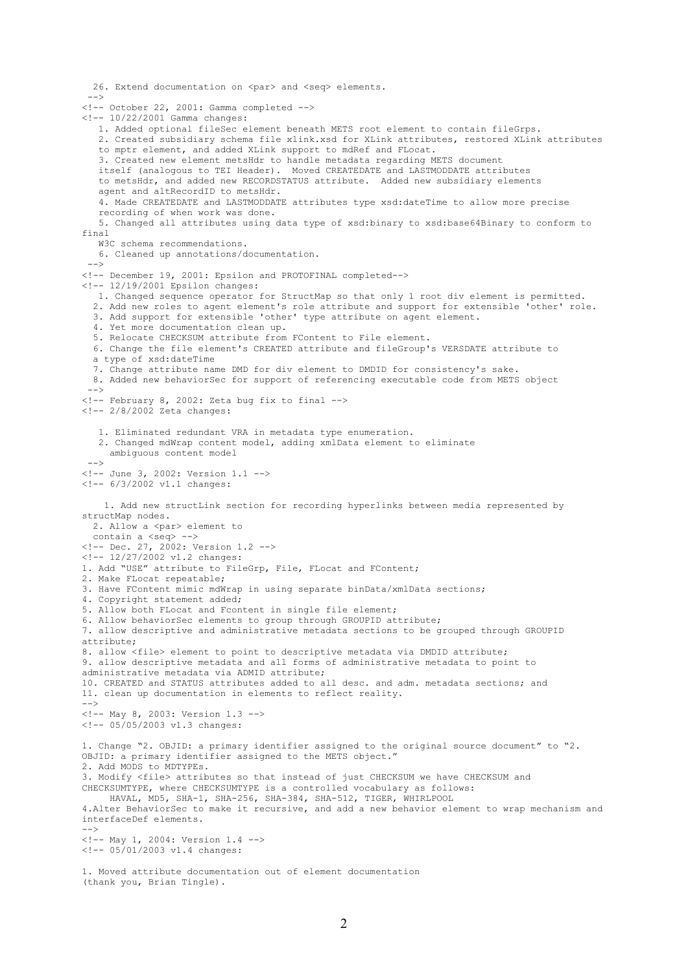26. Extend documentation on <par> and <seq> elements. --> <!-- October 22, 2001: Gamma completed --> <!-- 10/22/2001 Gamma changes: 1. Added optional fileSec element beneath METS root element to contain fileGrps. 2. Created subsidiary schema file xlink.xsd for XLink attributes, restored XLink attributes to mptr element, and added XLink support to mdRef and FLocat. 3. Created new element metsHdr to handle metadata regarding METS document itself (analogous to TEI Header). Moved CREATEDATE and LASTMODDATE attributes to metsHdr, and added new RECORDSTATUS attribute. Added new subsidiary elements agent and altRecordID to metsHdr. 4. Made CREATEDATE and LASTMODDATE attributes type xsd:dateTime to allow more precise recording of when work was done. 5. Changed all attributes using data type of xsd:binary to xsd:base64Binary to conform to final W3C schema recommendations. 6. Cleaned up annotations/documentation.  $--$ <!-- December 19, 2001: Epsilon and PROTOFINAL completed--> <!-- 12/19/2001 Epsilon changes: 1. Changed sequence operator for StructMap so that only 1 root div element is permitted. 2. Add new roles to agent element's role attribute and support for extensible 'other' role. 3. Add support for extensible 'other' type attribute on agent element. 4. Yet more documentation clean up. 5. Relocate CHECKSUM attribute from FContent to File element. 6. Change the file element's CREATED attribute and fileGroup's VERSDATE attribute to a type of xsd:dateTime 7. Change attribute name DMD for div element to DMDID for consistency's sake. 8. Added new behaviorSec for support of referencing executable code from METS object  $--$ <!-- February 8, 2002: Zeta bug fix to final -->  $\left(- - \frac{2}{8}\right)$ 2002 Zeta changes: 1. Eliminated redundant VRA in metadata type enumeration. 2. Changed mdWrap content model, adding xmlData element to eliminate ambiguous content model  $--&$ <!-- June 3, 2002: Version 1.1 --> <!-- 6/3/2002 v1.1 changes: 1. Add new structLink section for recording hyperlinks between media represented by structMap nodes. 2. Allow a <par> element to contain a <seq> --> <!-- Dec. 27, 2002: Version 1.2 --> <!-- 12/27/2002 v1.2 changes: 1. Add "USE" attribute to FileGrp, File, FLocat and FContent; 2. Make FLocat repeatable; 3. Have FContent mimic mdWrap in using separate binData/xmlData sections; 4. Copyright statement added; 5. Allow both FLocat and Fcontent in single file element; 6. Allow behaviorSec elements to group through GROUPID attribute; 7. allow descriptive and administrative metadata sections to be grouped through GROUPID attribute; 8. allow <file> element to point to descriptive metadata via DMDID attribute; 9. allow descriptive metadata and all forms of administrative metadata to point to administrative metadata via ADMID attribute; 10. CREATED and STATUS attributes added to all desc. and adm. metadata sections; and 11. clean up documentation in elements to reflect reality.  $--&>$ <!-- May 8, 2003: Version 1.3 -->  $\leftarrow$  -- 05/05/2003 v1.3 changes: 1. Change "2. OBJID: a primary identifier assigned to the original source document" to "2. OBJID: a primary identifier assigned to the METS object. 2. Add MODS to MDTYPEs. 3. Modify <file> attributes so that instead of just CHECKSUM we have CHECKSUM and CHECKSUMTYPE, where CHECKSUMTYPE is a controlled vocabulary as follows: HAVAL, MD5, SHA-1, SHA-256, SHA-384, SHA-512, TIGER, WHIRLPOOL 4.Alter BehaviorSec to make it recursive, and add a new behavior element to wrap mechanism and interfaceDef elements.  $--&$ <!-- May 1, 2004: Version 1.4 --> <!-- 05/01/2003 v1.4 changes: 1. Moved attribute documentation out of element documentation

(thank you, Brian Tingle).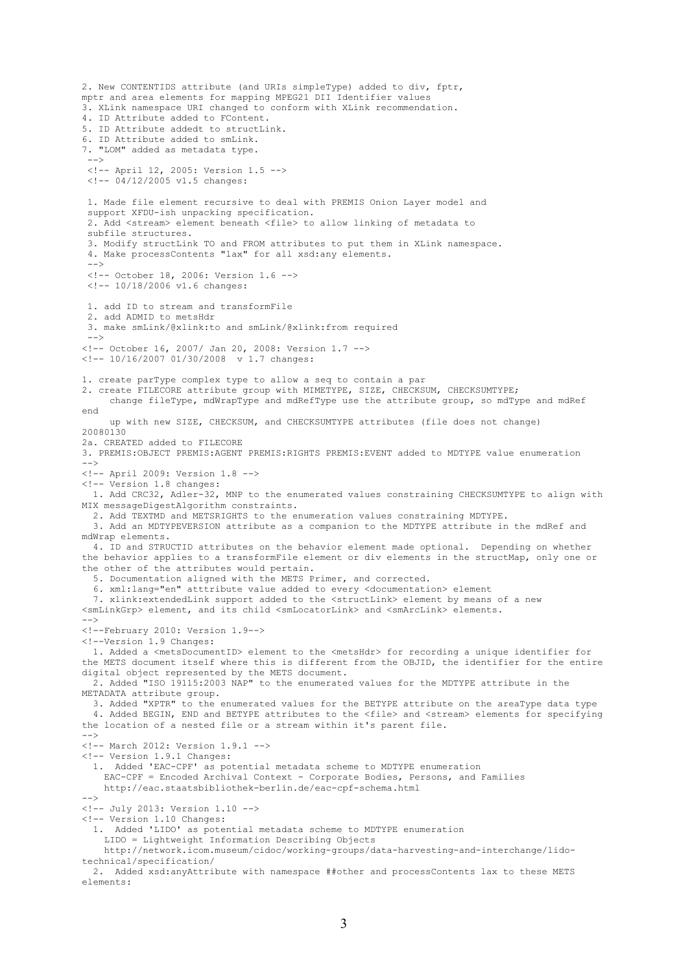2. New CONTENTIDS attribute (and URIs simpleType) added to div, fptr, mptr and area elements for mapping MPEG21 DII Identifier values 3. XLink namespace URI changed to conform with XLink recommendation. 4. ID Attribute added to FContent. 5. ID Attribute addedt to structLink. 6. ID Attribute added to smLink. 7. "LOM" added as metadata type.  $--$ <!-- April 12, 2005: Version 1.5 --> <!-- 04/12/2005 v1.5 changes: 1. Made file element recursive to deal with PREMIS Onion Layer model and support XFDU-ish unpacking specification. 2. Add <stream> element beneath <file> to allow linking of metadata to subfile structures. 3. Modify structLink TO and FROM attributes to put them in XLink namespace. 4. Make processContents "lax" for all xsd:any elements.  $--$ <!-- October 18, 2006: Version 1.6 --> <!-- 10/18/2006 v1.6 changes: 1. add ID to stream and transformFile 2. add ADMID to metsHdr 3. make smLink/@xlink:to and smLink/@xlink:from required  $--$ <!-- October 16, 2007/ Jan 20, 2008: Version 1.7 --> <!-- 10/16/2007 01/30/2008 v 1.7 changes: 1. create parType complex type to allow a seq to contain a par 2. create FILECORE attribute group with MIMETYPE, SIZE, CHECKSUM, CHECKSUMTYPE; change fileType, mdWrapType and mdRefType use the attribute group, so mdType and mdRef end up with new SIZE, CHECKSUM, and CHECKSUMTYPE attributes (file does not change) 20080130 2a. CREATED added to FILECORE 3. PREMIS:OBJECT PREMIS:AGENT PREMIS:RIGHTS PREMIS:EVENT added to MDTYPE value enumeration --> <!-- April 2009: Version 1.8 --> <!-- Version 1.8 changes: 1. Add CRC32, Adler-32, MNP to the enumerated values constraining CHECKSUMTYPE to align with MTX messageDigestAlgorithm constraints. 2. Add TEXTMD and METSRIGHTS to the enumeration values constraining MDTYPE. 3. Add an MDTYPEVERSION attribute as a companion to the MDTYPE attribute in the mdRef and mdWrap elements. 4. ID and STRUCTID attributes on the behavior element made optional. Depending on whether the behavior applies to a transformFile element or div elements in the structMap, only one or the other of the attributes would pertain. 5. Documentation aligned with the METS Primer, and corrected. 6. xml:lang="en" atttribute value added to every <documentation> element 7. xlink: extendedLink support added to the <structLink> element by means of a new <smLinkGrp> element, and its child <smLocatorLink> and <smArcLink> elements. --> <!--February 2010: Version 1.9--> <!--Version 1.9 Changes: 1. Added a <metsDocumentID> element to the <metsHdr> for recording a unique identifier for the METS document itself where this is different from the OBJID, the identifier for the entire digital object represented by the METS document. 2. Added "ISO 19115:2003 NAP" to the enumerated values for the MDTYPE attribute in the METADATA attribute group. 3. Added "XPTR" to the enumerated values for the BETYPE attribute on the areaType data type 4. Added BEGIN, END and BETYPE attributes to the <file> and <stream> elements for specifying the location of a nested file or a stream within it's parent file. --> <!-- March 2012: Version 1.9.1 --> <!-- Version 1.9.1 Changes: 1. Added 'EAC-CPF' as potential metadata scheme to MDTYPE enumeration EAC-CPF = Encoded Archival Context - Corporate Bodies, Persons, and Families http://eac.staatsbibliothek-berlin.de/eac-cpf-schema.html --> <!-- July 2013: Version 1.10 --> <!-- Version 1.10 Changes: 1. Added 'LIDO' as potential metadata scheme to MDTYPE enumeration LIDO = Lightweight Information Describing Objects http://network.icom.museum/cidoc/working-groups/data-harvesting-and-interchange/lidotechnical/specification/ 2. Added xsd:anyAttribute with namespace ##other and processContents lax to these METS

elements: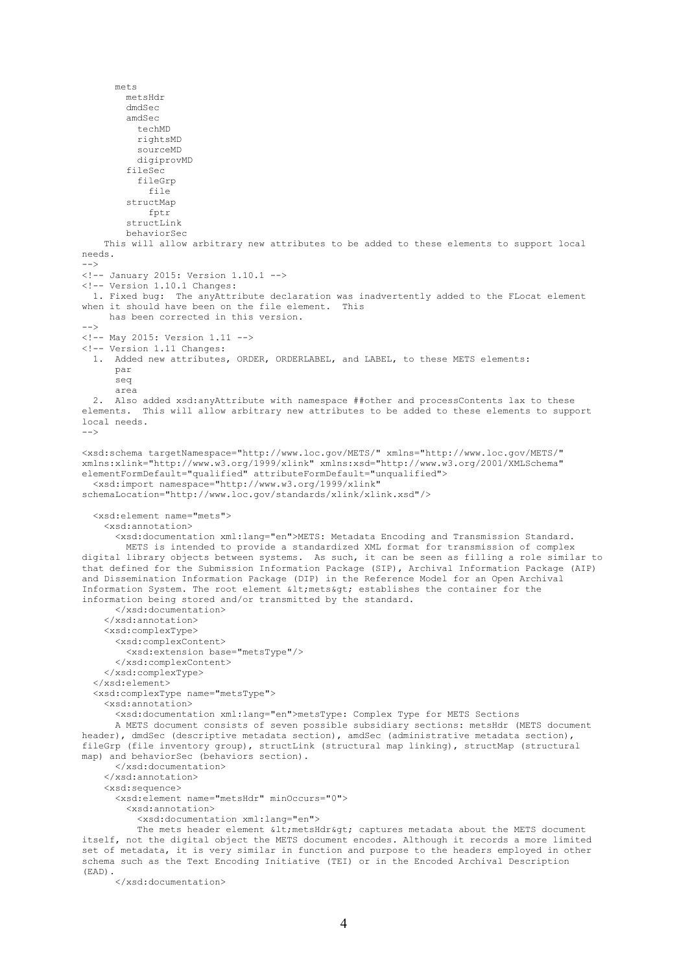mets metsHdr dmdSec amdSec techMD rightsMD sourceMD digiprovMD fileSec fileGrp file structMap fptr structLink behaviorSec This will allow arbitrary new attributes to be added to these elements to support local needs.  $--$ <!-- January 2015: Version 1.10.1 --> <!-- Version 1.10.1 Changes: 1. Fixed bug: The anyAttribute declaration was inadvertently added to the FLocat element when it should have been on the file element. This has been corrected in this version. --> <!-- May 2015: Version 1.11 --> <!-- Version 1.11 Changes: 1. Added new attributes, ORDER, ORDERLABEL, and LABEL, to these METS elements: par seq area 2. Also added xsd:anyAttribute with namespace ##other and processContents lax to these elements. This will allow arbitrary new attributes to be added to these elements to support local needs.  $--$ <xsd:schema targetNamespace="http://www.loc.gov/METS/" xmlns="http://www.loc.gov/METS/" xmlns:xlink="http://www.w3.org/1999/xlink" xmlns:xsd="http://www.w3.org/2001/XMLSchema" elementFormDefault="qualified" attributeFormDefault="unqualified"> <xsd:import namespace="http://www.w3.org/1999/xlink" schemaLocation="http://www.loc.gov/standards/xlink/xlink.xsd"/> <xsd:element name="mets"> <xsd:annotation> <xsd:documentation xml:lang="en">METS: Metadata Encoding and Transmission Standard. METS is intended to provide a standardized XML format for transmission of complex digital library objects between systems. As such, it can be seen as filling a role similar to that defined for the Submission Information Package (SIP), Archival Information Package (AIP) and Dissemination Information Package (DIP) in the Reference Model for an Open Archival Information System. The root element < mets&gt; establishes the container for the information being stored and/or transmitted by the standard. </xsd:documentation> </xsd:annotation> <xsd:complexType> <xsd:complexContent> <xsd:extension base="metsType"/> </xsd:complexContent> </xsd:complexType> </xsd:element> <xsd:complexType name="metsType"> <xsd:annotation> <xsd:documentation xml:lang="en">metsType: Complex Type for METS Sections A METS document consists of seven possible subsidiary sections: metsHdr (METS document header), dmdSec (descriptive metadata section), amdSec (administrative metadata section), fileGrp (file inventory group), structLink (structural map linking), structMap (structural map) and behaviorSec (behaviors section). </xsd:documentation> </xsd:annotation> <xsd:sequence> <xsd:element name="metsHdr" minOccurs="0"> <xsd:annotation> <xsd:documentation xml:lang="en"> The mets header element < metsHdr&qt; captures metadata about the METS document itself, not the digital object the METS document encodes. Although it records a more limited set of metadata, it is very similar in function and purpose to the headers employed in other schema such as the Text Encoding Initiative (TEI) or in the Encoded Archival Description

</xsd:documentation>

(EAD).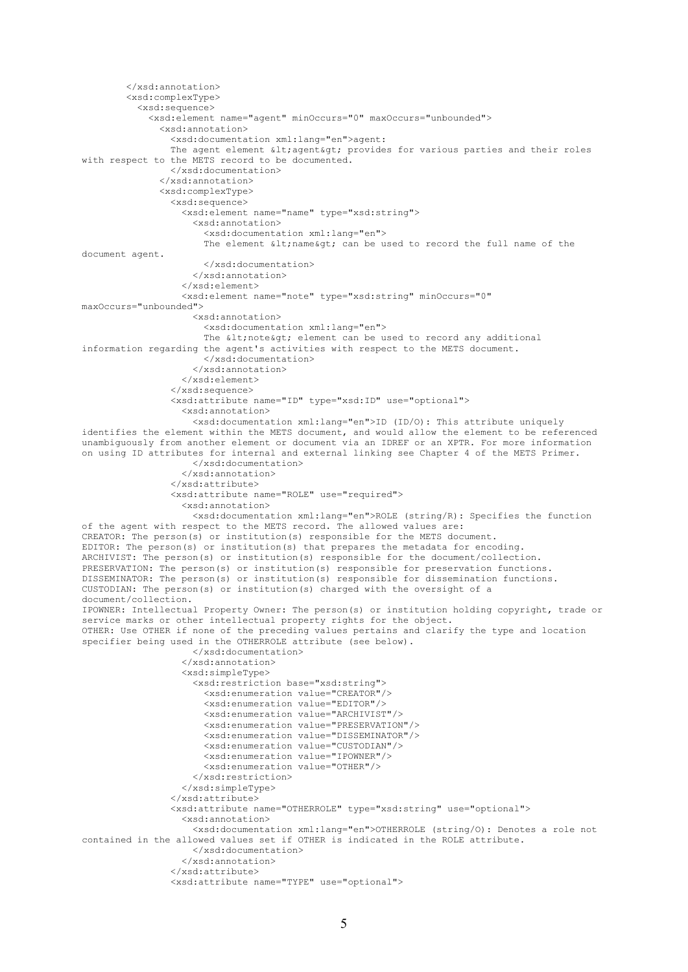```
 </xsd:annotation>
         <xsd:complexType>
           <xsd:sequence>
             <xsd:element name="agent" minOccurs="0" maxOccurs="unbounded">
               <xsd:annotation>
                 <xsd:documentation xml:lang="en">agent: 
                The agent element \< l; agent< q; provides for various parties and their roles
with respect to the METS record to be documented.
                 </xsd:documentation>
               </xsd:annotation>
               <xsd:complexType>
                 <xsd:sequence>
                   <xsd:element name="name" type="xsd:string">
                      <xsd:annotation>
                        <xsd:documentation xml:lang="en"> 
                      The element \sqrt{\epsilon} an be used to record the full name of the
document agent.
                       </xsd:documentation>
                     </xsd:annotation>
                   </xsd:element>
                  <xsd:element name="note" type="xsd:string" minOccurs="0" 
maxOccurs="unbounded">
                      <xsd:annotation>
                       <xsd:documentation xml:lang="en"> 
                      The < note&gt; element can be used to record any additional
information regarding the agent's activities with respect to the METS document.
                        </xsd:documentation>
                      </xsd:annotation>
                   </xsd:element>
                 </xsd:sequence>
                 <xsd:attribute name="ID" type="xsd:ID" use="optional">
                    <xsd:annotation>
                      <xsd:documentation xml:lang="en">ID (ID/O): This attribute uniquely 
identifies the element within the METS document, and would allow the element to be referenced 
unambiguously from another element or document via an IDREF or an XPTR. For more information 
on using ID attributes for internal and external linking see Chapter 4 of the METS Primer.
                     </xsd:documentation>
                   </xsd:annotation>
                 </xsd:attribute>
                 <xsd:attribute name="ROLE" use="required">
                   <xsd:annotation>
                     <xsd:documentation xml:lang="en">ROLE (string/R): Specifies the function 
of the agent with respect to the METS record. The allowed values are:
CREATOR: The person(s) or institution(s) responsible for the METS document.
EDITOR: The person(s) or institution(s) that prepares the metadata for encoding.
ARCHIVIST: The person(s) or institution(s) responsible for the document/collection.
PRESERVATION: The person(s) or institution(s) responsible for preservation functions.
DISSEMINATOR: The person(s) or institution(s) responsible for dissemination functions.
CUSTODIAN: The person(s) or institution(s) charged with the oversight of a 
document/collection.
IPOWNER: Intellectual Property Owner: The person(s) or institution holding copyright, trade or 
service marks or other intellectual property rights for the object.
OTHER: Use OTHER if none of the preceding values pertains and clarify the type and location 
specifier being used in the OTHERROLE attribute (see below).
                      </xsd:documentation>
                   </xsd:annotation>
                  <xsd:simpleType>
                      <xsd:restriction base="xsd:string">
                        <xsd:enumeration value="CREATOR"/>
                       <xsd:enumeration value="EDITOR"/>
                      <xsd:enumeration value="ARCHIVIST"/>
                       <xsd:enumeration value="PRESERVATION"/>
                       <xsd:enumeration value="DISSEMINATOR"/>
                        <xsd:enumeration value="CUSTODIAN"/>
                       <xsd:enumeration value="IPOWNER"/>
                       <xsd:enumeration value="OTHER"/>
                      </xsd:restriction>
                   </xsd:simpleType>
                 </xsd:attribute>
                 <xsd:attribute name="OTHERROLE" type="xsd:string" use="optional">
                   <xsd:annotation>
                      <xsd:documentation xml:lang="en">OTHERROLE (string/O): Denotes a role not 
contained in the allowed values set if OTHER is indicated in the ROLE attribute.
                     </xsd:documentation>
                   </xsd:annotation>
                 </xsd:attribute>
                 <xsd:attribute name="TYPE" use="optional">
```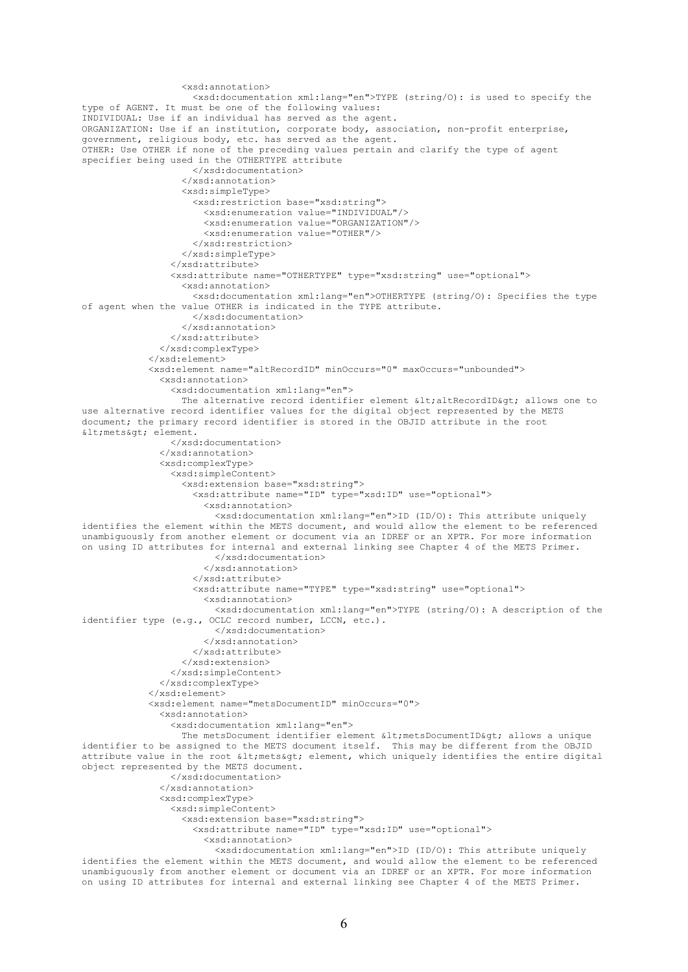```
 <xsd:annotation>
                     <xsd:documentation xml:lang="en">TYPE (string/O): is used to specify the 
type of AGENT. It must be one of the following values:
INDIVIDUAL: Use if an individual has served as the agent.
ORGANIZATION: Use if an institution, corporate body, association, non-profit enterprise, 
government, religious body, etc. has served as the agent.
OTHER: Use OTHER if none of the preceding values pertain and clarify the type of agent 
specifier being used in the OTHERTYPE attribute
                     </xsd:documentation>
                   </xsd:annotation>
                  <xsd:simpleType>
                     <xsd:restriction base="xsd:string">
                       <xsd:enumeration value="INDIVIDUAL"/>
                       <xsd:enumeration value="ORGANIZATION"/>
                      <xsd:enumeration value="OTHER"/>
                     </xsd:restriction>
                   </xsd:simpleType>
                 </xsd:attribute>
                 <xsd:attribute name="OTHERTYPE" type="xsd:string" use="optional">
                   <xsd:annotation>
                     <xsd:documentation xml:lang="en">OTHERTYPE (string/O): Specifies the type 
of agent when the value OTHER is indicated in the TYPE attribute.
                     </xsd:documentation>
                   </xsd:annotation>
                 </xsd:attribute>
               </xsd:complexType>
             </xsd:element>
             <xsd:element name="altRecordID" minOccurs="0" maxOccurs="unbounded">
               <xsd:annotation>
                 <xsd:documentation xml:lang="en"> 
                  The alternative record identifier element < altRecordID&gt; allows one to
use alternative record identifier values for the digital object represented by the METS 
document; the primary record identifier is stored in the OBJID attribute in the root 
klt:metskat: element.
                 </xsd:documentation>
               </xsd:annotation>
               <xsd:complexType>
                 <xsd:simpleContent>
                   <xsd:extension base="xsd:string">
                      <xsd:attribute name="ID" type="xsd:ID" use="optional">
                       <xsd:annotation>
                         <xsd:documentation xml:lang="en">ID (ID/O): This attribute uniquely 
identifies the element within the METS document, and would allow the element to be referenced 
unambiguously from another element or document via an IDREF or an XPTR. For more information 
on using ID attributes for internal and external linking see Chapter 4 of the METS Primer.
                         </xsd:documentation>
                       </xsd:annotation>
                     </xsd:attribute>
                     <xsd:attribute name="TYPE" type="xsd:string" use="optional">
                       <xsd:annotation>
                         <xsd:documentation xml:lang="en">TYPE (string/O): A description of the 
identifier type (e.g., OCLC record number, LCCN, etc.).
                         </xsd:documentation>
                       </xsd:annotation>
                     </xsd:attribute>
                   </xsd:extension>
                 </xsd:simpleContent>
               </xsd:complexType>
             </xsd:element>
             <xsd:element name="metsDocumentID" minOccurs="0">
               <xsd:annotation>
                 <xsd:documentation xml:lang="en"> 
                  The metsDocument identifier element < metsDocumentID&gt; allows a unique
identifier to be assigned to the METS document itself. This may be different from the OBJID 
attribute value in the root \< l; mets< q; element, which uniquely identifies the entire digital
object represented by the METS document.
                 </xsd:documentation>
               </xsd:annotation>
               <xsd:complexType>
                 <xsd:simpleContent>
                   <xsd:extension base="xsd:string">
                      <xsd:attribute name="ID" type="xsd:ID" use="optional">
                       <xsd:annotation>
                         <xsd:documentation xml:lang="en">ID (ID/O): This attribute uniquely 
identifies the element within the METS document, and would allow the element to be referenced 
unambiguously from another element or document via an IDREF or an XPTR. For more information 
on using ID attributes for internal and external linking see Chapter 4 of the METS Primer.
```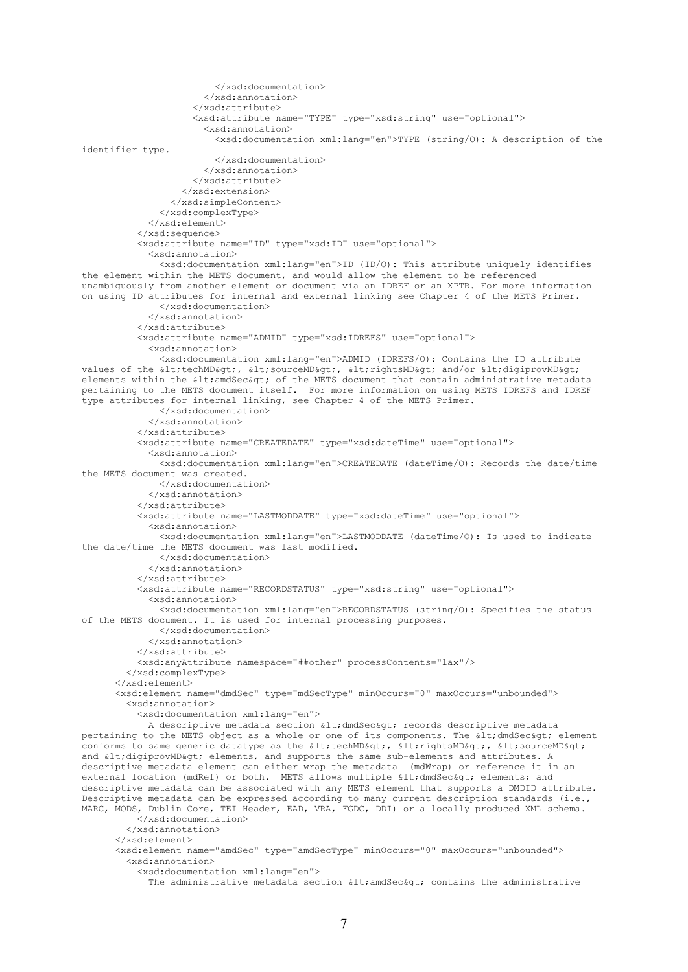```
 </xsd:documentation>
                        </xsd:annotation>
                      </xsd:attribute>
                     <xsd:attribute name="TYPE" type="xsd:string" use="optional">
                        <xsd:annotation>
                          <xsd:documentation xml:lang="en">TYPE (string/O): A description of the 
identifier type.
                          </xsd:documentation>
                        </xsd:annotation>
                      </xsd:attribute>
                   </xsd:extension>
                 </xsd:simpleContent>
               </xsd:complexType>
             </xsd:element> 
           </xsd:sequence>
           <xsd:attribute name="ID" type="xsd:ID" use="optional">
             <xsd:annotation>
                <xsd:documentation xml:lang="en">ID (ID/O): This attribute uniquely identifies 
the element within the METS document, and would allow the element to be referenced 
unambiguously from another element or document via an IDREF or an XPTR. For more information 
on using ID attributes for internal and external linking see Chapter 4 of the METS Primer.
               </xsd:documentation>
             </xsd:annotation>
           </xsd:attribute>
           <xsd:attribute name="ADMID" type="xsd:IDREFS" use="optional">
             <xsd:annotation>
                <xsd:documentation xml:lang="en">ADMID (IDREFS/O): Contains the ID attribute 
values of the <techMD&gt;, &lt;sourceMD&gt;, &lt;rightsMD&gt; and/or &lt;digiprovMD&gt;
elements within the < and Sec& of, of the METS document that contain administrative metadata
pertaining to the METS document itself. For more information on using METS IDREFS and IDREF 
type attributes for internal linking, see Chapter 4 of the METS Primer.
               </xsd:documentation>
              </xsd:annotation>
           </xsd:attribute>
           <xsd:attribute name="CREATEDATE" type="xsd:dateTime" use="optional">
              <xsd:annotation>
               <xsd:documentation xml:lang="en">CREATEDATE (dateTime/O): Records the date/time 
the METS document was created.
               </xsd:documentation>
             </xsd:annotation>
           </xsd:attribute>
           <xsd:attribute name="LASTMODDATE" type="xsd:dateTime" use="optional">
             <xsd:annotation>
               <xsd:documentation xml:lang="en">LASTMODDATE (dateTime/O): Is used to indicate 
the date/time the METS document was last modified.
                </xsd:documentation>
             </xsd:annotation>
           </xsd:attribute>
           <xsd:attribute name="RECORDSTATUS" type="xsd:string" use="optional">
             <xsd:annotation>
               <xsd:documentation xml:lang="en">RECORDSTATUS (string/O): Specifies the status 
of the METS document. It is used for internal processing purposes.
               </xsd:documentation>
             </xsd:annotation>
           </xsd:attribute>
           <xsd:anyAttribute namespace="##other" processContents="lax"/>
         </xsd:complexType>
       </xsd:element>
       <xsd:element name="dmdSec" type="mdSecType" minOccurs="0" maxOccurs="unbounded">
         <xsd:annotation>
           <xsd:documentation xml:lang="en">
            A descriptive metadata section < dmdSec&qt; records descriptive metadata
pertaining to the METS object as a whole or one of its components. The <dmdSec&gt; element
conforms to same generic datatype as the \<t; \<t; \<t; \<t; \<t; \<t; \<t; \<t; \<t; \<t; \<t; \<t; \<t; \<t; \<t; \<t; \<t; \<t; \<t; \<t; and < digiprovMD&qt; elements, and supports the same sub-elements and attributes. A
descriptive metadata element can either wrap the metadata (mdWrap) or reference it in an 
external location (mdRef) or both. METS allows multiple < dmdSec&qt; elements; and
descriptive metadata can be associated with any METS element that supports a DMDID attribute. 
Descriptive metadata can be expressed according to many current description standards (i.e., 
MARC, MODS, Dublin Core, TEI Header, EAD, VRA, FGDC, DDI) or a locally produced XML schema. 
           </xsd:documentation>
         </xsd:annotation>
       </xsd:element>
       <xsd:element name="amdSec" type="amdSecType" minOccurs="0" maxOccurs="unbounded">
         <xsd:annotation>
           <xsd:documentation xml:lang="en"> 
             The administrative metadata section <amdSec> contains the administrative
```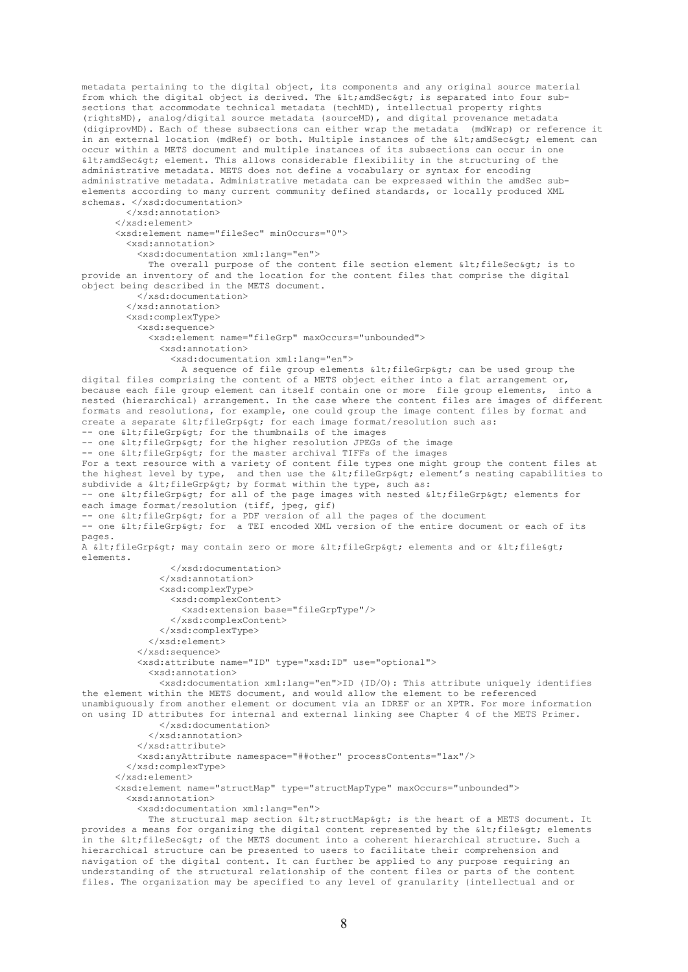metadata pertaining to the digital object, its components and any original source material from which the digital object is derived. The  $\< 1$  and  $\< \< \< 0$  is separated into four subsections that accommodate technical metadata (techMD), intellectual property rights (rightsMD), analog/digital source metadata (sourceMD), and digital provenance metadata (digiprovMD). Each of these subsections can either wrap the metadata (mdWrap) or reference it in an external location (mdRef) or both. Multiple instances of the  $\text{alt}$ ; amdSec&qt; element can occur within a METS document and multiple instances of its subsections can occur in one  $\delta$ lt; amdSec $\delta$ at; element. This allows considerable flexibility in the structuring of the administrative metadata. METS does not define a vocabulary or syntax for encoding administrative metadata. Administrative metadata can be expressed within the amdSec subelements according to many current community defined standards, or locally produced XML schemas. </xsd:documentation> </xsd:annotation> </xsd:element> <xsd:element name="fileSec" minOccurs="0"> <xsd:annotation> <xsd:documentation xml:lang="en"> The overall purpose of the content file section element < fileSec&gt; is to provide an inventory of and the location for the content files that comprise the digital object being described in the METS document. </xsd:documentation> </xsd:annotation> <xsd:complexType> <xsd:sequence> <xsd:element name="fileGrp" maxOccurs="unbounded"> <xsd:annotation> <xsd:documentation xml:lang="en"> A sequence of file group elements  $klt$ ; fileGrp> can be used group the digital files comprising the content of a METS object either into a flat arrangement or,<br>because each file group element can itself contain one or more, file group elements, into a because each file group element can itself contain one or more file group elements, nested (hierarchical) arrangement. In the case where the content files are images of different formats and resolutions, for example, one could group the image content files by format and create a separate  $\<1$ ; fileGrp $; for each image format/resolution such as:$  $-$  one  $\delta$ lt; fileGrp $\delta$ at; for the thumbnails of the images -- one < fileGrp&gt; for the higher resolution JPEGs of the image -- one < fileGrp&gt; for the master archival TIFFs of the images For a text resource with a variety of content file types one might group the content files at the highest level by type, and then use the alt; fileGrpagt; element's nesting capabilities to subdivide a < fileGrp&gt; by format within the type, such as: -- one < fileGrp&gt; for all of the page images with nested &lt; fileGrp&gt; elements for each image format/resolution (tiff, jpeg, gif) -- one wit;fileGrp> for a PDF version of all the pages of the document -- one < fileGrp&qt; for a TEI encoded XML version of the entire document or each of its pages. A < fileGrp&gt; may contain zero or more &lt; fileGrp&gt; elements and or &lt; file&gt; elements. </xsd:documentation> </xsd:annotation> <xsd:complexType> <xsd:complexContent> <xsd:extension base="fileGrpType"/> </xsd:complexContent> </xsd:complexType> </xsd:element> </xsd:sequence> <xsd:attribute name="ID" type="xsd:ID" use="optional"> <xsd:annotation> <xsd:documentation xml:lang="en">ID (ID/O): This attribute uniquely identifies the element within the METS document, and would allow the element to be referenced unambiguously from another element or document via an IDREF or an XPTR. For more information on using ID attributes for internal and external linking see Chapter 4 of the METS Primer. </xsd:documentation> </xsd:annotation> </xsd:attribute> <xsd:anyAttribute namespace="##other" processContents="lax"/> </xsd:complexType> </xsd:element> <xsd:element name="structMap" type="structMapType" maxOccurs="unbounded"> <xsd:annotation> <xsd:documentation xml:lang="en"> The structural map section < structMap&gt; is the heart of a METS document. It provides a means for organizing the digital content represented by the  $\text{alt}_i$ file $\text{4gt}_i$  elements in the  $\delta$ 1t; fileSec $\delta$ at; of the METS document into a coherent hierarchical structure. Such a hierarchical structure can be presented to users to facilitate their comprehension and navigation of the digital content. It can further be applied to any purpose requiring an understanding of the structural relationship of the content files or parts of the content

files. The organization may be specified to any level of granularity (intellectual and or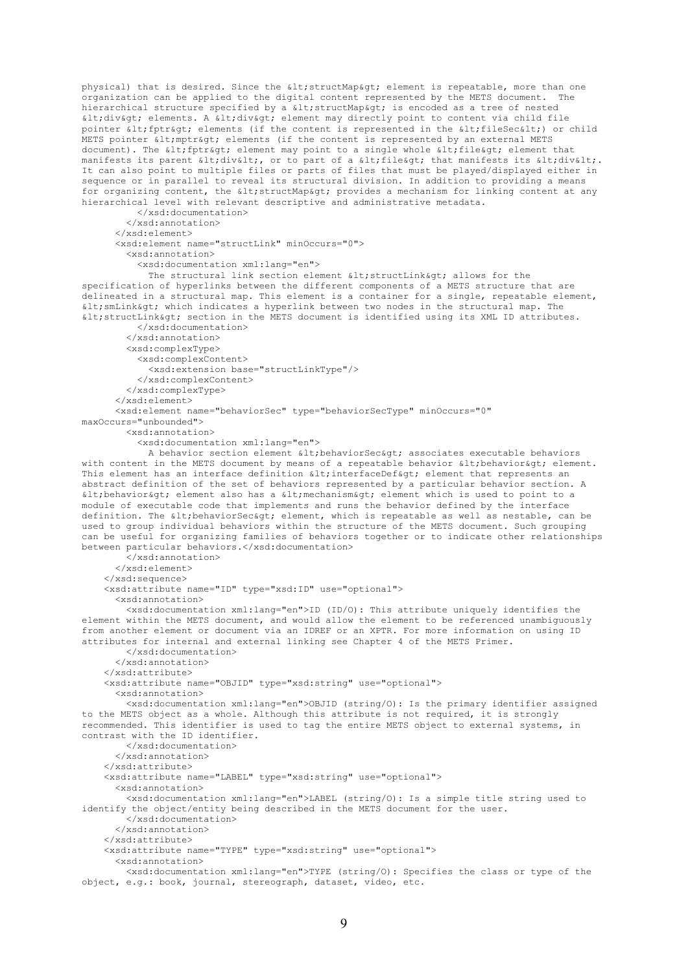```
physical) that is desired. Since the < structMap&gt; element is repeatable, more than one
organization can be applied to the digital content represented by the METS document. The 
hierarchical structure specified by a < structMap&gt; is encoded as a tree of nested
<div&gt; elements. A &lt;div&gt; element may directly point to content via child file
pointer < fptr&gt; elements (if the content is represented in the &lt; fileSec&lt;) or child
METS pointer < mptr&gt; elements (if the content is represented by an external METS
document). The alt; fptragt; element may point to a single whole alt; fileagt; element that
manifests its parent <div&lt;, or to part of a &lt;file&qt; that manifests its &lt;div&lt;.
It can also point to multiple files or parts of files that must be played/displayed either in 
sequence or in parallel to reveal its structural division. In addition to providing a means 
for organizing content, the < structMap&gt; provides a mechanism for linking content at any
hierarchical level with relevant descriptive and administrative metadata.
           </xsd:documentation>
         </xsd:annotation>
       </xsd:element>
       <xsd:element name="structLink" minOccurs="0">
         <xsd:annotation>
           <xsd:documentation xml:lang="en"> 
            The structural link section element \< t; structLink\< qt; allows for the
specification of hyperlinks between the different components of a METS structure that are 
delineated in a structural map. This element is a container for a single, repeatable element, 
< smLink&gt; which indicates a hyperlink between two nodes in the structural map. The
\< It; structLink> section in the METS document is identified using its XML ID attributes.
           </xsd:documentation>
         </xsd:annotation>
         <xsd:complexType>
           <xsd:complexContent>
             <xsd:extension base="structLinkType"/>
           </xsd:complexContent>
         </xsd:complexType>
       </xsd:element>
       <xsd:element name="behaviorSec" type="behaviorSecType" minOccurs="0" 
maxOccurs="unbounded">
         <xsd:annotation>
           <xsd:documentation xml:lang="en">
            A behavior section element < behaviorSec&gt; associates executable behaviors
with content in the METS document by means of a repeatable behavior \< 1; behavior\< q; element.
This element has an interface definition \< 1 interfaceDef> element that represents an
abstract definition of the set of behaviors represented by a particular behavior section. A 
< behavior&qt; element also has a &lt; mechanism&qt; element which is used to point to a
module of executable code that implements and runs the behavior defined by the interface 
definition. The \< l behaviorSec\< qt; element, which is repeatable as well as nestable, can be
used to group individual behaviors within the structure of the METS document. Such grouping 
can be useful for organizing families of behaviors together or to indicate other relationships 
between particular behaviors.</xsd:documentation>
         </xsd:annotation>
       </xsd:element>
     </xsd:sequence>
     <xsd:attribute name="ID" type="xsd:ID" use="optional">
       <xsd:annotation>
         <xsd:documentation xml:lang="en">ID (ID/O): This attribute uniquely identifies the 
element within the METS document, and would allow the element to be referenced unambiguously 
from another element or document via an IDREF or an XPTR. For more information on using ID 
attributes for internal and external linking see Chapter 4 of the METS Primer.
         </xsd:documentation>
       </xsd:annotation>
    \langle/yed·attribute>
     <xsd:attribute name="OBJID" type="xsd:string" use="optional">
       <xsd:annotation>
         <xsd:documentation xml:lang="en">OBJID (string/O): Is the primary identifier assigned 
to the METS object as a whole. Although this attribute is not required, it is strongly 
recommended. This identifier is used to tag the entire METS object to external systems, in 
contrast with the ID identifier.
         </xsd:documentation>
       </xsd:annotation>
     </xsd:attribute>
     <xsd:attribute name="LABEL" type="xsd:string" use="optional">
       <xsd:annotation>
         <xsd:documentation xml:lang="en">LABEL (string/O): Is a simple title string used to 
identify the object/entity being described in the METS document for the user.
         </xsd:documentation>
       </xsd:annotation>
     </xsd:attribute>
     <xsd:attribute name="TYPE" type="xsd:string" use="optional">
       <xsd:annotation>
         <xsd:documentation xml:lang="en">TYPE (string/O): Specifies the class or type of the 
object, e.g.: book, journal, stereograph, dataset, video, etc.
```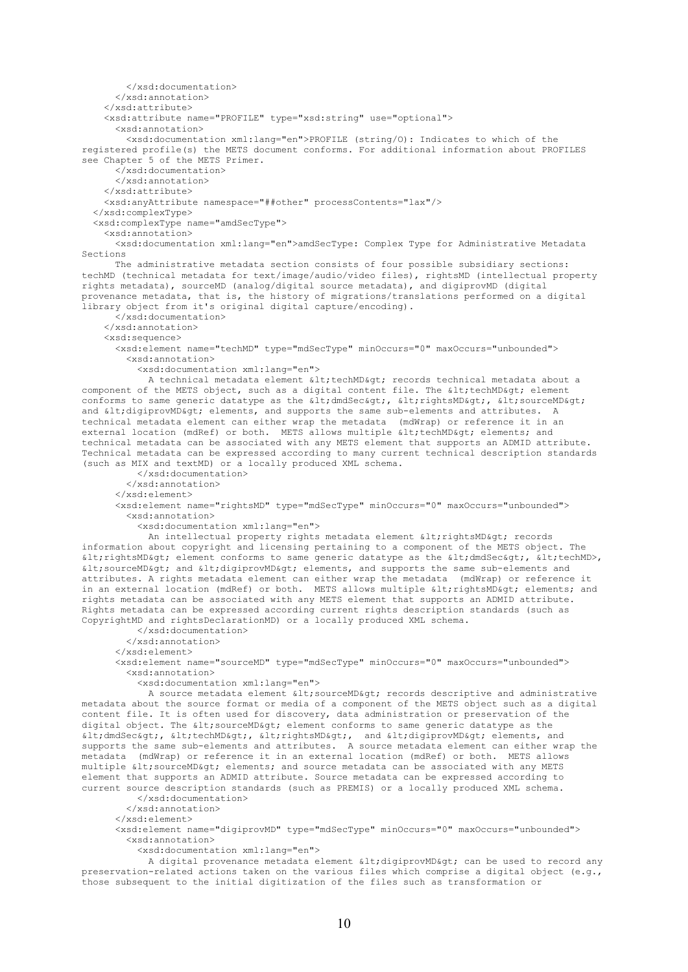```
 </xsd:documentation>
       </xsd:annotation>
     </xsd:attribute>
     <xsd:attribute name="PROFILE" type="xsd:string" use="optional">
       <xsd:annotation>
         <xsd:documentation xml:lang="en">PROFILE (string/O): Indicates to which of the 
registered profile(s) the METS document conforms. For additional information about PROFILES 
see Chapter 5 of the METS Primer.
       </xsd:documentation>
       </xsd:annotation>
     </xsd:attribute>
     <xsd:anyAttribute namespace="##other" processContents="lax"/>
   </xsd:complexType>
   <xsd:complexType name="amdSecType">
     <xsd:annotation>
       <xsd:documentation xml:lang="en">amdSecType: Complex Type for Administrative Metadata 
Sections
       The administrative metadata section consists of four possible subsidiary sections: 
techMD (technical metadata for text/image/audio/video files), rightsMD (intellectual property 
rights metadata), sourceMD (analog/digital source metadata), and digiprovMD (digital 
provenance metadata, that is, the history of migrations/translations performed on a digital 
library object from it's original digital capture/encoding).
       </xsd:documentation>
     </xsd:annotation>
     <xsd:sequence>
       <xsd:element name="techMD" type="mdSecType" minOccurs="0" maxOccurs="unbounded">
         <xsd:annotation>
           <xsd:documentation xml:lang="en"> 
            A technical metadata element < techMD&qt; records technical metadata about a
component of the METS object, such as a digital content file. The < techMD&gt; element
conforms to same generic datatype as the \texttt{alt;dmdSec\&qt;}, \texttt{alt;rightMD\&qt;}, \texttt{alt;sourceMD\&qt;}and <digiprovMD&gt; elements, and supports the same sub-elements and attributes. A
technical metadata element can either wrap the metadata (mdWrap) or reference it in an 
external location (mdRef) or both. METS allows multiple \deltalt; techMD&qt; elements; and
technical metadata can be associated with any METS element that supports an ADMID attribute. 
Technical metadata can be expressed according to many current technical description standards 
(such as MIX and textMD) or a locally produced XML schema.
           </xsd:documentation>
         </xsd:annotation>
       </xsd:element>
       <xsd:element name="rightsMD" type="mdSecType" minOccurs="0" maxOccurs="unbounded">
         <xsd:annotation>
           <xsd:documentation xml:lang="en">
            An intellectual property rights metadata element < rightsMD&gt; records
information about copyright and licensing pertaining to a component of the METS object. The 
\text{all}; rightsMD&qt; element conforms to same generic datatype as the \text{alt}; dmdSec&qt;, \text{alt}; techMD>,
\texttt{alt}; sourceMD> and \texttt{alt}; digiprovMD> elements, and supports the same sub-elements and
attributes. A rights metadata element can either wrap the metadata (mdWrap) or reference it 
in an external location (mdRef) or both. METS allows multiple \<lt;rightsMD> elements; and
rights metadata can be associated with any METS element that supports an ADMID attribute. 
Rights metadata can be expressed according current rights description standards (such as 
CopyrightMD and rightsDeclarationMD) or a locally produced XML schema.
           </xsd:documentation>
         </xsd:annotation>
       </xsd:element>
       <xsd:element name="sourceMD" type="mdSecType" minOccurs="0" maxOccurs="unbounded">
         <xsd:annotation>
           <xsd:documentation xml:lang="en">
            A source metadata element < sourceMD&qt; records descriptive and administrative
metadata about the source format or media of a component of the METS object such as a digital 
content file. It is often used for discovery, data administration or preservation of the 
digital object. The < sourceMD&gt; element conforms to same generic datatype as the
\deltalt;dmdSec>, \deltalt;techMD>, \deltalt;rightsMD>, and \deltalt;digiprovMD> elements, and
supports the same sub-elements and attributes. A source metadata element can either wrap the 
metadata (mdWrap) or reference it in an external location (mdRef) or both. METS allows 
multiple \<lt; sourceMD&qt; elements; and source metadata can be associated with any METS
element that supports an ADMID attribute. Source metadata can be expressed according to 
current source description standards (such as PREMIS) or a locally produced XML schema.
           </xsd:documentation>
         </xsd:annotation>
       </xsd:element>
       <xsd:element name="digiprovMD" type="mdSecType" minOccurs="0" maxOccurs="unbounded">
         <xsd:annotation>
```
<xsd:documentation xml:lang="en">

A digital provenance metadata element <digiprovMD&gt; can be used to record any preservation-related actions taken on the various files which comprise a digital object (e.g., those subsequent to the initial digitization of the files such as transformation or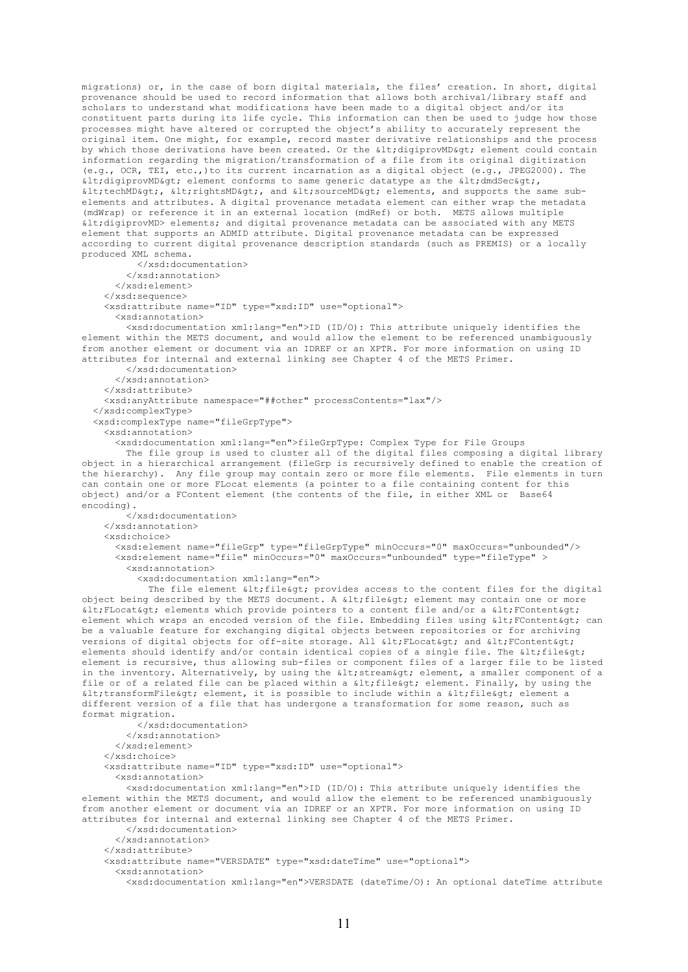migrations) or, in the case of born digital materials, the files' creation. In short, digital provenance should be used to record information that allows both archival/library staff and scholars to understand what modifications have been made to a digital object and/or its constituent parts during its life cycle. This information can then be used to judge how those processes might have altered or corrupted the object's ability to accurately represent the original item. One might, for example, record master derivative relationships and the process by which those derivations have been created. Or the <digiprovMD&qt; element could contain information regarding the migration/transformation of a file from its original digitization (e.g., OCR, TEI, etc.,)to its current incarnation as a digital object (e.g., JPEG2000). The  $\<$ lt; digiprovMD $<$ qt; element conforms to same generic datatype as the  $\<$ lt; dmdSec $<$ qt;,  $\texttt{all}$ ; techMD>,  $\texttt{all}$ ; rightsMD>, and  $\texttt{all}$ ; sourceMD> elements, and supports the same subelements and attributes. A digital provenance metadata element can either wrap the metadata (mdWrap) or reference it in an external location (mdRef) or both. METS allows multiple <digiprovMD> elements; and digital provenance metadata can be associated with any METS element that supports an ADMID attribute. Digital provenance metadata can be expressed according to current digital provenance description standards (such as PREMIS) or a locally produced XML schema. </xsd:documentation> </xsd:annotation> </xsd:element> </xsd:sequence> <xsd:attribute name="ID" type="xsd:ID" use="optional"> <xsd:annotation> <xsd:documentation xml:lang="en">ID (ID/O): This attribute uniquely identifies the element within the METS document, and would allow the element to be referenced unambiguously from another element or document via an IDREF or an XPTR. For more information on using ID attributes for internal and external linking see Chapter 4 of the METS Primer. </xsd:documentation> </xsd:annotation> </xsd:attribute> <xsd:anyAttribute namespace="##other" processContents="lax"/> </xsd:complexType> <xsd:complexType name="fileGrpType"> <xsd:annotation> <xsd:documentation xml:lang="en">fileGrpType: Complex Type for File Groups The file group is used to cluster all of the digital files composing a digital library object in a hierarchical arrangement (fileGrp is recursively defined to enable the creation of the hierarchy). Any file group may contain zero or more file elements. File elements in turn can contain one or more FLocat elements (a pointer to a file containing content for this object) and/or a FContent element (the contents of the file, in either XML or Base64 encoding). </xsd:documentation> </xsd:annotation> <xsd:choice> <xsd:element name="fileGrp" type="fileGrpType" minOccurs="0" maxOccurs="unbounded"/> <xsd:element name="file" minOccurs="0" maxOccurs="unbounded" type="fileType" > <xsd:annotation> <xsd:documentation xml:lang="en"> The file element < file &qt; provides access to the content files for the digital object being described by the METS document. A  $\< 1$  ile $\< g$  element may contain one or more  $dt$ ; FLocat> elements which provide pointers to a content file and/or a < FContent&gt; element which wraps an encoded version of the file. Embedding files using < FContent&gt; can be a valuable feature for exchanging digital objects between repositories or for archiving versions of digital objects for off-site storage. All < FLocat&gt; and &lt; FContent&gt; elements should identify and/or contain identical copies of a single file. The  $\text{alt}_f$ file $\text{act}_f$ element is recursive, thus allowing sub-files or component files of a larger file to be listed in the inventory. Alternatively, by using the < stream&gt; element, a smaller component of a file or of a related file can be placed within a < file&gt; element. Finally, by using the <transformFile&qt; element, it is possible to include within a &lt;file&qt; element a different version of a file that has undergone a transformation for some reason, such as format migration. </xsd:documentation> </xsd:annotation> </xsd:element> </xsd:choice> <xsd:attribute name="ID" type="xsd:ID" use="optional"> <xsd:annotation> <xsd:documentation xml:lang="en">ID (ID/O): This attribute uniquely identifies the element within the METS document, and would allow the element to be referenced unambiguously from another element or document via an IDREF or an XPTR. For more information on using ID attributes for internal and external linking see Chapter 4 of the METS Primer. </xsd:documentation> </xsd:annotation> </xsd:attribute> <xsd:attribute name="VERSDATE" type="xsd:dateTime" use="optional"> <xsd:annotation> <xsd:documentation xml:lang="en">VERSDATE (dateTime/O): An optional dateTime attribute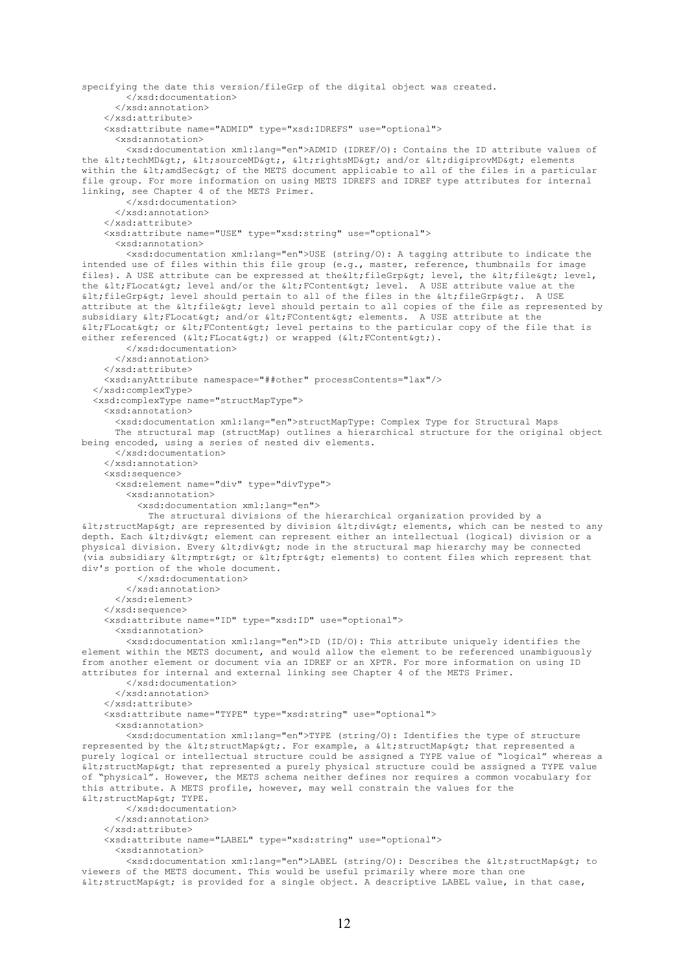```
specifying the date this version/fileGrp of the digital object was created.
         </xsd:documentation>
       </xsd:annotation>
     </xsd:attribute>
     <xsd:attribute name="ADMID" type="xsd:IDREFS" use="optional">
       <xsd:annotation>
         <xsd:documentation xml:lang="en">ADMID (IDREF/O): Contains the ID attribute values of 
the <techMD&qt;, &lt;sourceMD&qt;, &lt;rightsMD&qt; and/or &lt;digiprovMD&qt; elements
within the < amdSec&gt; of the METS document applicable to all of the files in a particular
file group. For more information on using METS IDREFS and IDREF type attributes for internal 
linking, see Chapter 4 of the METS Primer.
         </xsd:documentation>
       </xsd:annotation>
     </xsd:attribute>
     <xsd:attribute name="USE" type="xsd:string" use="optional">
       <xsd:annotation>
         <xsd:documentation xml:lang="en">USE (string/O): A tagging attribute to indicate the 
intended use of files within this file group (e.g., master, reference, thumbnails for image 
files). A USE attribute can be expressed at the alt; fileGrp&qt; level, the alt; file&qt; level,
the < FLocat&gt; level and/or the &lt; FContent&gt; level. A USE attribute value at the
\deltalt; fileGrp&qt; level should pertain to all of the files in the \deltalt; fileGrp&qt;. A USE
attribute at the < file&gt; level should pertain to all copies of the file as represented by
subsidiary < FLocat&gt; and/or &lt; FContent&gt; elements. A USE attribute at the
\deltalt; FLocat&qt; or \deltalt; FContent&qt; level pertains to the particular copy of the file that is
either referenced (< FLocat&qt;) or wrapped (&lt; FContent&qt;).
         </xsd:documentation>
       </xsd:annotation>
     </xsd:attribute>
     <xsd:anyAttribute namespace="##other" processContents="lax"/>
   </xsd:complexType>
   <xsd:complexType name="structMapType">
     <xsd:annotation>
       <xsd:documentation xml:lang="en">structMapType: Complex Type for Structural Maps
       The structural map (structMap) outlines a hierarchical structure for the original object 
being encoded, using a series of nested div elements.
       </xsd:documentation>
     </xsd:annotation>
     <xsd:sequence>
       <xsd:element name="div" type="divType">
         <xsd:annotation>
           <xsd:documentation xml:lang="en"> 
             The structural divisions of the hierarchical organization provided by a 
< structMap&gt; are represented by division &lt; div&gt; elements, which can be nested to any
depth. Each < div&gt; element can represent either an intellectual (logical) division or a
physical division. Every \text{alt}; div\text{sqrt}; node in the structural map hierarchy may be connected
(via subsidiary < mptr&gt; or &lt; fptr&gt; elements) to content files which represent that
div's portion of the whole document. 
           </xsd:documentation>
         </xsd:annotation>
       </xsd:element>
     </xsd:sequence>
     <xsd:attribute name="ID" type="xsd:ID" use="optional">
       <xsd:annotation>
         <xsd:documentation xml:lang="en">ID (ID/O): This attribute uniquely identifies the 
element within the METS document, and would allow the element to be referenced unambiguously 
from another element or document via an IDREF or an XPTR. For more information on using ID 
attributes for internal and external linking see Chapter 4 of the METS Primer.
         </xsd:documentation>
       </xsd:annotation>
     </xsd:attribute>
     <xsd:attribute name="TYPE" type="xsd:string" use="optional">
       <xsd:annotation>
         <xsd:documentation xml:lang="en">TYPE (string/O): Identifies the type of structure 
represented by the <structMap&gt;. For example, a &lt;structMap&gt; that represented a
purely logical or intellectual structure could be assigned a TYPE value of "logical" whereas a 
\deltalt; structMap\deltagt; that represented a purely physical structure could be assigned a TYPE value
of "physical". However, the METS schema neither defines nor requires a common vocabulary for 
this attribute. A METS profile, however, may well constrain the values for the 
k] t:structMap&ot: TYPE.
         </xsd:documentation>
       </xsd:annotation>
     </xsd:attribute>
     <xsd:attribute name="LABEL" type="xsd:string" use="optional">
       <xsd:annotation>
        <xsd:documentation xml:lang="en">LABEL (string/O): Describes the &lt;structMap&gt; to
viewers of the METS document. This would be useful primarily where more than one 
\deltalt; structMap&qt; is provided for a single object. A descriptive LABEL value, in that case,
```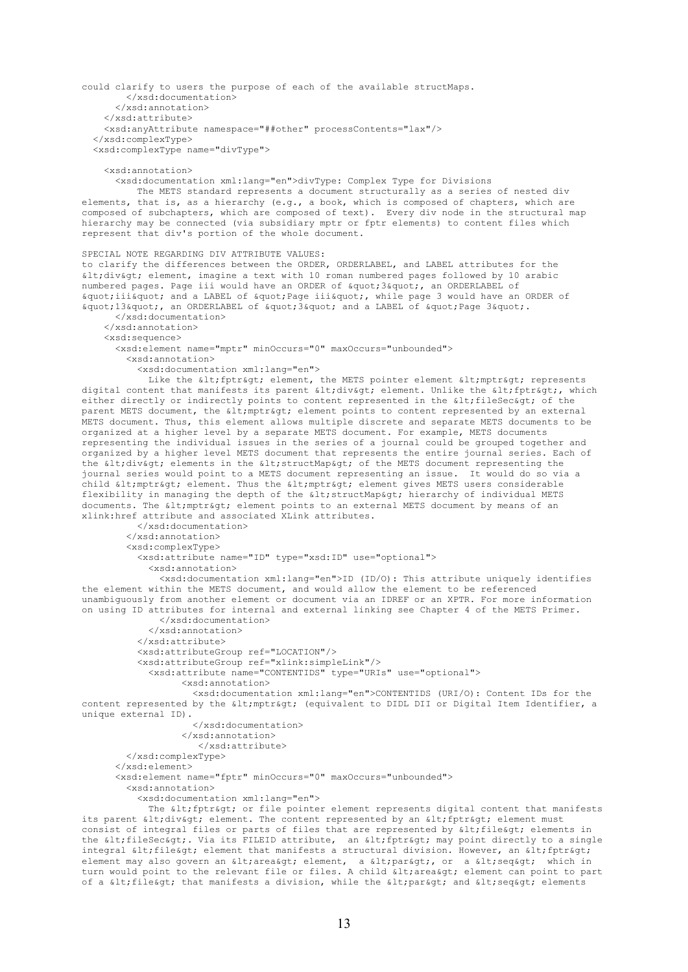```
could clarify to users the purpose of each of the available structMaps.
         </xsd:documentation>
       </xsd:annotation>
     </xsd:attribute>
     <xsd:anyAttribute namespace="##other" processContents="lax"/>
   </xsd:complexType>
   <xsd:complexType name="divType">
     <xsd:annotation>
       <xsd:documentation xml:lang="en">divType: Complex Type for Divisions
          The METS standard represents a document structurally as a series of nested div 
elements, that is, as a hierarchy (e.g., a book, which is composed of chapters, which are 
composed of subchapters, which are composed of text). Every div node in the structural map 
hierarchy may be connected (via subsidiary mptr or fptr elements) to content files which 
represent that div's portion of the whole document.
SPECIAL NOTE REGARDING DIV ATTRIBUTE VALUES:
to clarify the differences between the ORDER, ORDERLABEL, and LABEL attributes for the 
<div> element, imagine a text with 10 roman numbered pages followed by 10 arabic 
numbered pages. Page iii would have an ORDER of " 3", an ORDERLABEL of
" iii" and a LABEL of " Page iii", while page 3 would have an ORDER of
\alphaquot;13", an ORDERLABEL of \alphaquot;3" and a LABEL of "Page 3".
       </xsd:documentation>
     </xsd:annotation>
     <xsd:sequence>
       <xsd:element name="mptr" minOccurs="0" maxOccurs="unbounded">
         <xsd:annotation>
           <xsd:documentation xml:lang="en"> 
            Like the \texttt{alt}; fptr\texttt{Kqt}; element, the METS pointer element \texttt{alt}; mptr\texttt{Kqt}; represents
digital content that manifests its parent <div&gt; element. Unlike the &lt;fptr&gt;, which
either directly or indirectly points to content represented in the < fileSec&qt; of the
parent METS document, the < mptr&gt; element points to content represented by an external
METS document. Thus, this element allows multiple discrete and separate METS documents to be 
organized at a higher level by a separate METS document. For example, METS documents 
representing the individual issues in the series of a journal could be grouped together and 
organized by a higher level METS document that represents the entire journal series. Each of 
the <div&qt; elements in the &lt;structMap&qt; of the METS document representing the
journal series would point to a METS document representing an issue. It would do so via a 
child < mptr&gt; element. Thus the &lt; mptr&gt; element gives METS users considerable
flexibility in managing the depth of the < structMap&gt; hierarchy of individual METS
documents. The \< l; mptr\< q; element points to an external METS document by means of an
xlink:href attribute and associated XLink attributes. 
           </xsd:documentation>
         </xsd:annotation>
         <xsd:complexType>
           <xsd:attribute name="ID" type="xsd:ID" use="optional">
             <xsd:annotation>
               <xsd:documentation xml:lang="en">ID (ID/O): This attribute uniquely identifies 
the element within the METS document, and would allow the element to be referenced 
unambiguously from another element or document via an IDREF or an XPTR. For more information 
on using ID attributes for internal and external linking see Chapter 4 of the METS Primer.
               </xsd:documentation>
             </xsd:annotation>
           </xsd:attribute>
           <xsd:attributeGroup ref="LOCATION"/>
           <xsd:attributeGroup ref="xlink:simpleLink"/>
             <xsd:attribute name="CONTENTIDS" type="URIs" use="optional">
                   <xsd:annotation>
                     <xsd:documentation xml:lang="en">CONTENTIDS (URI/O): Content IDs for the 
content represented by the < mptr&qt; (equivalent to DIDL DII or Digital Item Identifier, a
unique external ID).
                     </xsd:documentation>
                   </xsd:annotation>
                      </xsd:attribute>
         </xsd:complexType>
       </xsd:element>
       <xsd:element name="fptr" minOccurs="0" maxOccurs="unbounded">
         <xsd:annotation>
           <xsd:documentation xml:lang="en">
            The alt; fptragt; or file pointer element represents digital content that manifests
its parent <div&gt; element. The content represented by an &lt;fptr&gt; element must
consist of integral files or parts of files that are represented by \<1tile\<0tile\<0the <fileSec&gt;. Via its FILEID attribute, an &lt;fptr&gt; may point directly to a single
integral < file&gt; element that manifests a structural division. However, an &lt; fptr&gt;
element may also govern an < area&gt; element, a &lt; par&gt;, or a &lt; seq&gt; which in
turn would point to the relevant file or files. A child alt, areaagt, element can point to part
of a < file&gt; that manifests a division, while the &lt; par&gt; and &lt; seq&gt; elements
```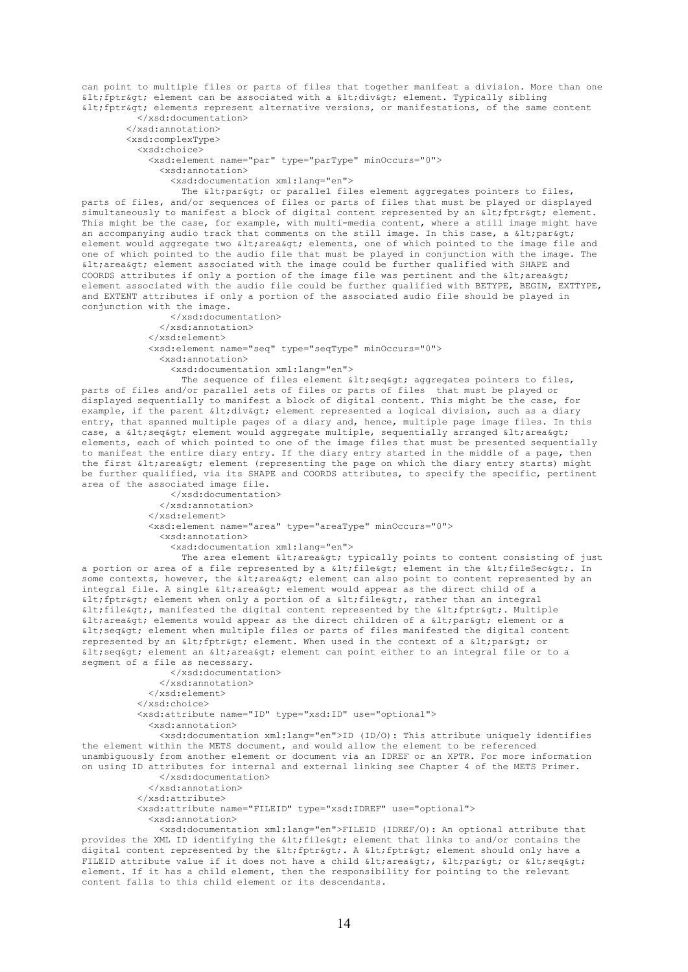can point to multiple files or parts of files that together manifest a division. More than one  $\delta$ lt; fptr $\delta$ qt; element can be associated with a  $\delta$ lt; div $\delta$ qt; element. Typically sibling <fptr> elements represent alternative versions, or manifestations, of the same content </xsd:documentation>

 </xsd:annotation> <xsd:complexType> <xsd:choice> <xsd:element name="par" type="parType" minOccurs="0"> <xsd:annotation> <xsd:documentation xml:lang="en">

The < par&qt; or parallel files element aggregates pointers to files, parts of files, and/or sequences of files or parts of files that must be played or displayed simultaneously to manifest a block of digital content represented by an  $\< l$ ; fptr $\< g$ t; element. This might be the case, for example, with multi-media content, where a still image might have an accompanying audio track that comments on the still image. In this case, a  $\<1$ ; par $\<0$ ; element would aggregate two £lt; area> elements, one of which pointed to the image file and one of which pointed to the audio file that must be played in conjunction with the image. The  $\delta$ lt; area $\delta$ gt; element associated with the image could be further qualified with SHAPE and COORDS attributes if only a portion of the image file was pertinent and the  $\<1$ ; area $\<0$ ; element associated with the audio file could be further qualified with BETYPE, BEGIN, EXTTYPE, and EXTENT attributes if only a portion of the associated audio file should be played in conjunction with the image.

> </xsd:documentation> </xsd:annotation> </xsd:element> <xsd:element name="seq" type="seqType" minOccurs="0"> <xsd:annotation> <xsd:documentation xml:lang="en">

The sequence of files element  $\< 1$ t; seq $\< g$ t; aggregates pointers to files, parts of files and/or parallel sets of files or parts of files that must be played or displayed sequentially to manifest a block of digital content. This might be the case, for example, if the parent alt; divagt; element represented a logical division, such as a diary entry, that spanned multiple pages of a diary and, hence, multiple page image files. In this case, a  $\< l$ ; element would aggregate multiple, sequentially arranged  $< l$ t; area $< r$ elements, each of which pointed to one of the image files that must be presented sequentially to manifest the entire diary entry. If the diary entry started in the middle of a page, then the first  $\< l$ ; area $< q$ ; element (representing the page on which the diary entry starts) might be further qualified, via its SHAPE and COORDS attributes, to specify the specific, pertinent area of the associated image file.

> </xsd:documentation> </xsd:annotation> </xsd:element> <xsd:element name="area" type="areaType" minOccurs="0"> <xsd:annotation> <xsd:documentation xml:lang="en">

The area element  $\< 1$  typically points to content consisting of just a portion or area of a file represented by a  $\delta$ lt;file $\delta$ gt; element in the  $\delta$ lt;fileSec $\delta$ gt;. In some contexts, however, the < area&gt; element can also point to content represented by an integral file. A single < area&gt; element would appear as the direct child of a  $\delta$ lt; fptr $\delta$ gt; element when only a portion of a  $\delta$ lt; file $\delta$ gt;, rather than an integral  $\delta$ lt; file $\delta$ qt;, manifested the digital content represented by the  $\delta$ lt; fptr $\delta$ qt;. Multiple < area&gt; elements would appear as the direct children of a &lt; par&gt; element or a  $\delta$ lt; seq $\delta$ gt; element when multiple files or parts of files manifested the digital content represented by an < fptr&gt; element. When used in the context of a &lt; par&gt; or  $\delta$ lt; seq&qt; element an  $\delta$ lt; area&qt; element can point either to an integral file or to a segment of a file as necessary.

```
 </xsd:documentation>
     </xsd:annotation>
   </xsd:element>
 </xsd:choice>
 <xsd:attribute name="ID" type="xsd:ID" use="optional">
   <xsd:annotation>
```
 <xsd:documentation xml:lang="en">ID (ID/O): This attribute uniquely identifies the element within the METS document, and would allow the element to be referenced unambiguously from another element or document via an IDREF or an XPTR. For more information on using ID attributes for internal and external linking see Chapter 4 of the METS Primer.

```
 </xsd:documentation>
   </xsd:annotation>
 </xsd:attribute>
 <xsd:attribute name="FILEID" type="xsd:IDREF" use="optional">
   <xsd:annotation>
```
 <xsd:documentation xml:lang="en">FILEID (IDREF/O): An optional attribute that provides the XML ID identifying the < file&gt; element that links to and/or contains the digital content represented by the < fptr&gt;. A &lt; fptr&gt; element should only have a FILEID attribute value if it does not have a child < area&qt;, &lt; par&qt; or &lt; seq&qt; element. If it has a child element, then the responsibility for pointing to the relevant content falls to this child element or its descendants.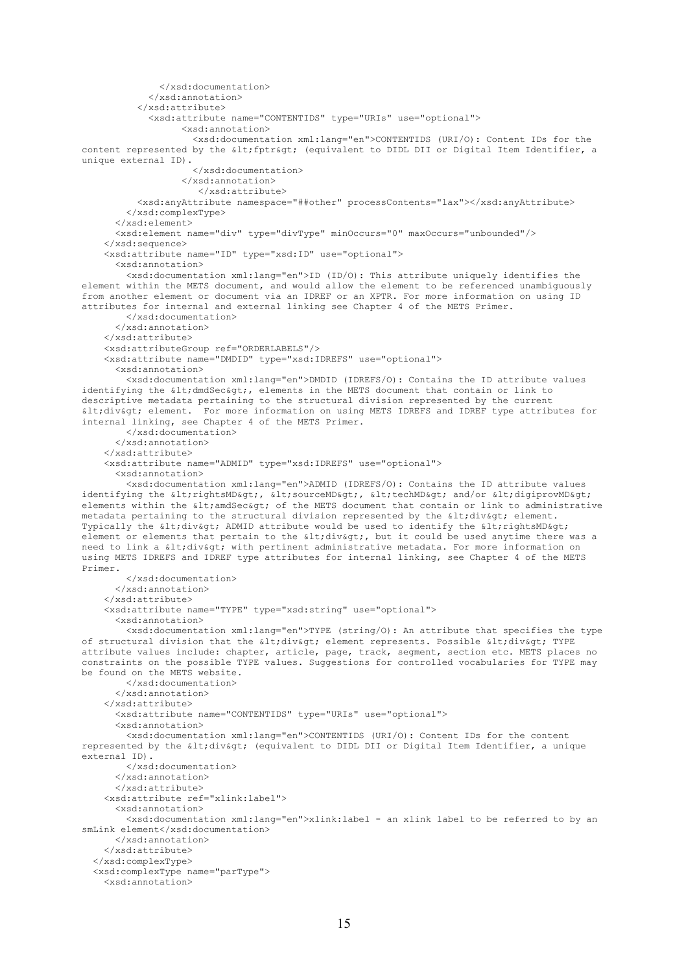```
 </xsd:documentation>
             </xsd:annotation>
           </xsd:attribute>
             <xsd:attribute name="CONTENTIDS" type="URIs" use="optional">
                   <xsd:annotation>
                     <xsd:documentation xml:lang="en">CONTENTIDS (URI/O): Content IDs for the 
content represented by the < fptr&gt; (equivalent to DIDL DII or Digital Item Identifier, a
unique external ID).
                     </xsd:documentation>
                   </xsd:annotation>
                      </xsd:attribute>
           <xsd:anyAttribute namespace="##other" processContents="lax"></xsd:anyAttribute>
         </xsd:complexType>
       </xsd:element>
       <xsd:element name="div" type="divType" minOccurs="0" maxOccurs="unbounded"/>
     </xsd:sequence>
     <xsd:attribute name="ID" type="xsd:ID" use="optional">
       <xsd:annotation>
         <xsd:documentation xml:lang="en">ID (ID/O): This attribute uniquely identifies the 
element within the METS document, and would allow the element to be referenced unambiguously 
from another element or document via an IDREF or an XPTR. For more information on using ID 
attributes for internal and external linking see Chapter 4 of the METS Primer.
         </xsd:documentation>
       </xsd:annotation>
     </xsd:attribute>
     <xsd:attributeGroup ref="ORDERLABELS"/> 
     <xsd:attribute name="DMDID" type="xsd:IDREFS" use="optional">
       <xsd:annotation>
         <xsd:documentation xml:lang="en">DMDID (IDREFS/O): Contains the ID attribute values 
identifying the <dmdSec&gt;, elements in the METS document that contain or link to
descriptive metadata pertaining to the structural division represented by the current 
<div> element. For more information on using METS IDREFS and IDREF type attributes for 
internal linking, see Chapter 4 of the METS Primer.
         </xsd:documentation>
       </xsd:annotation>
     </xsd:attribute>
     <xsd:attribute name="ADMID" type="xsd:IDREFS" use="optional">
       <xsd:annotation>
         <xsd:documentation xml:lang="en">ADMID (IDREFS/O): Contains the ID attribute values 
identifying the <rightsMD&gt;, &lt;sourceMD&gt;, &lt;techMD&gt; and/or &lt;digiprovMD&gt;
elements within the < amdSec&gt; of the METS document that contain or link to administrative
metadata pertaining to the structural division represented by the \<1; div\>q; element.
Typically the \<1tidiv<0tid attribute would be used to identify the <1tidhtsMD<0tidhtsMD<0element or elements that pertain to the \<l; but it could be used anytime there was a
need to link a <div&gt; with pertinent administrative metadata. For more information on
using METS IDREFS and IDREF type attributes for internal linking, see Chapter 4 of the METS 
Primer.
         </xsd:documentation>
       </xsd:annotation>
     </xsd:attribute>
     <xsd:attribute name="TYPE" type="xsd:string" use="optional">
       <xsd:annotation>
         <xsd:documentation xml:lang="en">TYPE (string/O): An attribute that specifies the type 
of structural division that the <div&gt; element represents. Possible &lt;div&gt; TYPE
attribute values include: chapter, article, page, track, segment, section etc. METS places no 
constraints on the possible TYPE values. Suggestions for controlled vocabularies for TYPE may 
be found on the METS website.
         </xsd:documentation>
       </xsd:annotation>
     </xsd:attribute>
       <xsd:attribute name="CONTENTIDS" type="URIs" use="optional">
       <xsd:annotation>
         <xsd:documentation xml:lang="en">CONTENTIDS (URI/O): Content IDs for the content 
represented by the \<1: div\<5: (equivalent to DIDL DII or Digital Item Identifier, a unique
external ID).
         </xsd:documentation>
       </xsd:annotation>
       </xsd:attribute>
     <xsd:attribute ref="xlink:label">
       <xsd:annotation>
         <xsd:documentation xml:lang="en">xlink:label - an xlink label to be referred to by an 
smLink element</xsd:documentation>
       </xsd:annotation>
     </xsd:attribute>
   </xsd:complexType>
   <xsd:complexType name="parType">
     <xsd:annotation>
```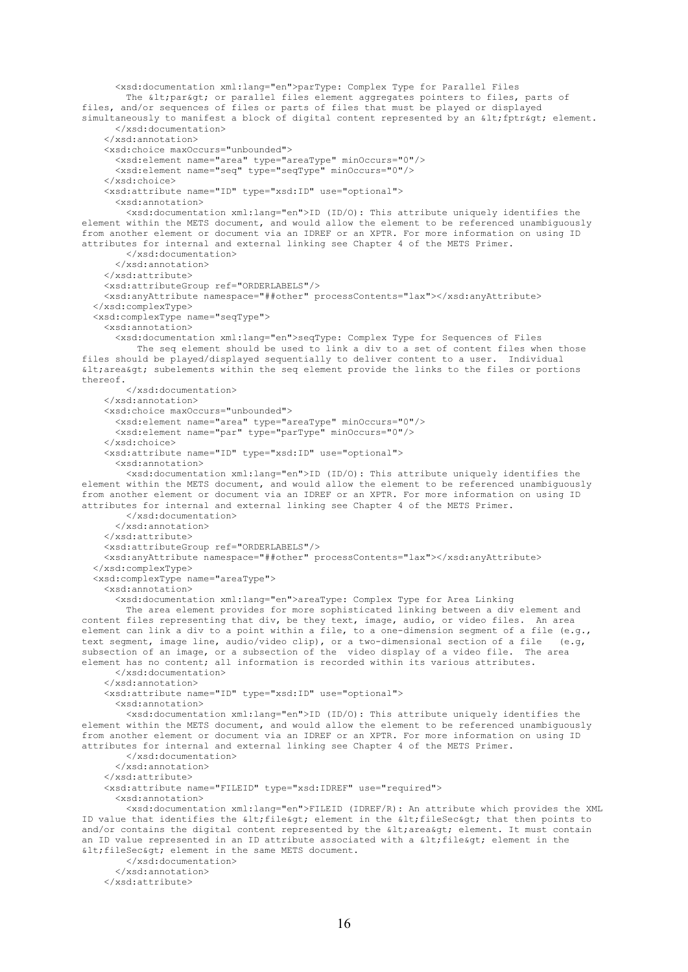<xsd:documentation xml:lang="en">parType: Complex Type for Parallel Files The < par&gt; or parallel files element aggregates pointers to files, parts of files, and/or sequences of files or parts of files that must be played or displayed simultaneously to manifest a block of digital content represented by an  $\delta l$ t; fptr $\delta g$ t; element. </xsd:documentation> </xsd:annotation> <xsd:choice maxOccurs="unbounded"> <xsd:element name="area" type="areaType" minOccurs="0"/> <xsd:element name="seq" type="seqType" minOccurs="0"/> </xsd:choice> <xsd:attribute name="ID" type="xsd:ID" use="optional"> <xsd:annotation> <xsd:documentation xml:lang="en">ID (ID/O): This attribute uniquely identifies the element within the METS document, and would allow the element to be referenced unambiguously from another element or document via an IDREF or an XPTR. For more information on using ID attributes for internal and external linking see Chapter 4 of the METS Primer. </xsd:documentation> </xsd:annotation> </xsd:attribute> <xsd:attributeGroup ref="ORDERLABELS"/> <xsd:anyAttribute namespace="##other" processContents="lax"></xsd:anyAttribute> </xsd:complexType> <xsd:complexType name="seqType"> <xsd:annotation> <xsd:documentation xml:lang="en">seqType: Complex Type for Sequences of Files The seq element should be used to link a div to a set of content files when those files should be played/displayed sequentially to deliver content to a user. Individual  $dt$ ; area&qt; subelements within the seq element provide the links to the files or portions thereof. </xsd:documentation> </xsd:annotation> <xsd:choice maxOccurs="unbounded"> <xsd:element name="area" type="areaType" minOccurs="0"/> <xsd:element name="par" type="parType" minOccurs="0"/> </xsd:choice> <xsd:attribute name="ID" type="xsd:ID" use="optional"> <xsd:annotation> <xsd:documentation xml:lang="en">ID (ID/O): This attribute uniquely identifies the element within the METS document, and would allow the element to be referenced unambiguously from another element or document via an IDREF or an XPTR. For more information on using ID attributes for internal and external linking see Chapter 4 of the METS Primer. </xsd:documentation> </xsd:annotation> </xsd:attribute> <xsd:attributeGroup ref="ORDERLABELS"/> <xsd:anyAttribute namespace="##other" processContents="lax"></xsd:anyAttribute> </xsd:complexType> <xsd:complexType name="areaType"> <xsd:annotation> <xsd:documentation xml:lang="en">areaType: Complex Type for Area Linking The area element provides for more sophisticated linking between a div element and content files representing that div, be they text, image, audio, or video files. An area element can link a div to a point within a file, to a one-dimension segment of a file (e.g., text segment, image line, audio/video clip), or a two-dimensional section of a file (e.g. text segment, image line, audio/video clip), or a two-dimensional section of a file subsection of an image, or a subsection of the video display of a video file. The area element has no content; all information is recorded within its various attributes. </xsd:documentation> </xsd:annotation> <xsd:attribute name="ID" type="xsd:ID" use="optional"> <xsd:annotation> <xsd:documentation xml:lang="en">ID (ID/O): This attribute uniquely identifies the element within the METS document, and would allow the element to be referenced unambiguously from another element or document via an IDREF or an XPTR. For more information on using ID attributes for internal and external linking see Chapter 4 of the METS Primer. </xsd:documentation> </xsd:annotation> </xsd:attribute> <xsd:attribute name="FILEID" type="xsd:IDREF" use="required"> <xsd:annotation> <xsd:documentation xml:lang="en">FILEID (IDREF/R): An attribute which provides the XML ID value that identifies the < file&gt; element in the &lt; fileSec&gt; that then points to and/or contains the digital content represented by the  $\< l$ ; area $< q$ ; element. It must contain an ID value represented in an ID attribute associated with a < file &gt; element in the < fileSec&gt; element in the same METS document. </xsd:documentation> </xsd:annotation> </xsd:attribute>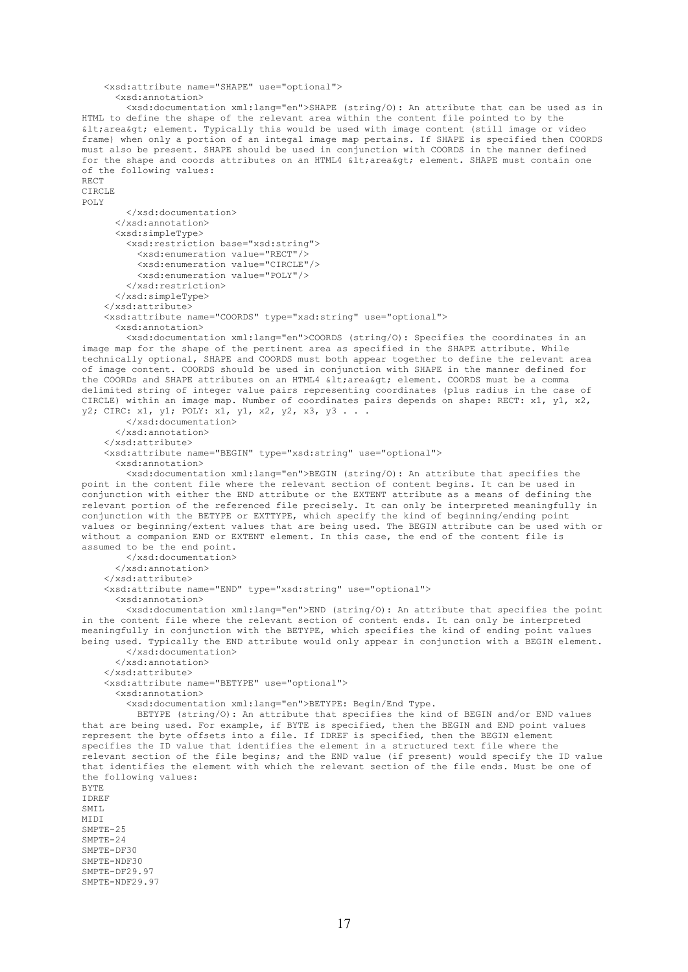```
 <xsd:attribute name="SHAPE" use="optional">
       <xsd:annotation>
         <xsd:documentation xml:lang="en">SHAPE (string/O): An attribute that can be used as in 
HTML to define the shape of the relevant area within the content file pointed to by the 
< area&gt; element. Typically this would be used with image content (still image or video
frame) when only a portion of an integal image map pertains. If SHAPE is specified then COORDS 
must also be present. SHAPE should be used in conjunction with COORDS in the manner defined 
for the shape and coords attributes on an HTML4 \tilde{\text{alt}}; area\text{act}; element. SHAPE must contain one
of the following values: 
RECT 
CIRCLE
POLY
         </xsd:documentation>
       </xsd:annotation>
       <xsd:simpleType>
         <xsd:restriction base="xsd:string">
           <xsd:enumeration value="RECT"/>
           <xsd:enumeration value="CIRCLE"/>
           <xsd:enumeration value="POLY"/>
         </xsd:restriction>
       </xsd:simpleType>
     </xsd:attribute>
     <xsd:attribute name="COORDS" type="xsd:string" use="optional">
       <xsd:annotation>
         <xsd:documentation xml:lang="en">COORDS (string/O): Specifies the coordinates in an 
image map for the shape of the pertinent area as specified in the SHAPE attribute. While 
technically optional, SHAPE and COORDS must both appear together to define the relevant area 
of image content. COORDS should be used in conjunction with SHAPE in the manner defined for 
the COORDs and SHAPE attributes on an HTML4 \&lt; area\&qt; element. COORDS must be a comma
delimited string of integer value pairs representing coordinates (plus radius in the case of 
CIRCLE) within an image map. Number of coordinates pairs depends on shape: RECT: x1, y1, x2, 
y2; CIRC: x1, y1; POLY: x1, y1, x2, y2, x3, y3 . . .
         </xsd:documentation>
       </xsd:annotation>
     </xsd:attribute>
     <xsd:attribute name="BEGIN" type="xsd:string" use="optional">
       <xsd:annotation>
         <xsd:documentation xml:lang="en">BEGIN (string/O): An attribute that specifies the 
point in the content file where the relevant section of content begins. It can be used in 
conjunction with either the END attribute or the EXTENT attribute as a means of defining the 
relevant portion of the referenced file precisely. It can only be interpreted meaningfully in 
conjunction with the BETYPE or EXTTYPE, which specify the kind of beginning/ending point 
values or beginning/extent values that are being used. The BEGIN attribute can be used with or 
without a companion END or EXTENT element. In this case, the end of the content file is 
assumed to be the end point.
         </xsd:documentation>
       </xsd:annotation>
     </xsd:attribute>
     <xsd:attribute name="END" type="xsd:string" use="optional">
       <xsd:annotation>
         <xsd:documentation xml:lang="en">END (string/O): An attribute that specifies the point 
in the content file where the relevant section of content ends. It can only be interpreted 
meaningfully in conjunction with the BETYPE, which specifies the kind of ending point values 
being used. Typically the END attribute would only appear in conjunction with a BEGIN element.
         </xsd:documentation>
       </xsd:annotation>
    \langle/yed·attribute>
     <xsd:attribute name="BETYPE" use="optional">
       <xsd:annotation>
         <xsd:documentation xml:lang="en">BETYPE: Begin/End Type.
           BETYPE (string/O): An attribute that specifies the kind of BEGIN and/or END values 
that are being used. For example, if BYTE is specified, then the BEGIN and END point values 
represent the byte offsets into a file. If IDREF is specified, then the BEGIN element 
specifies the ID value that identifies the element in a structured text file where the 
relevant section of the file begins; and the END value (if present) would specify the ID value 
that identifies the element with which the relevant section of the file ends. Must be one of 
the following values: 
BYTE
IDREF
SMTT.
MIDI
SMPTE-25
SMPTE-24
SMPTE-DF30
SMPTE-NDF30
SMPTE-DF29.97
SMPTE-NDF29.97
```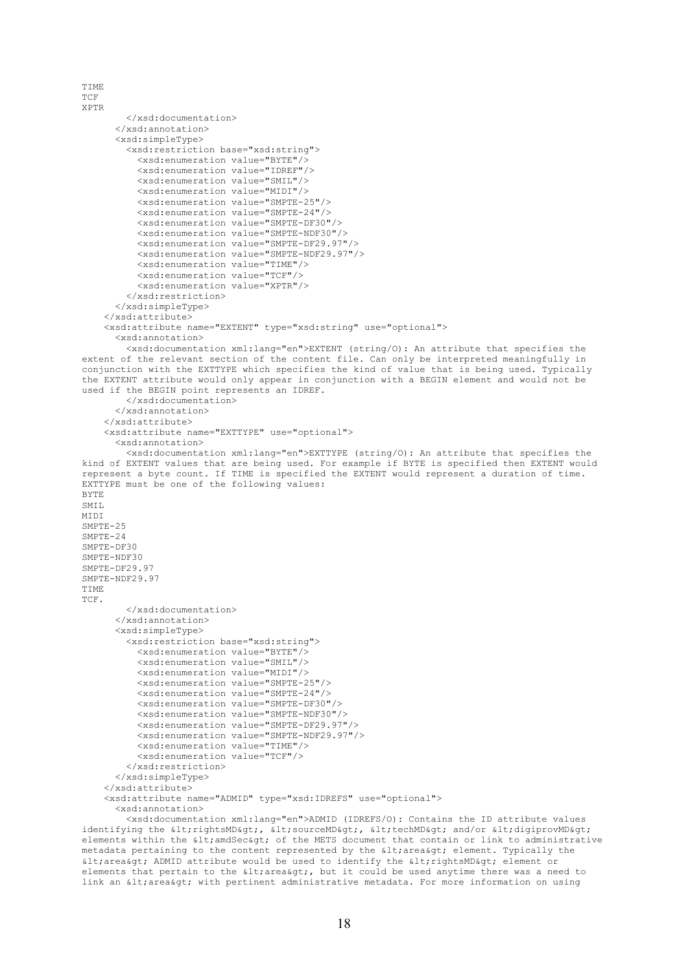```
TIME
TCF
XPTR
         </xsd:documentation>
       </xsd:annotation>
       <xsd:simpleType>
         <xsd:restriction base="xsd:string">
           <xsd:enumeration value="BYTE"/>
           <xsd:enumeration value="IDREF"/>
           <xsd:enumeration value="SMIL"/>
           <xsd:enumeration value="MIDI"/>
           <xsd:enumeration value="SMPTE-25"/>
           <xsd:enumeration value="SMPTE-24"/>
           <xsd:enumeration value="SMPTE-DF30"/>
            <xsd:enumeration value="SMPTE-NDF30"/>
           <xsd:enumeration value="SMPTE-DF29.97"/>
           <xsd:enumeration value="SMPTE-NDF29.97"/>
           <xsd:enumeration value="TIME"/>
           <xsd:enumeration value="TCF"/>
            <xsd:enumeration value="XPTR"/>
         </xsd:restriction>
       </xsd:simpleType>
     </xsd:attribute>
     <xsd:attribute name="EXTENT" type="xsd:string" use="optional">
       <xsd:annotation>
         <xsd:documentation xml:lang="en">EXTENT (string/O): An attribute that specifies the 
extent of the relevant section of the content file. Can only be interpreted meaningfully in 
conjunction with the EXTTYPE which specifies the kind of value that is being used. Typically 
the EXTENT attribute would only appear in conjunction with a BEGIN element and would not be 
used if the BEGIN point represents an IDREF.
         </xsd:documentation>
       </xsd:annotation>
     </xsd:attribute>
     <xsd:attribute name="EXTTYPE" use="optional">
       <xsd:annotation>
          <xsd:documentation xml:lang="en">EXTTYPE (string/O): An attribute that specifies the 
kind of EXTENT values that are being used. For example if BYTE is specified then EXTENT would 
represent a byte count. If TIME is specified the EXTENT would represent a duration of time. 
EXTTYPE must be one of the following values: 
BYTE
SMT<sub>L</sub>
MIDI
SMPTE-25
SMPTE-24
SMPTE-DF30
SMPTE-NDF30
SMPTE-DF29.97
SMPTE-NDF29.97
TIME
TCF.
         </xsd:documentation>
       </xsd:annotation>
       <xsd:simpleType>
         <xsd:restriction base="xsd:string">
           <xsd:enumeration value="BYTE"/>
           <xsd:enumeration value="SMIL"/>
           <xsd:enumeration value="MIDI"/>
           <xsd:enumeration value="SMPTE-25"/>
           <xsd:enumeration value="SMPTE-24"/>
           <xsd:enumeration value="SMPTE-DF30"/>
           <xsd:enumeration value="SMPTE-NDF30"/>
           <xsd:enumeration value="SMPTE-DF29.97"/>
           <xsd:enumeration value="SMPTE-NDF29.97"/>
           <xsd:enumeration value="TIME"/>
           <xsd:enumeration value="TCF"/>
         </xsd:restriction>
       </xsd:simpleType>
     </xsd:attribute>
     <xsd:attribute name="ADMID" type="xsd:IDREFS" use="optional">
       <xsd:annotation>
         <xsd:documentation xml:lang="en">ADMID (IDREFS/O): Contains the ID attribute values 
identifying the alt;rightsMD&qt;, alt;sourceMD&qt;, alt;techMD&qt; and/or <digiprovMD&qt;
```
elements within the < amdSec&gt; of the METS document that contain or link to administrative metadata pertaining to the content represented by the < area&gt; element. Typically the < area&qt; ADMID attribute would be used to identify the &lt; rightsMD&qt; element or elements that pertain to the  $\<1$ trarea $\<0$ ;, but it could be used anytime there was a need to link an < area&gt; with pertinent administrative metadata. For more information on using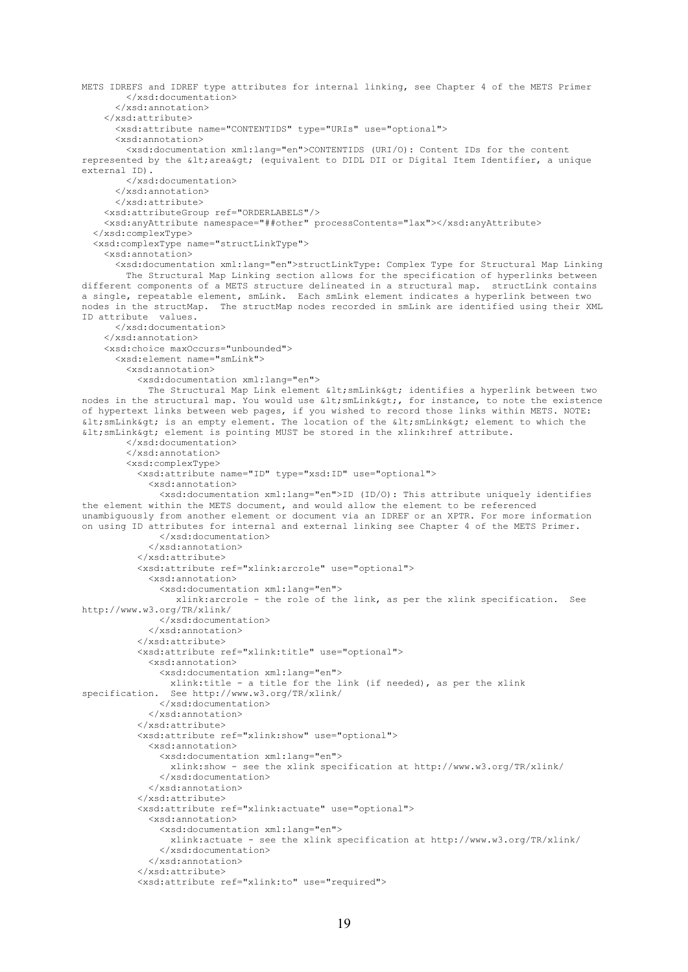```
METS IDREFS and IDREF type attributes for internal linking, see Chapter 4 of the METS Primer
         </xsd:documentation>
       </xsd:annotation>
     </xsd:attribute>
       <xsd:attribute name="CONTENTIDS" type="URIs" use="optional">
       <xsd:annotation>
         <xsd:documentation xml:lang="en">CONTENTIDS (URI/O): Content IDs for the content 
represented by the £lt; area&qt; (equivalent to DIDL DII or Digital Item Identifier, a unique
external ID).
         </xsd:documentation>
       </xsd:annotation>
       </xsd:attribute>
     <xsd:attributeGroup ref="ORDERLABELS"/> 
     <xsd:anyAttribute namespace="##other" processContents="lax"></xsd:anyAttribute>
   </xsd:complexType>
   <xsd:complexType name="structLinkType">
     <xsd:annotation>
       <xsd:documentation xml:lang="en">structLinkType: Complex Type for Structural Map Linking
         The Structural Map Linking section allows for the specification of hyperlinks between 
different components of a METS structure delineated in a structural map. structLink contains
a single, repeatable element, smLink. Each smLink element indicates a hyperlink between two 
nodes in the structMap. The structMap nodes recorded in smLink are identified using their XML 
ID attribute values.
       </xsd:documentation>
     </xsd:annotation>
     <xsd:choice maxOccurs="unbounded">
       <xsd:element name="smLink">
         <xsd:annotation>
           <xsd:documentation xml:lang="en"> 
            The Structural Map Link element < smLink&gt; identifies a hyperlink between two
nodes in the structural map. You would use < smLink&qt;, for instance, to note the existence
of hypertext links between web pages, if you wished to record those links within METS. NOTE: 
\deltalt; smLink\deltaqt; is an empty element. The location of the \deltalt; smLink\deltaqt; element to which the
< smLink&gt; element is pointing MUST be stored in the xlink:href attribute.
         </xsd:documentation>
         </xsd:annotation>
         <xsd:complexType>
           <xsd:attribute name="ID" type="xsd:ID" use="optional">
             <xsd:annotation>
                <xsd:documentation xml:lang="en">ID (ID/O): This attribute uniquely identifies 
the element within the METS document, and would allow the element to be referenced 
unambiguously from another element or document via an IDREF or an XPTR. For more information 
on using ID attributes for internal and external linking see Chapter 4 of the METS Primer.
               </xsd:documentation>
             </xsd:annotation>
           </xsd:attribute>
           <xsd:attribute ref="xlink:arcrole" use="optional">
             <xsd:annotation>
                <xsd:documentation xml:lang="en">
                  xlink:arcrole - the role of the link, as per the xlink specification. See 
http://www.w3.org/TR/xlink/
               </xsd:documentation>
             </xsd:annotation>
            </xsd:attribute>
            <xsd:attribute ref="xlink:title" use="optional">
             <xsd:annotation>
               <xsd:documentation xml:lang="en">
xlink:title - a title for the link (if needed), as per the xlink<br>specification. See http://www.w3.org/TR/xlink/
                See http://www.w3.org/TR/xlink/
                </xsd:documentation>
             </xsd:annotation>
            </xsd:attribute>
           <xsd:attribute ref="xlink:show" use="optional">
             <xsd:annotation>
               <xsd:documentation xml:lang="en">
                  xlink:show - see the xlink specification at http://www.w3.org/TR/xlink/
                </xsd:documentation>
             </xsd:annotation>
           </xsd:attribute>
            <xsd:attribute ref="xlink:actuate" use="optional">
             <xsd:annotation>
                <xsd:documentation xml:lang="en">
                 xlink:actuate - see the xlink specification at http://www.w3.org/TR/xlink/
               </xsd:documentation>
             </xsd:annotation>
            </xsd:attribute>
            <xsd:attribute ref="xlink:to" use="required">
```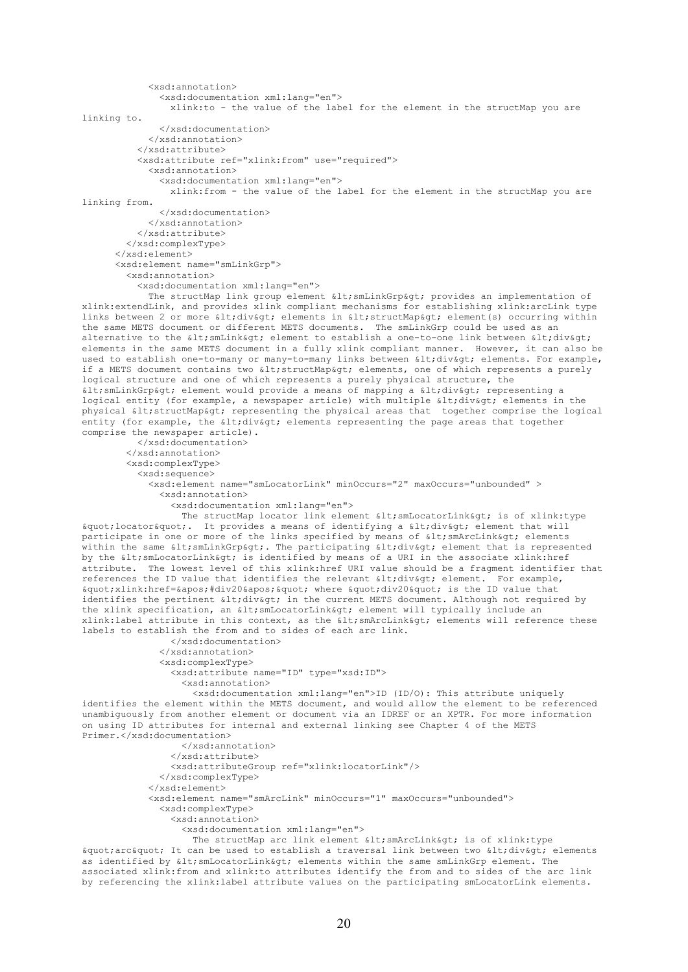```
 <xsd:annotation>
               <xsd:documentation xml:lang="en">
                 xlink:to - the value of the label for the element in the structMap you are 
linking to.
               </xsd:documentation>
             </xsd:annotation>
           </xsd:attribute>
           <xsd:attribute ref="xlink:from" use="required">
             <xsd:annotation>
               <xsd:documentation xml:lang="en">
                 xlink:from - the value of the label for the element in the structMap you are 
linking from.
               </xsd:documentation>
             </xsd:annotation>
           </xsd:attribute>
         </xsd:complexType>
      \langle x \rangle <xsd:element name="smLinkGrp">
         <xsd:annotation>
           <xsd:documentation xml:lang="en">
            The structMap link group element < smLinkGrp&gt; provides an implementation of
xlink:extendLink, and provides xlink compliant mechanisms for establishing xlink:arcLink type 
links between 2 or more <div&gt; elements in &lt;structMap&gt; element(s) occurring within
the same METS document or different METS documents. The smLinkGrp could be used as an 
alternative to the < smLink&gt; element to establish a one-to-one link between &lt; div&qt;
elements in the same METS document in a fully xlink compliant manner. However, it can also be 
used to establish one-to-many or many-to-many links between <div&gt; elements. For example,
if a METS document contains two < structMap&gt; elements, one of which represents a purely
logical structure and one of which represents a purely physical structure, the 
< smLinkGrp&gt; element would provide a means of mapping a &lt; div&gt; representing a
logical entity (for example, a newspaper article) with multiple \< l; div\< qt; elements in the
physical < structMap&gt; representing the physical areas that together comprise the logical
entity (for example, the alt, divagt; elements representing the page areas that together
comprise the newspaper article).
           </xsd:documentation>
         </xsd:annotation>
         <xsd:complexType>
           <xsd:sequence>
             <xsd:element name="smLocatorLink" minOccurs="2" maxOccurs="unbounded" >
               <xsd:annotation>
                 <xsd:documentation xml:lang="en">
                  The structMap locator link element \< 1; smLocatorLink\< q; is of xlink:type
" locator ". It provides a means of identifying a < div&qt; element that will
participate in one or more of the links specified by means of \< l; smArcLink\< q; elements
within the same < smLinkGrp&gt;. The participating &lt; div&gt; element that is represented
by the < smLocatorLink&gt; is identified by means of a URI in the associate xlink:href
attribute. The lowest level of this xlink:href URI value should be a fragment identifier that 
references the ID value that identifies the relevant \delta lt; div\delta qt; element. For example,
\text{arguotxlink}:href='#div20'" where "div20" is the ID value that
identifies the pertinent \text{alt}, \text{div} \text{act}, in the current METS document. Although not required by
the xlink specification, an < smLocatorLink&qt; element will typically include an
xlink: label attribute in this context, as the \< l; smArcLink&qt; elements will reference these
labels to establish the from and to sides of each arc link.
                 </xsd:documentation>
               </xsd:annotation>
               <xsd:complexType>
                 <xsd:attribute name="ID" type="xsd:ID">
                   <xsd:annotation>
                     <xsd:documentation xml:lang="en">ID (ID/O): This attribute uniquely 
identifies the element within the METS document, and would allow the element to be referenced 
unambiguously from another element or document via an IDREF or an XPTR. For more information 
on using ID attributes for internal and external linking see Chapter 4 of the METS 
Primer.</xsd:documentation>
                   </xsd:annotation>
                 </xsd:attribute> 
                 <xsd:attributeGroup ref="xlink:locatorLink"/>
               </xsd:complexType>
             </xsd:element>
             <xsd:element name="smArcLink" minOccurs="1" maxOccurs="unbounded">
               <xsd:complexType>
                 <xsd:annotation>
                   <xsd:documentation xml:lang="en">
                    The structMap arc link element < smArcLink&gt; is of xlink:type
" arc" It can be used to establish a traversal link between two < div&gt; elements
as identified by < smLocatorLink&qt; elements within the same smLinkGrp element. The
associated xlink:from and xlink:to attributes identify the from and to sides of the arc link
```
20

by referencing the xlink: label attribute values on the participating smLocatorLink elements.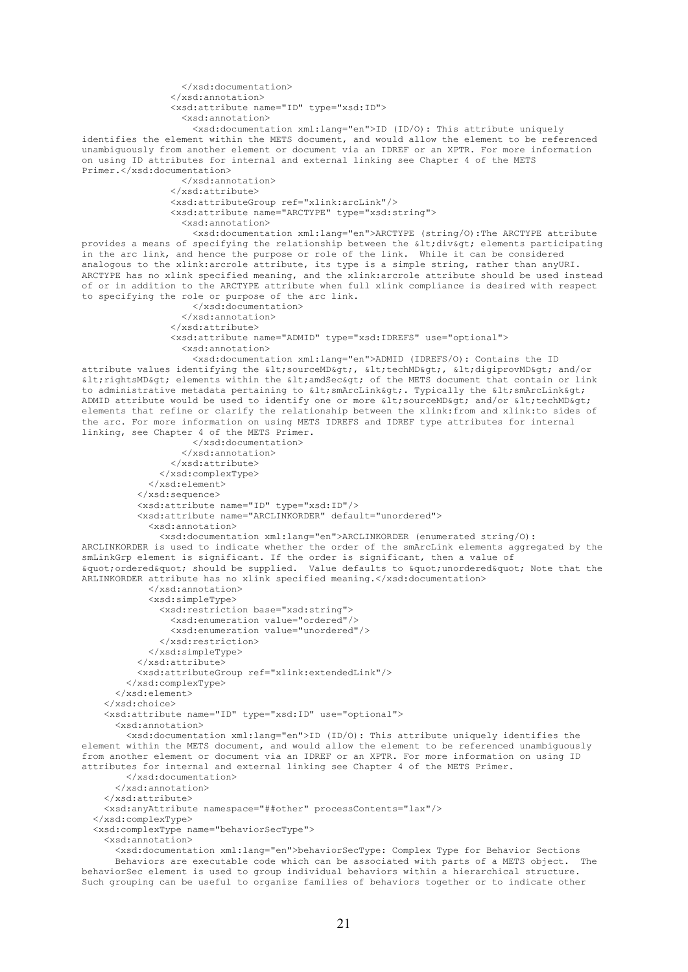```
 </xsd:documentation>
 </xsd:annotation>
 <xsd:attribute name="ID" type="xsd:ID"> 
   <xsd:annotation>
     <xsd:documentation xml:lang="en">ID (ID/O): This attribute uniquely
```
identifies the element within the METS document, and would allow the element to be referenced unambiguously from another element or document via an IDREF or an XPTR. For more information on using ID attributes for internal and external linking see Chapter 4 of the METS Primer.</xsd:documentation>

> </xsd:annotation> </xsd:attribute> <xsd:attributeGroup ref="xlink:arcLink"/> <xsd:attribute name="ARCTYPE" type="xsd:string"> <xsd:annotation>

 <xsd:documentation xml:lang="en">ARCTYPE (string/O):The ARCTYPE attribute provides a means of specifying the relationship between the < div&gt; elements participating in the arc link, and hence the purpose or role of the link. While it can be considered analogous to the xlink: arcrole attribute, its type is a simple string, rather than any URI. ARCTYPE has no xlink specified meaning, and the xlink:arcrole attribute should be used instead of or in addition to the ARCTYPE attribute when full xlink compliance is desired with respect to specifying the role or purpose of the arc link.

```
 </xsd:documentation>
   </xsd:annotation>
 </xsd:attribute>
 <xsd:attribute name="ADMID" type="xsd:IDREFS" use="optional">
   <xsd:annotation>
```
 <xsd:documentation xml:lang="en">ADMID (IDREFS/O): Contains the ID attribute values identifying the <sourceMD&gt;, &lt;techMD&gt;, &lt;digiprovMD&gt; and/or  $\delta$ lt;rightsMD $\delta$ gt; elements within the  $\delta$ lt;amdSec $\delta$ gt; of the METS document that contain or link to administrative metadata pertaining to <smArcLink&gt;. Typically the &lt;smArcLink&gt; ADMID attribute would be used to identify one or more  $\< t$  sourceMD $\<$  and/or  $\< t$  techMD $\> t$ elements that refine or clarify the relationship between the xlink:from and xlink:to sides of the arc. For more information on using METS IDREFS and IDREF type attributes for internal linking, see Chapter 4 of the METS Primer.

```
 </xsd:documentation>
         </xsd:annotation>
       </xsd:attribute> 
     </xsd:complexType>
   </xsd:element>
 </xsd:sequence>
 <xsd:attribute name="ID" type="xsd:ID"/>
 <xsd:attribute name="ARCLINKORDER" default="unordered">
   <xsd:annotation>
```
 <xsd:documentation xml:lang="en">ARCLINKORDER (enumerated string/O): ARCLINKORDER is used to indicate whether the order of the smArcLink elements aggregated by the smLinkGrp element is significant. If the order is significant, then a value of " ordered" should be supplied. Value defaults to " unordered" Note that the ARLINKORDER attribute has no xlink specified meaning.</xsd:documentation>

```
 </xsd:annotation>
         <xsd:simpleType>
           <xsd:restriction base="xsd:string">
             <xsd:enumeration value="ordered"/>
             <xsd:enumeration value="unordered"/>
           </xsd:restriction>
         </xsd:simpleType>
       </xsd:attribute>
       <xsd:attributeGroup ref="xlink:extendedLink"/>
     </xsd:complexType>
   </xsd:element> 
 </xsd:choice>
 <xsd:attribute name="ID" type="xsd:ID" use="optional">
```

```
 <xsd:annotation>
```
 <xsd:documentation xml:lang="en">ID (ID/O): This attribute uniquely identifies the element within the METS document, and would allow the element to be referenced unambiguously from another element or document via an IDREF or an XPTR. For more information on using ID attributes for internal and external linking see Chapter 4 of the METS Primer.

```
 </xsd:documentation>
 </xsd:annotation>
```

```
 </xsd:attribute>
```
<xsd:anyAttribute namespace="##other" processContents="lax"/>

```
 </xsd:complexType>
```
<xsd:complexType name="behaviorSecType">

<xsd:annotation>

 <xsd:documentation xml:lang="en">behaviorSecType: Complex Type for Behavior Sections Behaviors are executable code which can be associated with parts of a METS object. The behaviorSec element is used to group individual behaviors within a hierarchical structure. Such grouping can be useful to organize families of behaviors together or to indicate other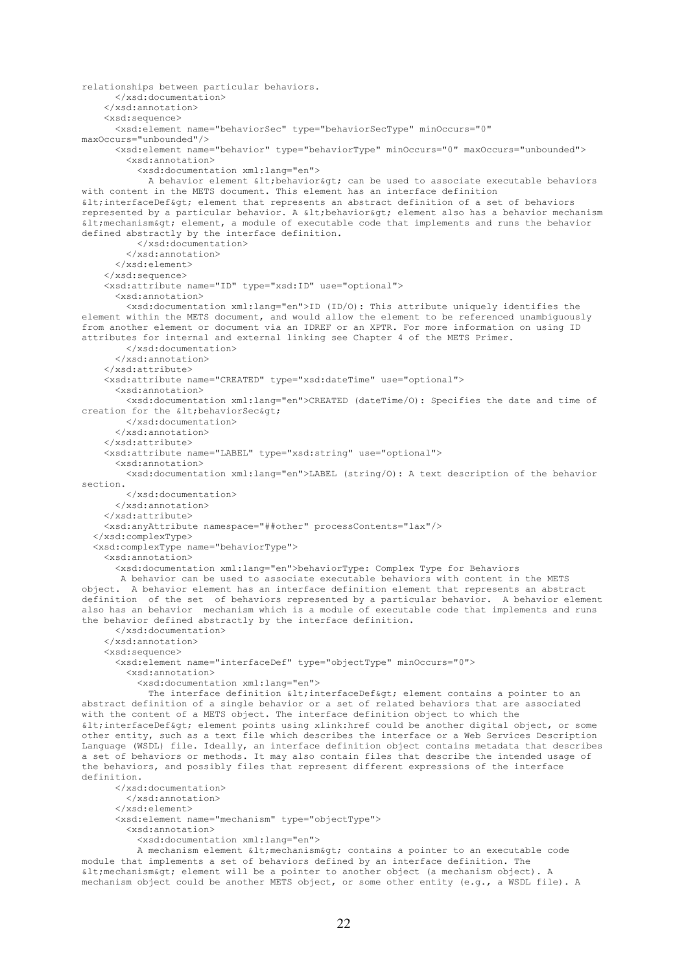```
relationships between particular behaviors.
       </xsd:documentation>
     </xsd:annotation>
     <xsd:sequence>
       <xsd:element name="behaviorSec" type="behaviorSecType" minOccurs="0" 
maxOccurs="unbounded"/>
       <xsd:element name="behavior" type="behaviorType" minOccurs="0" maxOccurs="unbounded">
         <xsd:annotation>
           <xsd:documentation xml:lang="en">
            A behavior element < behavior&qt; can be used to associate executable behaviors
with content in the METS document. This element has an interface definition 
\deltalt; interfaceDef> element that represents an abstract definition of a set of behaviors
represented by a particular behavior. A < behavior&gt; element also has a behavior mechanism
\text{all}; mechanism> element, a module of executable code that implements and runs the behavior
defined abstractly by the interface definition.
           </xsd:documentation>
         </xsd:annotation>
       </xsd:element>
     </xsd:sequence>
     <xsd:attribute name="ID" type="xsd:ID" use="optional">
       <xsd:annotation>
         <xsd:documentation xml:lang="en">ID (ID/O): This attribute uniquely identifies the 
element within the METS document, and would allow the element to be referenced unambiguously 
from another element or document via an IDREF or an XPTR. For more information on using ID 
attributes for internal and external linking see Chapter 4 of the METS Primer.
         </xsd:documentation>
       </xsd:annotation>
     </xsd:attribute>
     <xsd:attribute name="CREATED" type="xsd:dateTime" use="optional">
       <xsd:annotation>
         <xsd:documentation xml:lang="en">CREATED (dateTime/O): Specifies the date and time of 
creation for the \omegat; behaviorSec\omegaqt;
         </xsd:documentation>
       </xsd:annotation>
     </xsd:attribute>
     <xsd:attribute name="LABEL" type="xsd:string" use="optional">
       <xsd:annotation>
         <xsd:documentation xml:lang="en">LABEL (string/O): A text description of the behavior 
section.
         </xsd:documentation>
       </xsd:annotation>
     </xsd:attribute>
     <xsd:anyAttribute namespace="##other" processContents="lax"/>
   </xsd:complexType>
   <xsd:complexType name="behaviorType">
     <xsd:annotation>
       <xsd:documentation xml:lang="en">behaviorType: Complex Type for Behaviors
        A behavior can be used to associate executable behaviors with content in the METS 
object. A behavior element has an interface definition element that represents an abstract 
definition of the set of behaviors represented by a particular behavior. A behavior element 
also has an behavior mechanism which is a module of executable code that implements and runs 
the behavior defined abstractly by the interface definition.
       </xsd:documentation>
     </xsd:annotation>
     <xsd:sequence>
       <xsd:element name="interfaceDef" type="objectType" minOccurs="0">
         <xsd:annotation>
           <xsd:documentation xml:lang="en">
            The interface definition < interfaceDef&qt; element contains a pointer to an
abstract definition of a single behavior or a set of related behaviors that are associated 
with the content of a METS object. The interface definition object to which the 
\deltalt; interfaceDef> element points using xlink:href could be another digital object, or some
other entity, such as a text file which describes the interface or a Web Services Description 
Language (WSDL) file. Ideally, an interface definition object contains metadata that describes 
a set of behaviors or methods. It may also contain files that describe the intended usage of 
the behaviors, and possibly files that represent different expressions of the interface 
definition. 
       </xsd:documentation>
         </xsd:annotation>
       </xsd:element>
       <xsd:element name="mechanism" type="objectType">
         <xsd:annotation>
           <xsd:documentation xml:lang="en"> 
          A mechanism element < mechanism&gt; contains a pointer to an executable code
module that implements a set of behaviors defined by an interface definition. The
```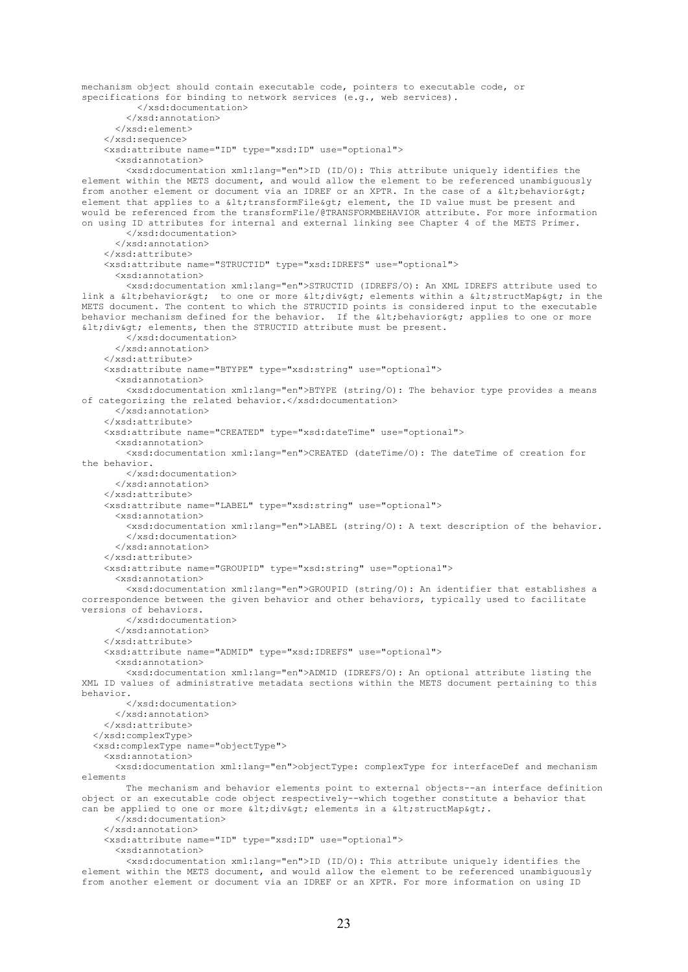mechanism object should contain executable code, pointers to executable code, or specifications for binding to network services (e.g., web services). </xsd:documentation> </xsd:annotation> </xsd:element> </xsd:sequence> <xsd:attribute name="ID" type="xsd:ID" use="optional"> <xsd:annotation> <xsd:documentation xml:lang="en">ID (ID/O): This attribute uniquely identifies the element within the METS document, and would allow the element to be referenced unambiguously from another element or document via an IDREF or an XPTR. In the case of a  $\<1$ t, behavior $\t,$ element that applies to a  $\< l$  transformFile $\< g$ t; element, the ID value must be present and would be referenced from the transformFile/@TRANSFORMBEHAVIOR attribute. For more information on using ID attributes for internal and external linking see Chapter 4 of the METS Primer. </xsd:documentation> </xsd:annotation> </xsd:attribute> <xsd:attribute name="STRUCTID" type="xsd:IDREFS" use="optional"> <xsd:annotation> <xsd:documentation xml:lang="en">STRUCTID (IDREFS/O): An XML IDREFS attribute used to link a < behavior&qt; to one or more &lt; div&qt; elements within a &lt; structMap&qt; in the METS document. The content to which the STRUCTID points is considered input to the executable behavior mechanism defined for the behavior. If the alt; behavioragt; applies to one or more  $dt$ ; div $>$ ; elements, then the STRUCTID attribute must be present. </xsd:documentation> </xsd:annotation> </xsd:attribute> <xsd:attribute name="BTYPE" type="xsd:string" use="optional"> <xsd:annotation> <xsd:documentation xml:lang="en">BTYPE (string/O): The behavior type provides a means of categorizing the related behavior.</xsd:documentation> </xsd:annotation> </xsd:attribute> <xsd:attribute name="CREATED" type="xsd:dateTime" use="optional"> <xsd:annotation> <xsd:documentation xml:lang="en">CREATED (dateTime/O): The dateTime of creation for the behavior. </xsd:documentation> </xsd:annotation> </xsd:attribute> <xsd:attribute name="LABEL" type="xsd:string" use="optional"> <xsd:annotation> <xsd:documentation xml:lang="en">LABEL (string/O): A text description of the behavior. </xsd:documentation> </xsd:annotation> </xsd:attribute> <xsd:attribute name="GROUPID" type="xsd:string" use="optional"> <xsd:annotation> <xsd:documentation xml:lang="en">GROUPID (string/O): An identifier that establishes a correspondence between the given behavior and other behaviors, typically used to facilitate versions of behaviors. </xsd:documentation> </xsd:annotation> </xsd:attribute> <xsd:attribute name="ADMID" type="xsd:IDREFS" use="optional"> <xsd:annotation> <xsd:documentation xml:lang="en">ADMID (IDREFS/O): An optional attribute listing the XML ID values of administrative metadata sections within the METS document pertaining to this behavior. </xsd:documentation> </xsd:annotation> </xsd:attribute> </xsd:complexType> <xsd:complexType name="objectType"> <xsd:annotation> <xsd:documentation xml:lang="en">objectType: complexType for interfaceDef and mechanism elements The mechanism and behavior elements point to external objects--an interface definition object or an executable code object respectively--which together constitute a behavior that can be applied to one or more  $\< l$ ; div $\< g$ t; elements in a  $\< l$ ; structMap $\> g$ t;. </xsd:documentation> </xsd:annotation> <xsd:attribute name="ID" type="xsd:ID" use="optional"> <xsd:annotation> <xsd:documentation xml:lang="en">ID (ID/O): This attribute uniquely identifies the

element within the METS document, and would allow the element to be referenced unambiguously from another element or document via an IDREF or an XPTR. For more information on using ID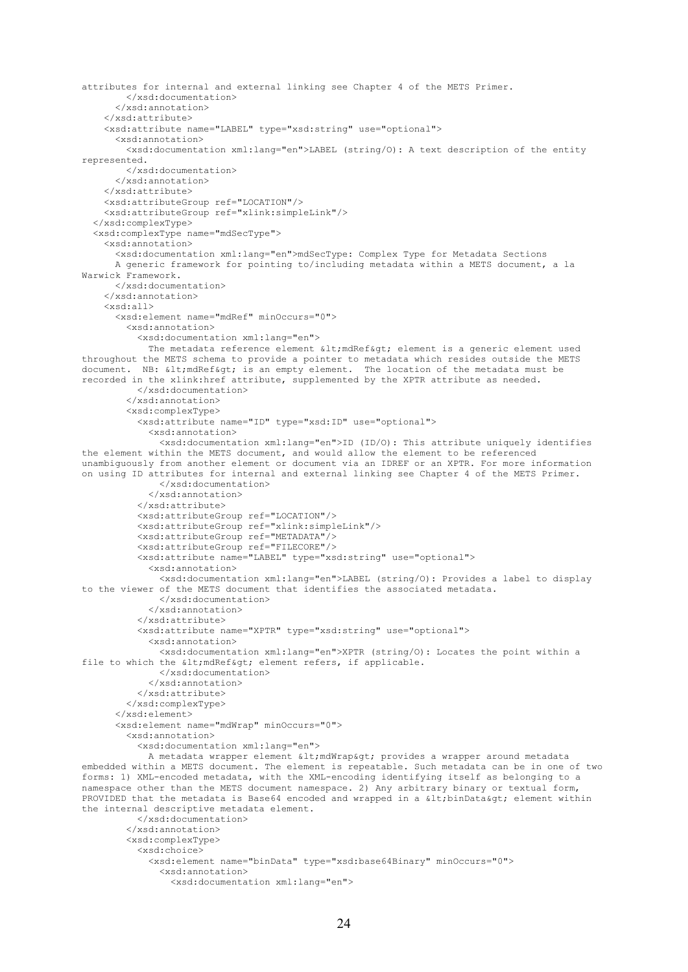```
attributes for internal and external linking see Chapter 4 of the METS Primer.
         </xsd:documentation>
       </xsd:annotation>
     </xsd:attribute>
     <xsd:attribute name="LABEL" type="xsd:string" use="optional">
       <xsd:annotation>
         <xsd:documentation xml:lang="en">LABEL (string/O): A text description of the entity 
represented.
         </xsd:documentation>
       </xsd:annotation>
     </xsd:attribute>
     <xsd:attributeGroup ref="LOCATION"/>
     <xsd:attributeGroup ref="xlink:simpleLink"/>
   </xsd:complexType>
   <xsd:complexType name="mdSecType">
     <xsd:annotation>
       <xsd:documentation xml:lang="en">mdSecType: Complex Type for Metadata Sections
       A generic framework for pointing to/including metadata within a METS document, a la 
Warwick Framework.
       </xsd:documentation>
     </xsd:annotation>
     <xsd:all>
       <xsd:element name="mdRef" minOccurs="0">
         <xsd:annotation>
           <xsd:documentation xml:lang="en">
            The metadata reference element <mdRef&gt; element is a generic element used
throughout the METS schema to provide a pointer to metadata which resides outside the METS 
document. NB: < mdRef&gt; is an empty element. The location of the metadata must be
recorded in the xlink:href attribute, supplemented by the XPTR attribute as needed.
           </xsd:documentation>
         </xsd:annotation>
         <xsd:complexType>
           <xsd:attribute name="ID" type="xsd:ID" use="optional">
             <xsd:annotation>
               <xsd:documentation xml:lang="en">ID (ID/O): This attribute uniquely identifies 
the element within the METS document, and would allow the element to be referenced 
unambiguously from another element or document via an IDREF or an XPTR. For more information 
on using ID attributes for internal and external linking see Chapter 4 of the METS Primer.
               </xsd:documentation>
             </xsd:annotation>
           </xsd:attribute>
           <xsd:attributeGroup ref="LOCATION"/>
           <xsd:attributeGroup ref="xlink:simpleLink"/>
           <xsd:attributeGroup ref="METADATA"/>
           <xsd:attributeGroup ref="FILECORE"/>
           <xsd:attribute name="LABEL" type="xsd:string" use="optional">
             <xsd:annotation>
               <xsd:documentation xml:lang="en">LABEL (string/O): Provides a label to display 
to the viewer of the METS document that identifies the associated metadata.
               </xsd:documentation>
             </xsd:annotation>
           </xsd:attribute>
           <xsd:attribute name="XPTR" type="xsd:string" use="optional">
             <xsd:annotation>
               <xsd:documentation xml:lang="en">XPTR (string/O): Locates the point within a 
file to which the \deltalt; mdRef\deltaqt; element refers, if applicable.
               </xsd:documentation>
             </xsd:annotation>
           </xsd:attribute>
         </xsd:complexType>
       </xsd:element>
       <xsd:element name="mdWrap" minOccurs="0">
         <xsd:annotation>
           <xsd:documentation xml:lang="en"> 
            A metadata wrapper element < mdWrap&gt; provides a wrapper around metadata
embedded within a METS document. The element is repeatable. Such metadata can be in one of two 
forms: 1) XML-encoded metadata, with the XML-encoding identifying itself as belonging to a 
namespace other than the METS document namespace. 2) Any arbitrary binary or textual form, 
PROVIDED that the metadata is Base64 encoded and wrapped in a \< lthinData&qt; element within
the internal descriptive metadata element.
           </xsd:documentation>
         </xsd:annotation>
         <xsd:complexType>
           <xsd:choice>
             <xsd:element name="binData" type="xsd:base64Binary" minOccurs="0">
               <xsd:annotation>
                 <xsd:documentation xml:lang="en">
```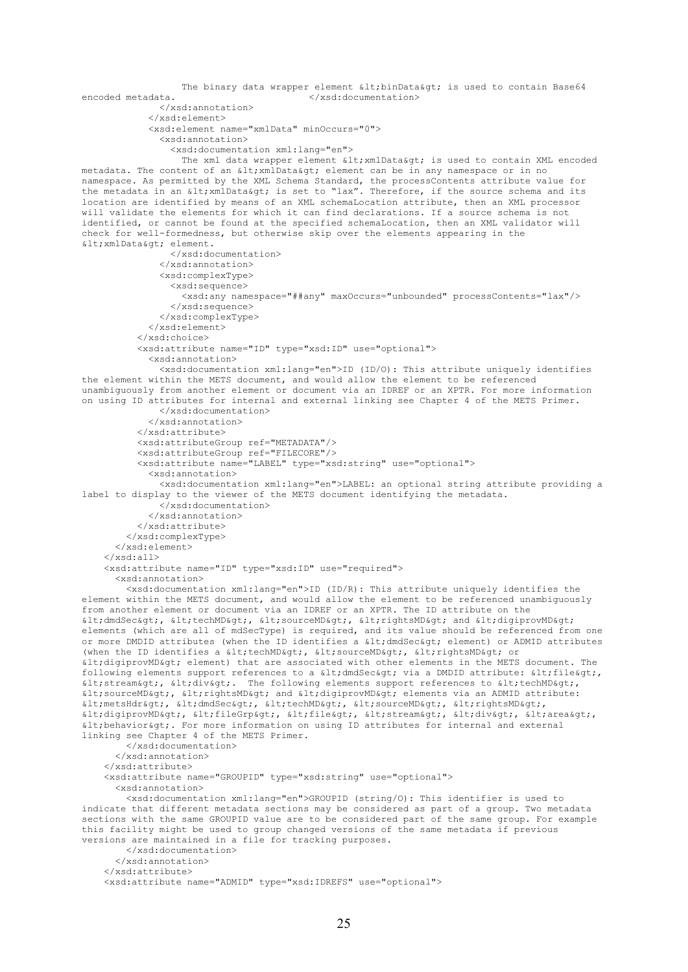```
The binary data wrapper element \frac{1}{2} is used to contain Base64<br>
</xsd:documentation>
                                           </xsd:documentation>
               </xsd:annotation>
             </xsd:element>
             <xsd:element name="xmlData" minOccurs="0">
                <xsd:annotation>
                  <xsd:documentation xml:lang="en">
                  The xml data wrapper element \<1: xmlData\<ct; is used to contain XML encoded
metadata. The content of an < xmlData&gt; element can be in any namespace or in no
namespace. As permitted by the XML Schema Standard, the processContents attribute value for 
the metadata in an \< 1 is set to "lax". Therefore, if the source schema and its
location are identified by means of an XML schemaLocation attribute, then an XML processor 
will validate the elements for which it can find declarations. If a source schema is not 
identified, or cannot be found at the specified schemaLocation, then an XML validator will 
check for well-formedness, but otherwise skip over the elements appearing in the 
< xmlData&qt; element.
                  </xsd:documentation>
               </xsd:annotation>
               <xsd:complexType>
                  <xsd:sequence>
                    <xsd:any namespace="##any" maxOccurs="unbounded" processContents="lax"/>
                  </xsd:sequence>
                </xsd:complexType>
             </xsd:element>
            </xsd:choice>
            <xsd:attribute name="ID" type="xsd:ID" use="optional">
             <xsd:annotation>
                <xsd:documentation xml:lang="en">ID (ID/O): This attribute uniquely identifies 
the element within the METS document, and would allow the element to be referenced 
unambiguously from another element or document via an IDREF or an XPTR. For more information 
on using ID attributes for internal and external linking see Chapter 4 of the METS Primer.
               </xsd:documentation>
              </xsd:annotation>
           </xsd:attribute>
           <xsd:attributeGroup ref="METADATA"/>
            <xsd:attributeGroup ref="FILECORE"/>
            <xsd:attribute name="LABEL" type="xsd:string" use="optional">
             <xsd:annotation>
               <xsd:documentation xml:lang="en">LABEL: an optional string attribute providing a 
label to display to the viewer of the METS document identifying the metadata.
                </xsd:documentation>
              </xsd:annotation>
           </xsd:attribute>
         </xsd:complexType>
       </xsd:element>
    \langle xsd:all\rangle <xsd:attribute name="ID" type="xsd:ID" use="required">
       <xsd:annotation>
         <xsd:documentation xml:lang="en">ID (ID/R): This attribute uniquely identifies the 
element within the METS document, and would allow the element to be referenced unambiguously 
from another element or document via an IDREF or an XPTR. The ID attribute on the 
\texttt{alt};dmdSec>, \texttt{alt};techMD>, \texttt{alt};sourceMD>, \texttt{alt};rightsMD> and \texttt{alt};digiprovMD>
elements (which are all of mdSecType) is required, and its value should be referenced from one
or more DMDID attributes (when the ID identifies a <dmdSec&gt; element) or ADMID attributes
(when the ID identifies a \<t); \<t, \<t, \<t, \<t, \<t, \<t, \<t, \<t, \<t, \<t, \<t, \<t, \<t, \<t, \<t, \<t, \<t, \<t, \<t, \<t, \<\deltalt; digiprovMD> element) that are associated with other elements in the METS document. The
following elements support references to a \< l; dmdSec> via a DMDID attribute: \< l; file\> l;
\text{all}; stream>, \text{all}; div>. The following elements support references to \text{all}; techMD>,
\texttt{Alt}; sourceMD>, \texttt{Alt}; digiprovMD> elements via an ADMID attribute:
\texttt{alt}; metsHdr>, < dmdSec&gt;, &lt; techMD&gt;, &lt; sourceMD&gt;, &lt; rightsMD&gt;,
<digiprovMD&gt;, &lt;fileGrp&gt;, &lt;file&gt;, &lt;stream&gt;, &lt;div&gt;, &lt;area&gt;,
\<1t; behavior<qt;. For more information on using ID attributes for internal and external
linking see Chapter 4 of the METS Primer.
         </xsd:documentation>
       </xsd:annotation>
     </xsd:attribute>
     <xsd:attribute name="GROUPID" type="xsd:string" use="optional">
       <xsd:annotation>
         <xsd:documentation xml:lang="en">GROUPID (string/O): This identifier is used to 
indicate that different metadata sections may be considered as part of a group. Two metadata 
sections with the same GROUPID value are to be considered part of the same group. For example 
this facility might be used to group changed versions of the same metadata if previous 
versions are maintained in a file for tracking purposes.
         </xsd:documentation>
       </xsd:annotation>
     </xsd:attribute>
     <xsd:attribute name="ADMID" type="xsd:IDREFS" use="optional">
```
25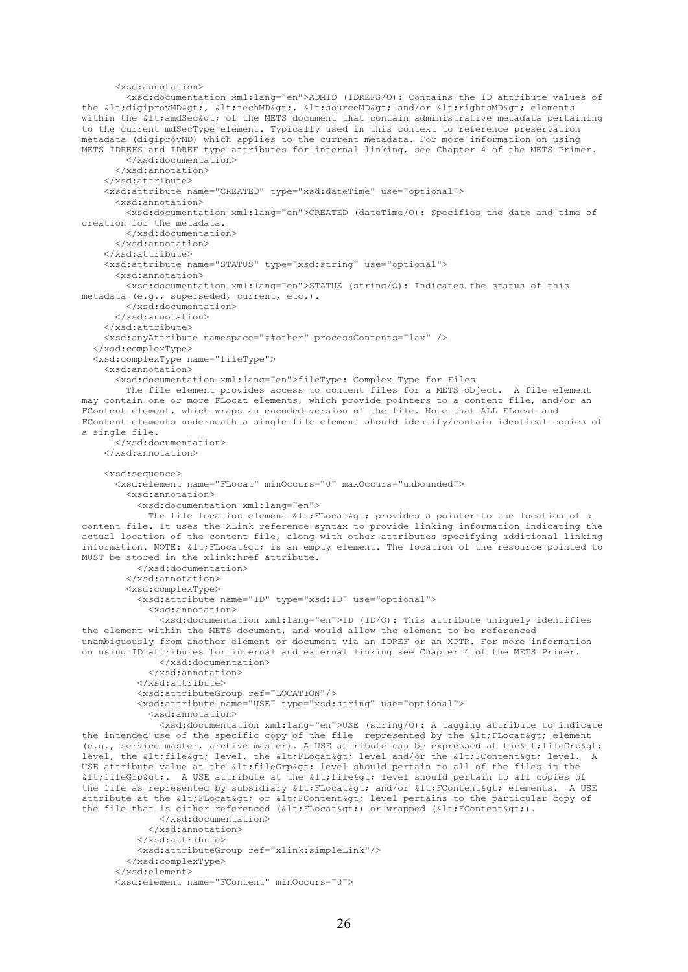```
 <xsd:annotation>
         <xsd:documentation xml:lang="en">ADMID (IDREFS/O): Contains the ID attribute values of 
the <digiprovMD&gt;, &lt;techMD&gt;, &lt;sourceMD&gt; and/or &lt;rightsMD&gt; elements
within the \< lt; amdSec\< gt; of the METS document that contain administrative metadata pertaining
to the current mdSecType element. Typically used in this context to reference preservation 
metadata (digiprovMD) which applies to the current metadata. For more information on using 
METS IDREFS and IDREF type attributes for internal linking, see Chapter 4 of the METS Primer.
         </xsd:documentation>
       </xsd:annotation>
     </xsd:attribute>
     <xsd:attribute name="CREATED" type="xsd:dateTime" use="optional">
       <xsd:annotation>
         <xsd:documentation xml:lang="en">CREATED (dateTime/O): Specifies the date and time of 
creation for the metadata.
         </xsd:documentation>
       </xsd:annotation>
     </xsd:attribute>
     <xsd:attribute name="STATUS" type="xsd:string" use="optional">
       <xsd:annotation>
         <xsd:documentation xml:lang="en">STATUS (string/O): Indicates the status of this 
metadata (e.g., superseded, current, etc.).
         </xsd:documentation>
       </xsd:annotation>
     </xsd:attribute>
     <xsd:anyAttribute namespace="##other" processContents="lax" /> 
   </xsd:complexType>
   <xsd:complexType name="fileType">
     <xsd:annotation>
       <xsd:documentation xml:lang="en">fileType: Complex Type for Files
         The file element provides access to content files for a METS object. A file element 
may contain one or more FLocat elements, which provide pointers to a content file, and/or an 
FContent element, which wraps an encoded version of the file. Note that ALL FLocat and 
FContent elements underneath a single file element should identify/contain identical copies of 
a single file.
       </xsd:documentation>
     </xsd:annotation>
     <xsd:sequence>
       <xsd:element name="FLocat" minOccurs="0" maxOccurs="unbounded">
         <xsd:annotation>
           <xsd:documentation xml:lang="en"> 
            The file location element \< l; FLocat> provides a pointer to the location of a
content file. It uses the XLink reference syntax to provide linking information indicating the 
actual location of the content file, along with other attributes specifying additional linking 
information. NOTE: <FLocat&qt; is an empty element. The location of the resource pointed to
MUST be stored in the xlink:href attribute.
           </xsd:documentation>
         </xsd:annotation>
         <xsd:complexType>
           <xsd:attribute name="ID" type="xsd:ID" use="optional">
             <xsd:annotation>
               <xsd:documentation xml:lang="en">ID (ID/O): This attribute uniquely identifies 
the element within the METS document, and would allow the element to be referenced 
unambiguously from another element or document via an IDREF or an XPTR. For more information 
on using ID attributes for internal and external linking see Chapter 4 of the METS Primer.
               </xsd:documentation>
             </xsd:annotation>
           </xsd:attribute>
           <xsd:attributeGroup ref="LOCATION"/>
           <xsd:attribute name="USE" type="xsd:string" use="optional">
             <xsd:annotation>
               <xsd:documentation xml:lang="en">USE (string/O): A tagging attribute to indicate 
the intended use of the specific copy of the file represented by the < FLocat&gt; element
(e.g., service master, archive master). A USE attribute can be expressed at the lt; fileGrp&qt;
level, the <file&gt; level, the &lt;FLocat&gt; level and/or the &lt;FContent&gt; level. A
USE attribute value at the \<It; fileGrp> level should pertain to all of the files in the
\deltalt; fileGrp>. A USE attribute at the \deltalt; file> level should pertain to all copies of
the file as represented by subsidiary < FLocat&qt; and/or &lt; FContent&qt; elements. A USE
attribute at the < FLocat&gt; or &lt; FContent&gt; level pertains to the particular copy of
the file that is either referenced (< FLocat&gt;) or wrapped (&lt; FContent&gt;).
               </xsd:documentation>
             </xsd:annotation>
           </xsd:attribute>
           <xsd:attributeGroup ref="xlink:simpleLink"/>
         </xsd:complexType>
       </xsd:element>
       <xsd:element name="FContent" minOccurs="0">
```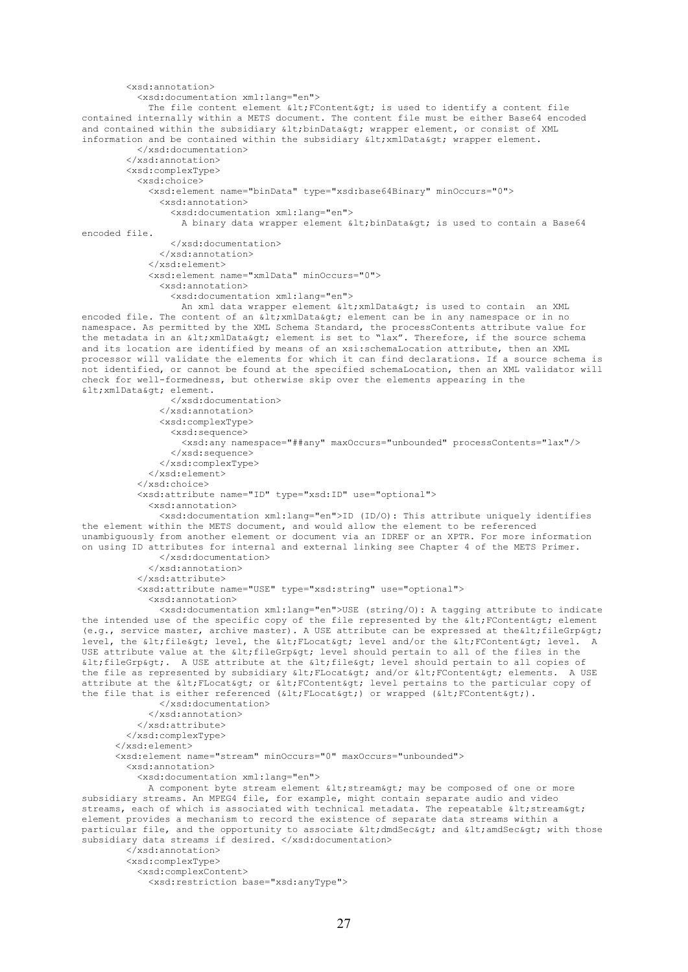```
 <xsd:annotation>
           <xsd:documentation xml:lang="en">
            The file content element \<1t; FContent<gt; is used to identify a content file
contained internally within a METS document. The content file must be either Base64 encoded 
and contained within the subsidiary < binData&gt; wrapper element, or consist of XML
information and be contained within the subsidiary \<1; xmlData\<q; wrapper element.
           </xsd:documentation>
         </xsd:annotation>
         <xsd:complexType>
           <xsd:choice>
             <xsd:element name="binData" type="xsd:base64Binary" minOccurs="0">
               <xsd:annotation>
                 <xsd:documentation xml:lang="en">
                  A binary data wrapper element \< 1t, binData\< t is used to contain a Base64
encoded file.
                 </xsd:documentation>
               </xsd:annotation>
            \langle/yed:element>
             <xsd:element name="xmlData" minOccurs="0">
               <xsd:annotation>
                 <xsd:documentation xml:lang="en">
                  An xml data wrapper element < xmlData&gt; is used to contain an XML
encoded file. The content of an < xmlData&gt; element can be in any namespace or in no
namespace. As permitted by the XML Schema Standard, the processContents attribute value for 
the metadata in an < xmlData&gt; element is set to "lax". Therefore, if the source schema
and its location are identified by means of an xsi:schemaLocation attribute, then an XML 
processor will validate the elements for which it can find declarations. If a source schema is 
not identified, or cannot be found at the specified schemaLocation, then an XML validator will 
check for well-formedness, but otherwise skip over the elements appearing in the 
< xmlData&gt; element.
                 </xsd:documentation>
               </xsd:annotation>
               <xsd:complexType>
                 <xsd:sequence>
                   <xsd:any namespace="##any" maxOccurs="unbounded" processContents="lax"/>
                 </xsd:sequence>
               </xsd:complexType>
             </xsd:element>
           </xsd:choice>
           <xsd:attribute name="ID" type="xsd:ID" use="optional">
             <xsd:annotation>
               <xsd:documentation xml:lang="en">ID (ID/O): This attribute uniquely identifies 
the element within the METS document, and would allow the element to be referenced 
unambiguously from another element or document via an IDREF or an XPTR. For more information 
on using ID attributes for internal and external linking see Chapter 4 of the METS Primer.
               </xsd:documentation>
             </xsd:annotation>
           </xsd:attribute>
           <xsd:attribute name="USE" type="xsd:string" use="optional">
             <xsd:annotation>
               <xsd:documentation xml:lang="en">USE (string/O): A tagging attribute to indicate 
the intended use of the specific copy of the file represented by the \text{alt}, \text{FContent}\text{Set} element
(e.g., service master, archive master). A USE attribute can be expressed at the alt; file Grp and it is level.
      the < file&qt; level, the &lt; FLocat&qt; level and/or the &lt; FContent&qt; level. A
USE attribute value at the alt; fileGrpagt; level should pertain to all of the files in the
\deltalt; fileGrp&qt;. A USE attribute at the \deltalt; file&qt; level should pertain to all copies of
the file as represented by subsidiary < FLocat&gt; and/or &lt; FContent&gt; elements. A USE
attribute at the < FLocat&gt; or &lt; FContent&gt; level pertains to the particular copy of
the file that is either referenced (<FLocat&gt;) or wrapped (&lt;FContent&gt;).
               </xsd:documentation>
             </xsd:annotation>
           </xsd:attribute>
         </xsd:complexType>
       </xsd:element> 
       <xsd:element name="stream" minOccurs="0" maxOccurs="unbounded">
         <xsd:annotation>
           <xsd:documentation xml:lang="en"> 
            A component byte stream element < stream&qt; may be composed of one or more
subsidiary streams. An MPEG4 file, for example, might contain separate audio and video 
streams, each of which is associated with technical metadata. The repeatable \<1tstream\<0t;
element provides a mechanism to record the existence of separate data streams within a 
particular file, and the opportunity to associate \< t; dmdSec\< qt; and \< t; with those
subsidiary data streams if desired. </xsd:documentation>
         </xsd:annotation>
         <xsd:complexType>
           <xsd:complexContent>
             <xsd:restriction base="xsd:anyType">
```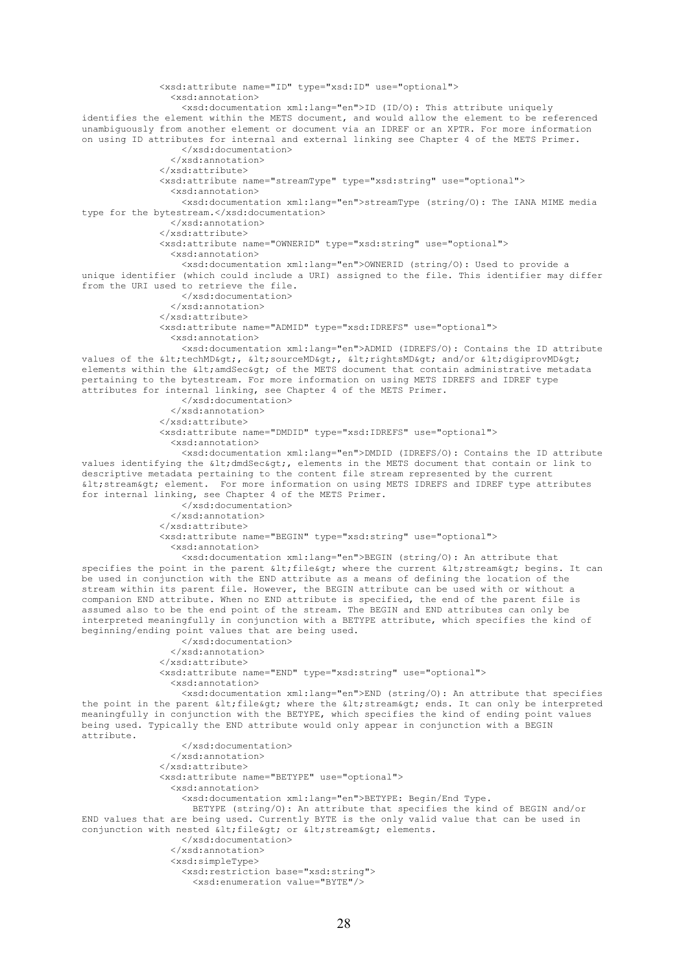```
 <xsd:attribute name="ID" type="xsd:ID" use="optional">
                  <xsd:annotation>
                   <xsd:documentation xml:lang="en">ID (ID/O): This attribute uniquely 
identifies the element within the METS document, and would allow the element to be referenced 
unambiguously from another element or document via an IDREF or an XPTR. For more information 
on using ID attributes for internal and external linking see Chapter 4 of the METS Primer.
                   </xsd:documentation>
                 </xsd:annotation>
               </xsd:attribute>
               <xsd:attribute name="streamType" type="xsd:string" use="optional">
                 <xsd:annotation>
                   <xsd:documentation xml:lang="en">streamType (string/O): The IANA MIME media 
type for the bytestream.</xsd:documentation>
                  </xsd:annotation>
                </xsd:attribute>
               <xsd:attribute name="OWNERID" type="xsd:string" use="optional">
                 <xsd:annotation>
                   <xsd:documentation xml:lang="en">OWNERID (string/O): Used to provide a 
unique identifier (which could include a URI) assigned to the file. This identifier may differ 
from the URI used to retrieve the file.
                   </xsd:documentation>
                 </xsd:annotation>
               </xsd:attribute>
               <xsd:attribute name="ADMID" type="xsd:IDREFS" use="optional">
                 <xsd:annotation>
                   <xsd:documentation xml:lang="en">ADMID (IDREFS/O): Contains the ID attribute 
values of the < techMD&gt;, &lt; sourceMD&gt;, &lt; rightsMD&gt; and/or &lt; digiprovMD&gt;
elements within the < and Sec&qt; of the METS document that contain administrative metadata
pertaining to the bytestream. For more information on using METS IDREFS and IDREF type 
attributes for internal linking, see Chapter 4 of the METS Primer.
                   </xsd:documentation>
                 </xsd:annotation>
               </xsd:attribute>
               <xsd:attribute name="DMDID" type="xsd:IDREFS" use="optional">
                 <xsd:annotation>
                   <xsd:documentation xml:lang="en">DMDID (IDREFS/O): Contains the ID attribute 
values identifying the \< l; dmdSec\> g, elements in the METS document that contain or link to
descriptive metadata pertaining to the content file stream represented by the current 
\<1; stream&qt; element. For more information on using METS IDREFS and IDREF type attributes
for internal linking, see Chapter 4 of the METS Primer.
                   </xsd:documentation>
                  </xsd:annotation>
               </xsd:attribute>
               <xsd:attribute name="BEGIN" type="xsd:string" use="optional">
                 <xsd:annotation>
                   <xsd:documentation xml:lang="en">BEGIN (string/O): An attribute that 
specifies the point in the parent <file&gt; where the current &lt;stream&gt; begins. It can
be used in conjunction with the END attribute as a means of defining the location of the 
stream within its parent file. However, the BEGIN attribute can be used with or without a 
companion END attribute. When no END attribute is specified, the end of the parent file is 
assumed also to be the end point of the stream. The BEGIN and END attributes can only be 
interpreted meaningfully in conjunction with a BETYPE attribute, which specifies the kind of 
beginning/ending point values that are being used. 
                   </xsd:documentation>
                 </xsd:annotation>
               </xsd:attribute>
               <xsd:attribute name="END" type="xsd:string" use="optional">
                 <xsd:annotation>
                   <xsd:documentation xml:lang="en">END (string/O): An attribute that specifies 
the point in the parent < file &gt; where the &lt; stream&gt; ends. It can only be interpreted
meaningfully in conjunction with the BETYPE, which specifies the kind of ending point values 
being used. Typically the END attribute would only appear in conjunction with a BEGIN 
attribute.
                   </xsd:documentation>
                 </xsd:annotation>
               </xsd:attribute>
               <xsd:attribute name="BETYPE" use="optional">
                 <xsd:annotation>
                   <xsd:documentation xml:lang="en">BETYPE: Begin/End Type.
                     BETYPE (string/O): An attribute that specifies the kind of BEGIN and/or 
END values that are being used. Currently BYTE is the only valid value that can be used in 
conjunction with nested < file&qt; or &lt; stream&qt; elements.
                   </xsd:documentation>
                 </xsd:annotation>
                 <xsd:simpleType>
                   <xsd:restriction base="xsd:string">
                     <xsd:enumeration value="BYTE"/>
```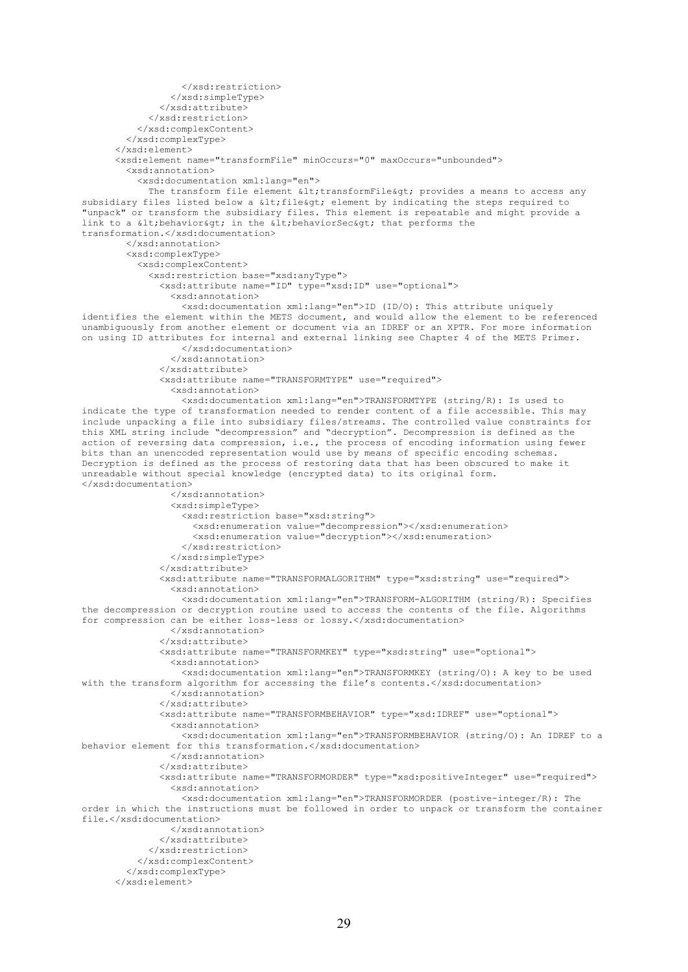```
 </xsd:restriction>
                 </xsd:simpleType>
               </xsd:attribute> 
             </xsd:restriction>
           </xsd:complexContent>
         </xsd:complexType> 
       </xsd:element>
       <xsd:element name="transformFile" minOccurs="0" maxOccurs="unbounded">
         <xsd:annotation>
           <xsd:documentation xml:lang="en">
            The transform file element \< t; transformFile< q; provides a means to access any
subsidiary files listed below a <file&gt; element by indicating the steps required to
"unpack" or transform the subsidiary files. This element is repeatable and might provide a 
link to a < behavior&qt; in the &lt; behaviorSec&qt; that performs the
transformation.</xsd:documentation>
         </xsd:annotation>
         <xsd:complexType>
           <xsd:complexContent>
             <xsd:restriction base="xsd:anyType">
               <xsd:attribute name="ID" type="xsd:ID" use="optional">
                 <xsd:annotation>
                   <xsd:documentation xml:lang="en">ID (ID/O): This attribute uniquely 
identifies the element within the METS document, and would allow the element to be referenced 
unambiguously from another element or document via an IDREF or an XPTR. For more information 
on using ID attributes for internal and external linking see Chapter 4 of the METS Primer.
                   </xsd:documentation>
                 </xsd:annotation>
               </xsd:attribute>
               <xsd:attribute name="TRANSFORMTYPE" use="required">
                 <xsd:annotation>
                   <xsd:documentation xml:lang="en">TRANSFORMTYPE (string/R): Is used to 
indicate the type of transformation needed to render content of a file accessible. This may 
include unpacking a file into subsidiary files/streams. The controlled value constraints for 
this XML string include "decompression" and "decryption". Decompression is defined as the 
action of reversing data compression, i.e., the process of encoding information using fewer 
bits than an unencoded representation would use by means of specific encoding schemas. 
Decryption is defined as the process of restoring data that has been obscured to make it 
unreadable without special knowledge (encrypted data) to its original form. 
</xsd:documentation>
                 </xsd:annotation>
                 <xsd:simpleType>
                   <xsd:restriction base="xsd:string">
                     <xsd:enumeration value="decompression"></xsd:enumeration>
                     <xsd:enumeration value="decryption"></xsd:enumeration>
                   </xsd:restriction>
                 </xsd:simpleType>
               </xsd:attribute>
               <xsd:attribute name="TRANSFORMALGORITHM" type="xsd:string" use="required">
                 <xsd:annotation>
                   <xsd:documentation xml:lang="en">TRANSFORM-ALGORITHM (string/R): Specifies 
the decompression or decryption routine used to access the contents of the file. Algorithms 
for compression can be either loss-less or lossy.</xsd:documentation>
                 </xsd:annotation>
               </xsd:attribute>
               <xsd:attribute name="TRANSFORMKEY" type="xsd:string" use="optional">
                 <xsd:annotation>
                   <xsd:documentation xml:lang="en">TRANSFORMKEY (string/O): A key to be used 
with the transform algorithm for accessing the file's contents.</xsd:documentation>
                 </xsd:annotation>
               </xsd:attribute>
               <xsd:attribute name="TRANSFORMBEHAVIOR" type="xsd:IDREF" use="optional">
                 <xsd:annotation>
                   <xsd:documentation xml:lang="en">TRANSFORMBEHAVIOR (string/O): An IDREF to a 
behavior element for this transformation.</xsd:documentation>
                 </xsd:annotation>
               </xsd:attribute>
               <xsd:attribute name="TRANSFORMORDER" type="xsd:positiveInteger" use="required">
                 <xsd:annotation>
                   <xsd:documentation xml:lang="en">TRANSFORMORDER (postive-integer/R): The 
order in which the instructions must be followed in order to unpack or transform the container 
file.</xsd:documentation>
                 </xsd:annotation>
               </xsd:attribute>
             </xsd:restriction>
           </xsd:complexContent>
         </xsd:complexType>
       </xsd:element>
```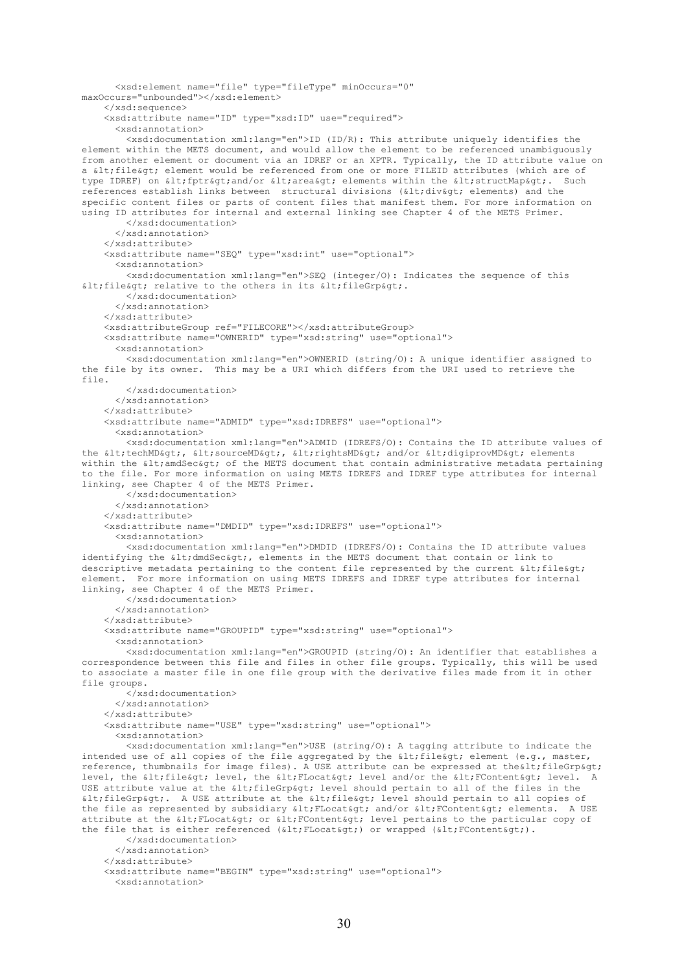```
 <xsd:element name="file" type="fileType" minOccurs="0" 
maxOccurs="unbounded"></xsd:element>
     </xsd:sequence>
     <xsd:attribute name="ID" type="xsd:ID" use="required">
       <xsd:annotation>
         <xsd:documentation xml:lang="en">ID (ID/R): This attribute uniquely identifies the 
element within the METS document, and would allow the element to be referenced unambiguously 
from another element or document via an IDREF or an XPTR. Typically, the ID attribute value on 
a < file&gt; element would be referenced from one or more FILEID attributes (which are of
type IDREF) on < fptr&gt; and/or &lt; area&gt; elements within the &lt; structMap&gt;. Such
references establish links between structural divisions (<div&gt; elements) and the
specific content files or parts of content files that manifest them. For more information on 
using ID attributes for internal and external linking see Chapter 4 of the METS Primer.
         </xsd:documentation>
       </xsd:annotation>
     </xsd:attribute>
     <xsd:attribute name="SEQ" type="xsd:int" use="optional">
       <xsd:annotation>
         <xsd:documentation xml:lang="en">SEQ (integer/O): Indicates the sequence of this 
\deltalt; file\deltagt; relative to the others in its \deltalt; fileGrp\deltagt;.
         </xsd:documentation>
       </xsd:annotation>
     </xsd:attribute>
     <xsd:attributeGroup ref="FILECORE"></xsd:attributeGroup>
     <xsd:attribute name="OWNERID" type="xsd:string" use="optional">
       <xsd:annotation>
         <xsd:documentation xml:lang="en">OWNERID (string/O): A unique identifier assigned to 
the file by its owner. This may be a URI which differs from the URI used to retrieve the 
file.
         </xsd:documentation>
       </xsd:annotation>
     </xsd:attribute>
     <xsd:attribute name="ADMID" type="xsd:IDREFS" use="optional">
       <xsd:annotation>
         <xsd:documentation xml:lang="en">ADMID (IDREFS/O): Contains the ID attribute values of 
the <techMD&gt;, &lt;sourceMD&gt;, &lt;rightsMD&gt; and/or &lt;digiprovMD&gt; elements
within the \< lt; amdSec\< qt; of the METS document that contain administrative metadata pertaining
to the file. For more information on using METS IDREFS and IDREF type attributes for internal 
linking, see Chapter 4 of the METS Primer.
         </xsd:documentation>
       </xsd:annotation>
     </xsd:attribute>
     <xsd:attribute name="DMDID" type="xsd:IDREFS" use="optional">
       <xsd:annotation>
         <xsd:documentation xml:lang="en">DMDID (IDREFS/O): Contains the ID attribute values 
identifying the < dmdSec&gt;, elements in the METS document that contain or link to
descriptive metadata pertaining to the content file represented by the current \<1; file\>0;
element. For more information on using METS IDREFS and IDREF type attributes for internal 
linking, see Chapter 4 of the METS Primer.
         </xsd:documentation>
       </xsd:annotation>
     </xsd:attribute>
     <xsd:attribute name="GROUPID" type="xsd:string" use="optional">
       <xsd:annotation>
         <xsd:documentation xml:lang="en">GROUPID (string/O): An identifier that establishes a 
correspondence between this file and files in other file groups. Typically, this will be used 
to associate a master file in one file group with the derivative files made from it in other 
file groups.
         </xsd:documentation>
       </xsd:annotation>
     </xsd:attribute>
     <xsd:attribute name="USE" type="xsd:string" use="optional">
       <xsd:annotation>
         <xsd:documentation xml:lang="en">USE (string/O): A tagging attribute to indicate the 
intended use of all copies of the file aggregated by the \<1t; file\<qt; element (e.g., master,
reference, thumbnails for image files). A USE attribute can be expressed at the wlt; fileGrp>
level, the < file&gt; level, the &lt; FLocat&gt; level and/or the &lt; FContent&gt; level.
USE attribute value at the alt; fileGrpagt; level should pertain to all of the files in the
< fileGrp&gt;. A USE attribute at the &lt; file&gt; level should pertain to all copies of
the file as represented by subsidiary < FLocat&gt; and/or &lt; FContent&gt; elements. A USE
attribute at the < FLocat&gt; or &lt; FContent&gt; level pertains to the particular copy of
the file that is either referenced (\< l; FLocat\< q) or wrapped (\< l; FContent\> q).
         </xsd:documentation>
       </xsd:annotation>
     </xsd:attribute>
     <xsd:attribute name="BEGIN" type="xsd:string" use="optional">
       <xsd:annotation>
```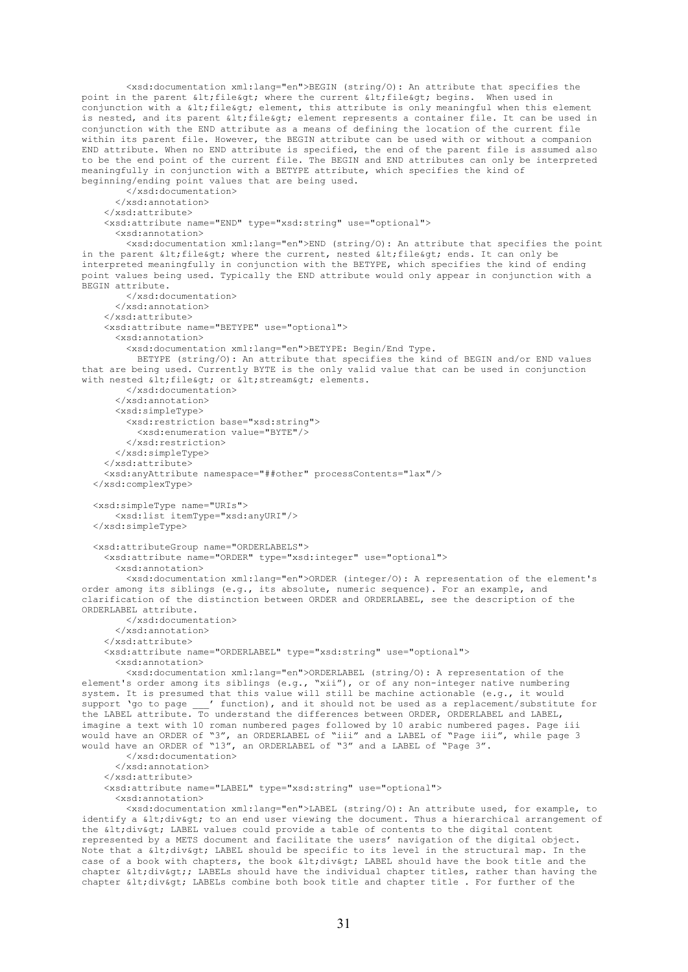<xsd:documentation xml:lang="en">BEGIN (string/O): An attribute that specifies the point in the parent < file&gt; where the current &lt; file&gt; begins. When used in conjunction with a < file &gt; element, this attribute is only meaningful when this element is nested, and its parent < file&gt; element represents a container file. It can be used in conjunction with the END attribute as a means of defining the location of the current file within its parent file. However, the BEGIN attribute can be used with or without a companion END attribute. When no END attribute is specified, the end of the parent file is assumed also to be the end point of the current file. The BEGIN and END attributes can only be interpreted meaningfully in conjunction with a BETYPE attribute, which specifies the kind of beginning/ending point values that are being used. </xsd:documentation> </xsd:annotation>  $\langle$ /yed·attribute> <xsd:attribute name="END" type="xsd:string" use="optional"> <xsd:annotation> <xsd:documentation xml:lang="en">END (string/O): An attribute that specifies the point in the parent  $\< 1$  file $\< g$ t, where the current, nested  $\< 1$ ; file $\> g$ t, ends. It can only be interpreted meaningfully in conjunction with the BETYPE, which specifies the kind of ending point values being used. Typically the END attribute would only appear in conjunction with a .<br>BEGIN attribute. </xsd:documentation> </xsd:annotation> </xsd:attribute> <xsd:attribute name="BETYPE" use="optional"> <xsd:annotation> <xsd:documentation xml:lang="en">BETYPE: Begin/End Type. BETYPE (string/O): An attribute that specifies the kind of BEGIN and/or END values that are being used. Currently BYTE is the only valid value that can be used in conjunction with nested alt; file at; or alt; stream agt; elements. </xsd:documentation> </xsd:annotation> <xsd:simpleType> <xsd:restriction base="xsd:string"> <xsd:enumeration value="BYTE"/> </xsd:restriction> </xsd:simpleType> </xsd:attribute> <xsd:anyAttribute namespace="##other" processContents="lax"/> </xsd:complexType> <xsd:simpleType name="URIs"> <xsd:list itemType="xsd:anyURI"/> </xsd:simpleType> <xsd:attributeGroup name="ORDERLABELS"> <xsd:attribute name="ORDER" type="xsd:integer" use="optional"> <xsd:annotation> <xsd:documentation xml:lang="en">ORDER (integer/O): A representation of the element's order among its siblings (e.g., its absolute, numeric sequence). For an example, and clarification of the distinction between ORDER and ORDERLABEL, see the description of the ORDERLABEL attribute. </xsd:documentation> </xsd:annotation> </xsd:attribute> <xsd:attribute name="ORDERLABEL" type="xsd:string" use="optional"> <xsd:annotation> <xsd:documentation xml:lang="en">ORDERLABEL (string/O): A representation of the element's order among its siblings (e.g., "xii"), or of any non-integer native numbering system. It is presumed that this value will still be machine actionable (e.g., it would support 'go to page \_\_\_' function), and it should not be used as a replacement/substitute for the LABEL attribute. To understand the differences between ORDER, ORDERLABEL and LABEL, imagine a text with 10 roman numbered pages followed by 10 arabic numbered pages. Page iii would have an ORDER of "3", an ORDERLABEL of "iii" and a LABEL of "Page iii", while page 3 would have an ORDER of "13", an ORDERLABEL of "3" and a LABEL of "Page 3". </xsd:documentation> </xsd:annotation> </xsd:attribute> <xsd:attribute name="LABEL" type="xsd:string" use="optional"> <xsd:annotation> <xsd:documentation xml:lang="en">LABEL (string/O): An attribute used, for example, to identify a <div&gt; to an end user viewing the document. Thus a hierarchical arrangement of the <div&qt; LABEL values could provide a table of contents to the digital content represented by a METS document and facilitate the users' navigation of the digital object. Note that a < div&gt; LABEL should be specific to its level in the structural map. In the case of a book with chapters, the book <div&qt; LABEL should have the book title and the

chapter < div&gt;; LABELs should have the individual chapter titles, rather than having the chapter < div&gt; LABELs combine both book title and chapter title . For further of the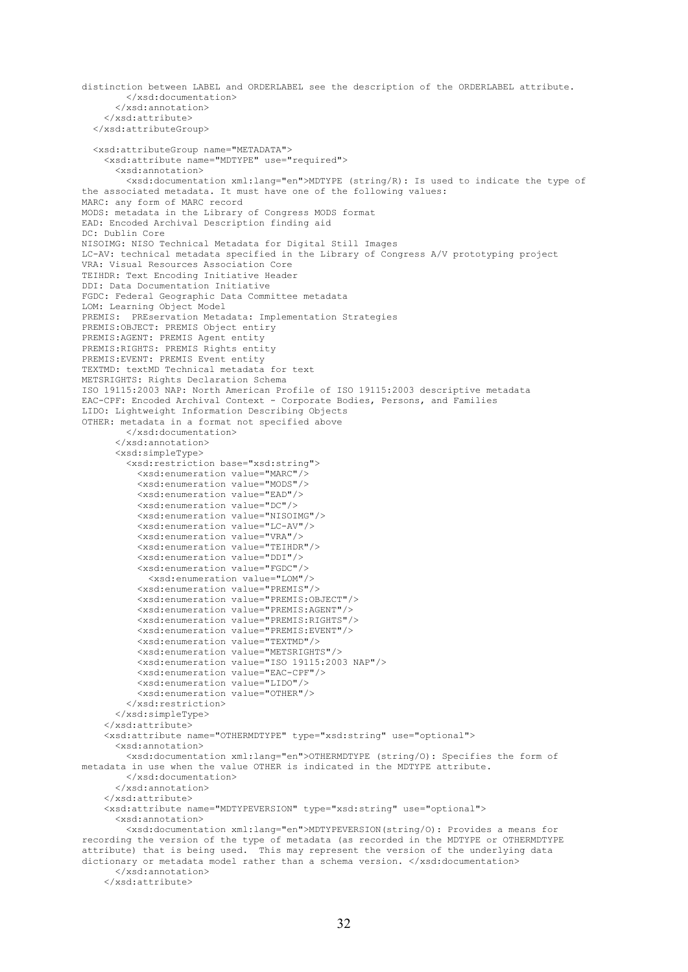```
distinction between LABEL and ORDERLABEL see the description of the ORDERLABEL attribute.
         </xsd:documentation>
       </xsd:annotation>
     </xsd:attribute> 
   </xsd:attributeGroup>
   <xsd:attributeGroup name="METADATA">
     <xsd:attribute name="MDTYPE" use="required">
       <xsd:annotation>
         <xsd:documentation xml:lang="en">MDTYPE (string/R): Is used to indicate the type of 
the associated metadata. It must have one of the following values:
MARC: any form of MARC record
MODS: metadata in the Library of Congress MODS format
EAD: Encoded Archival Description finding aid
DC: Dublin Core
NISOIMG: NISO Technical Metadata for Digital Still Images
LC-AV: technical metadata specified in the Library of Congress A/V prototyping project
VRA: Visual Resources Association Core
TEIHDR: Text Encoding Initiative Header
DDI: Data Documentation Initiative
FGDC: Federal Geographic Data Committee metadata
LOM: Learning Object Model
PREMIS: PREservation Metadata: Implementation Strategies
PREMIS:OBJECT: PREMIS Object entiry
PREMIS:AGENT: PREMIS Agent entity
PREMIS:RIGHTS: PREMIS Rights entity
PREMIS:EVENT: PREMIS Event entity
TEXTMD: textMD Technical metadata for text
METSRIGHTS: Rights Declaration Schema
ISO 19115:2003 NAP: North American Profile of ISO 19115:2003 descriptive metadata
EAC-CPF: Encoded Archival Context - Corporate Bodies, Persons, and Families
LIDO: Lightweight Information Describing Objects
OTHER: metadata in a format not specified above
         </xsd:documentation>
       </xsd:annotation>
       <xsd:simpleType>
         <xsd:restriction base="xsd:string">
           <xsd:enumeration value="MARC"/>
           <xsd:enumeration value="MODS"/>
           <xsd:enumeration value="EAD"/>
           <xsd:enumeration value="DC"/>
           <xsd:enumeration value="NISOIMG"/>
           <xsd:enumeration value="LC-AV"/>
           <xsd:enumeration value="VRA"/>
           <xsd:enumeration value="TEIHDR"/>
           <xsd:enumeration value="DDI"/>
           <xsd:enumeration value="FGDC"/>
             <xsd:enumeration value="LOM"/>
           <xsd:enumeration value="PREMIS"/>
           <xsd:enumeration value="PREMIS:OBJECT"/>
           <xsd:enumeration value="PREMIS:AGENT"/>
           <xsd:enumeration value="PREMIS:RIGHTS"/>
           <xsd:enumeration value="PREMIS:EVENT"/>
           <xsd:enumeration value="TEXTMD"/>
           <xsd:enumeration value="METSRIGHTS"/>
           <xsd:enumeration value="ISO 19115:2003 NAP"/>
           <xsd:enumeration value="EAC-CPF"/>
           <xsd:enumeration value="LIDO"/>
           <xsd:enumeration value="OTHER"/>
         </xsd:restriction>
       </xsd:simpleType>
     </xsd:attribute>
     <xsd:attribute name="OTHERMDTYPE" type="xsd:string" use="optional">
       <xsd:annotation>
         <xsd:documentation xml:lang="en">OTHERMDTYPE (string/O): Specifies the form of 
metadata in use when the value OTHER is indicated in the MDTYPE attribute.
         </xsd:documentation>
       </xsd:annotation>
     </xsd:attribute>
     <xsd:attribute name="MDTYPEVERSION" type="xsd:string" use="optional">
       <xsd:annotation>
         <xsd:documentation xml:lang="en">MDTYPEVERSION(string/O): Provides a means for 
recording the version of the type of metadata (as recorded in the MDTYPE or OTHERMDTYPE 
attribute) that is being used. This may represent the version of the underlying data 
dictionary or metadata model rather than a schema version. </xsd:documentation>
       </xsd:annotation>
     </xsd:attribute>
```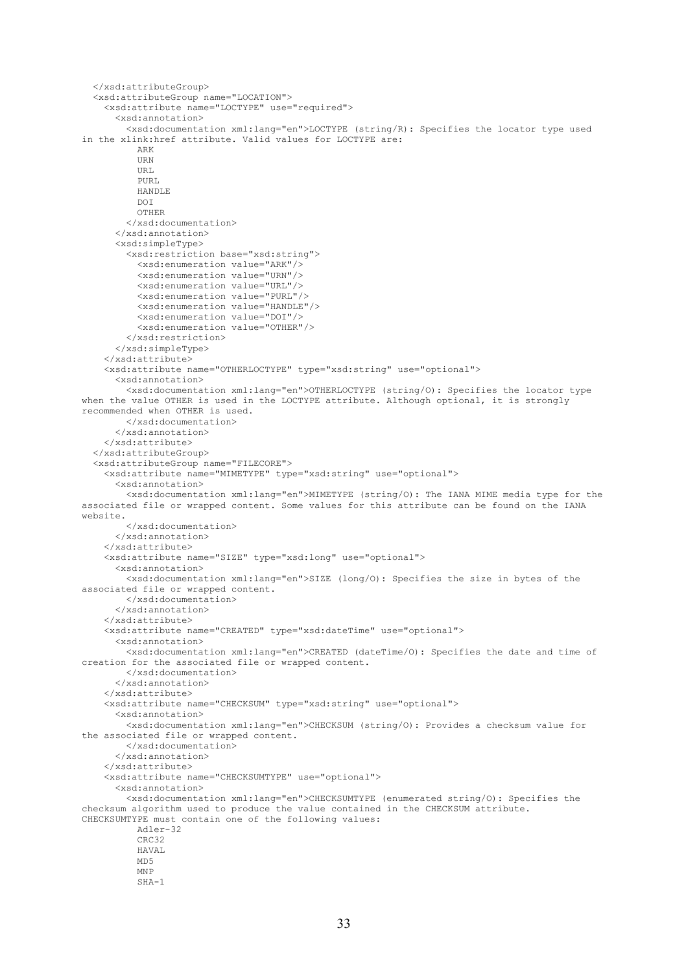```
 </xsd:attributeGroup>
   <xsd:attributeGroup name="LOCATION">
     <xsd:attribute name="LOCTYPE" use="required">
       <xsd:annotation>
         <xsd:documentation xml:lang="en">LOCTYPE (string/R): Specifies the locator type used 
in the xlink:href attribute. Valid values for LOCTYPE are: 
           ARK
           URN
          IIRT.
          PURL
           HANDLE
          DOT
           OTHER
         </xsd:documentation>
       </xsd:annotation>
       <xsd:simpleType>
         <xsd:restriction base="xsd:string">
           <xsd:enumeration value="ARK"/>
           <xsd:enumeration value="URN"/>
           <xsd:enumeration value="URL"/>
           <xsd:enumeration value="PURL"/>
           <xsd:enumeration value="HANDLE"/>
           <xsd:enumeration value="DOI"/>
           <xsd:enumeration value="OTHER"/>
         </xsd:restriction>
       </xsd:simpleType>
     </xsd:attribute>
     <xsd:attribute name="OTHERLOCTYPE" type="xsd:string" use="optional">
       <xsd:annotation>
         <xsd:documentation xml:lang="en">OTHERLOCTYPE (string/O): Specifies the locator type
when the value OTHER is used in the LOCTYPE attribute. Although optional, it is strongly 
recommended when OTHER is used.
         </xsd:documentation>
       </xsd:annotation>
     </xsd:attribute>
   </xsd:attributeGroup>
   <xsd:attributeGroup name="FILECORE">
     <xsd:attribute name="MIMETYPE" type="xsd:string" use="optional">
       <xsd:annotation>
         <xsd:documentation xml:lang="en">MIMETYPE (string/O): The IANA MIME media type for the 
associated file or wrapped content. Some values for this attribute can be found on the IANA 
website.
         </xsd:documentation>
       </xsd:annotation>
     </xsd:attribute>
     <xsd:attribute name="SIZE" type="xsd:long" use="optional">
       <xsd:annotation>
         <xsd:documentation xml:lang="en">SIZE (long/O): Specifies the size in bytes of the 
associated file or wrapped content.
         </xsd:documentation>
       </xsd:annotation>
     </xsd:attribute>
     <xsd:attribute name="CREATED" type="xsd:dateTime" use="optional">
       <xsd:annotation>
         <xsd:documentation xml:lang="en">CREATED (dateTime/O): Specifies the date and time of 
creation for the associated file or wrapped content.
         </xsd:documentation>
       </xsd:annotation>
     </xsd:attribute>
     <xsd:attribute name="CHECKSUM" type="xsd:string" use="optional">
       <xsd:annotation>
         <xsd:documentation xml:lang="en">CHECKSUM (string/O): Provides a checksum value for 
the associated file or wrapped content.
         </xsd:documentation>
       </xsd:annotation>
     </xsd:attribute>
     <xsd:attribute name="CHECKSUMTYPE" use="optional">
       <xsd:annotation>
         <xsd:documentation xml:lang="en">CHECKSUMTYPE (enumerated string/O): Specifies the 
checksum algorithm used to produce the value contained in the CHECKSUM attribute. 
CHECKSUMTYPE must contain one of the following values:
           Adler-32
           CRC32
          HAVAL.
           MD5
           MNP
           SHA-1
```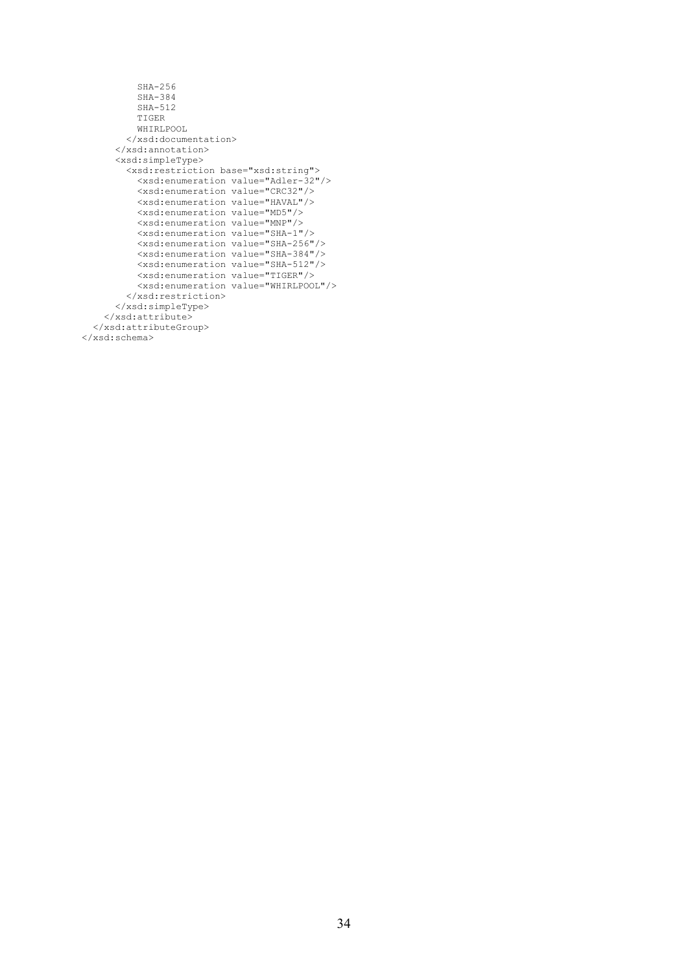```
 SHA-256
           SHA-384
           SHA-512
           TIGER
           WHIRLPOOL
         </xsd:documentation>
       </xsd:annotation>
       <xsd:simpleType>
         <xsd:restriction base="xsd:string">
           <xsd:enumeration value="Adler-32"/>
           <xsd:enumeration value="CRC32"/>
           <xsd:enumeration value="HAVAL"/>
           <xsd:enumeration value="MD5"/>
           <xsd:enumeration value="MNP"/>
           <xsd:enumeration value="SHA-1"/>
           <xsd:enumeration value="SHA-256"/>
           <xsd:enumeration value="SHA-384"/>
           <xsd:enumeration value="SHA-512"/>
           <xsd:enumeration value="TIGER"/>
           <xsd:enumeration value="WHIRLPOOL"/>
         </xsd:restriction>
       </xsd:simpleType>
     </xsd:attribute>
   </xsd:attributeGroup>
</xsd:schema>
```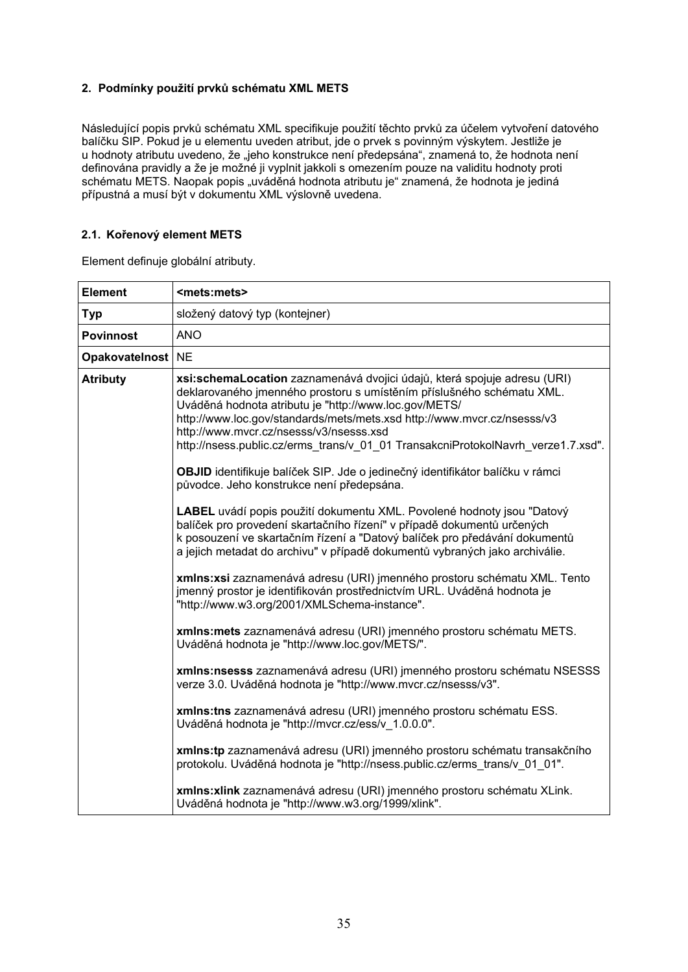# **2. Podmínky použití prvků schématu XML METS**

Následující popis prvků schématu XML specifikuje použití těchto prvků za účelem vytvoření datového balíčku SIP. Pokud je u elementu uveden atribut, jde o prvek s povinným výskytem. Jestliže je u hodnoty atributu uvedeno, že "jeho konstrukce není předepsána", znamená to, že hodnota není definována pravidly a že je možné ji vyplnit jakkoli s omezením pouze na validitu hodnoty proti schématu METS. Naopak popis "uváděná hodnota atributu je" znamená, že hodnota je jediná přípustná a musí být v dokumentu XML výslovně uvedena.

# **2.1. Kořenový element METS**

Element definuje globální atributy.

| <b>Element</b>    | <mets:mets></mets:mets>                                                                                                                                                                                                                                                                                                                                                                                              |
|-------------------|----------------------------------------------------------------------------------------------------------------------------------------------------------------------------------------------------------------------------------------------------------------------------------------------------------------------------------------------------------------------------------------------------------------------|
| Typ               | složený datový typ (kontejner)                                                                                                                                                                                                                                                                                                                                                                                       |
| <b>Povinnost</b>  | <b>ANO</b>                                                                                                                                                                                                                                                                                                                                                                                                           |
| Opakovatelnost NE |                                                                                                                                                                                                                                                                                                                                                                                                                      |
| <b>Atributy</b>   | xsi:schemaLocation zaznamenává dvojici údajů, která spojuje adresu (URI)<br>deklarovaného jmenného prostoru s umístěním příslušného schématu XML.<br>Uváděná hodnota atributu je "http://www.loc.gov/METS/<br>http://www.loc.gov/standards/mets/mets.xsd http://www.mvcr.cz/nsesss/v3<br>http://www.mvcr.cz/nsesss/v3/nsesss.xsd<br>http://nsess.public.cz/erms_trans/v_01_01 TransakcniProtokolNavrh_verze1.7.xsd". |
|                   | OBJID identifikuje balíček SIP. Jde o jedinečný identifikátor balíčku v rámci<br>původce. Jeho konstrukce není předepsána.                                                                                                                                                                                                                                                                                           |
|                   | LABEL uvádí popis použití dokumentu XML. Povolené hodnoty jsou "Datový<br>balíček pro provedení skartačního řízení" v případě dokumentů určených<br>k posouzení ve skartačním řízení a "Datový balíček pro předávání dokumentů<br>a jejich metadat do archivu" v případě dokumentů vybraných jako archiválie.                                                                                                        |
|                   | xmlns:xsi zaznamenává adresu (URI) jmenného prostoru schématu XML. Tento<br>jmenný prostor je identifikován prostřednictvím URL. Uváděná hodnota je<br>"http://www.w3.org/2001/XMLSchema-instance".                                                                                                                                                                                                                  |
|                   | xmlns: mets zaznamenává adresu (URI) jmenného prostoru schématu METS.<br>Uváděná hodnota je "http://www.loc.gov/METS/".                                                                                                                                                                                                                                                                                              |
|                   | xmlns:nsesss zaznamenává adresu (URI) jmenného prostoru schématu NSESSS<br>verze 3.0. Uváděná hodnota je "http://www.mvcr.cz/nsesss/v3".                                                                                                                                                                                                                                                                             |
|                   | xmlns:tns zaznamenává adresu (URI) jmenného prostoru schématu ESS.<br>Uváděná hodnota je "http://mvcr.cz/ess/v 1.0.0.0".                                                                                                                                                                                                                                                                                             |
|                   | xmlns:tp zaznamenává adresu (URI) jmenného prostoru schématu transakčního<br>protokolu. Uváděná hodnota je "http://nsess.public.cz/erms trans/v 01 01".                                                                                                                                                                                                                                                              |
|                   | xmlns: xlink zaznamenává adresu (URI) jmenného prostoru schématu XLink.<br>Uváděná hodnota je "http://www.w3.org/1999/xlink".                                                                                                                                                                                                                                                                                        |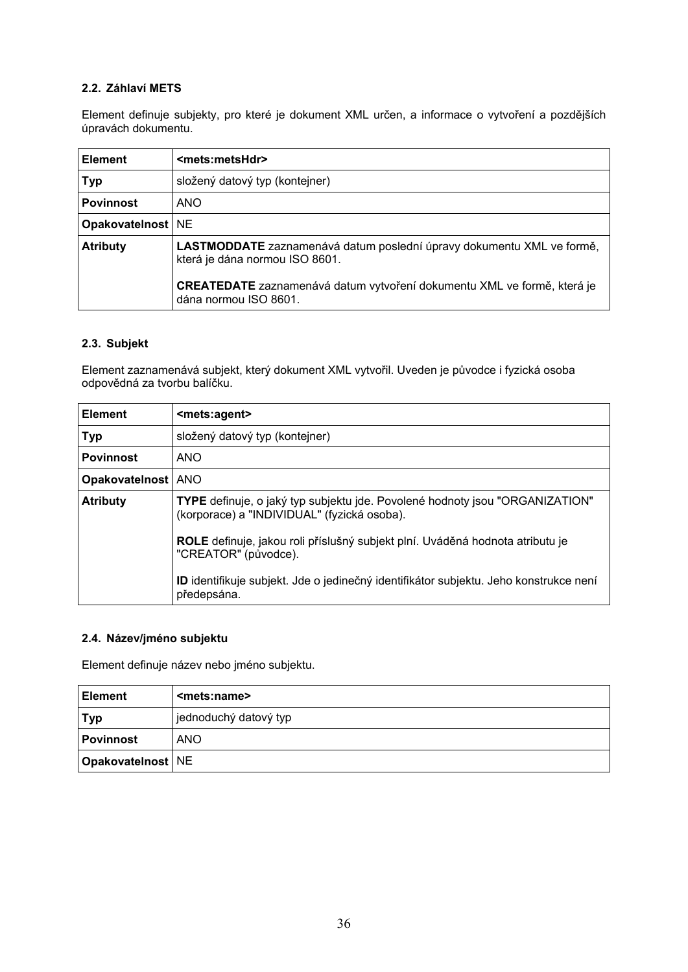# **2.2. Záhlaví METS**

Element definuje subjekty, pro které je dokument XML určen, a informace o vytvoření a pozdějších úpravách dokumentu.

| <b>Element</b>      | <mets:metshdr></mets:metshdr>                                                                           |
|---------------------|---------------------------------------------------------------------------------------------------------|
| <b>Typ</b>          | složený datový typ (kontejner)                                                                          |
| <b>Povinnost</b>    | ANO                                                                                                     |
| Opakovatelnost   NE |                                                                                                         |
| <b>Atributy</b>     | LASTMODDATE zaznamenává datum poslední úpravy dokumentu XML ve formě,<br>která je dána normou ISO 8601. |
|                     | CREATEDATE zaznamenává datum vytvoření dokumentu XML ve formě, která je<br>dána normou ISO 8601.        |

### **2.3. Subjekt**

Element zaznamenává subjekt, který dokument XML vytvořil. Uveden je původce i fyzická osoba odpovědná za tvorbu balíčku.

| <b>Element</b>   | <mets:agent></mets:agent>                                                                                                   |
|------------------|-----------------------------------------------------------------------------------------------------------------------------|
| <b>Typ</b>       | složený datový typ (kontejner)                                                                                              |
| <b>Povinnost</b> | <b>ANO</b>                                                                                                                  |
| Opakovatelnost   | <b>ANO</b>                                                                                                                  |
| <b>Atributy</b>  | TYPE definuje, o jaký typ subjektu jde. Povolené hodnoty jsou "ORGANIZATION"<br>(korporace) a "INDIVIDUAL" (fyzická osoba). |
|                  | ROLE definuje, jakou roli příslušný subjekt plní. Uváděná hodnota atributu je<br>"CREATOR" (původce).                       |
|                  | ID identifikuje subjekt. Jde o jedinečný identifikátor subjektu. Jeho konstrukce není<br>předepsána.                        |

## **2.4. Název/jméno subjektu**

Element definuje název nebo jméno subjektu.

| <b>Element</b>      | <mets:name></mets:name> |
|---------------------|-------------------------|
| Typ                 | jednoduchý datový typ   |
| <b>Povinnost</b>    | <b>ANO</b>              |
| Opakovatelnost   NE |                         |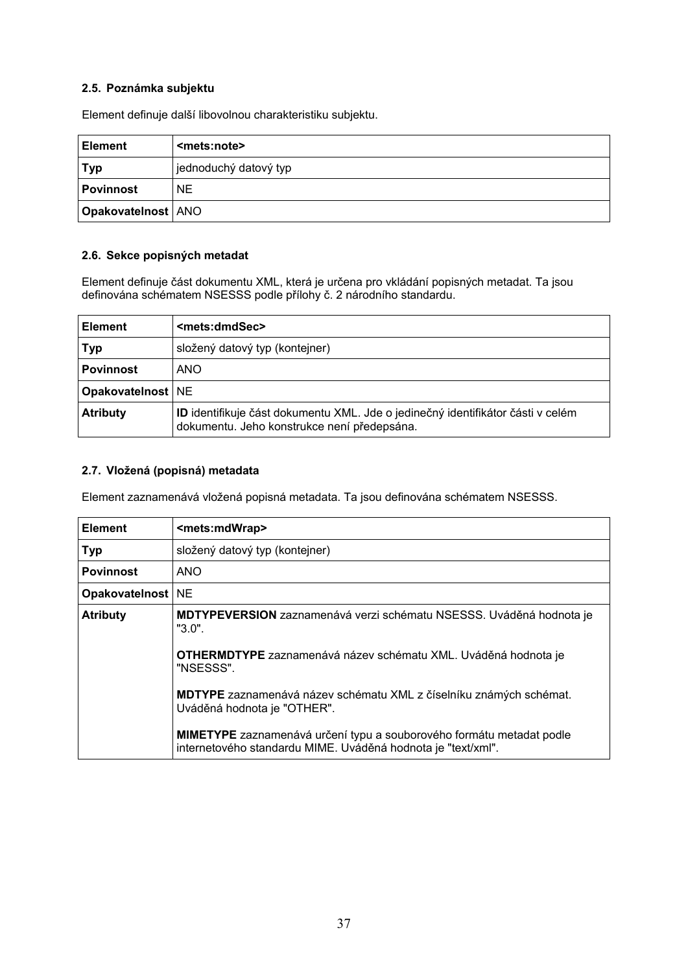### **2.5. Poznámka subjektu**

Element definuje další libovolnou charakteristiku subjektu.

| ∣ Element            | <mets:note></mets:note> |
|----------------------|-------------------------|
| <b>Typ</b>           | jednoduchý datový typ   |
| <b>Povinnost</b>     | <b>NE</b>               |
| Opakovatelnost   ANO |                         |

#### **2.6. Sekce popisných metadat**

Element definuje část dokumentu XML, která je určena pro vkládání popisných metadat. Ta jsou definována schématem NSESSS podle přílohy č. 2 národního standardu.

| <b>Element</b>      | <mets:dmdsec></mets:dmdsec>                                                                                                           |
|---------------------|---------------------------------------------------------------------------------------------------------------------------------------|
| <b>Typ</b>          | složený datový typ (kontejner)                                                                                                        |
| <b>Povinnost</b>    | <b>ANO</b>                                                                                                                            |
| Opakovatelnost   NE |                                                                                                                                       |
| <b>Atributy</b>     | <b>ID</b> identifikuje část dokumentu XML. Jde o jedinečný identifikátor části v celém<br>dokumentu. Jeho konstrukce není předepsána. |

#### **2.7. Vložená (popisná) metadata**

Element zaznamenává vložená popisná metadata. Ta jsou definována schématem NSESSS.

| <b>Element</b>      | <mets:mdwrap></mets:mdwrap>                                                                                                                 |
|---------------------|---------------------------------------------------------------------------------------------------------------------------------------------|
| <b>Typ</b>          | složený datový typ (kontejner)                                                                                                              |
| <b>Povinnost</b>    | <b>ANO</b>                                                                                                                                  |
| Opakovatelnost   NE |                                                                                                                                             |
| <b>Atributy</b>     | MDTYPEVERSION zaznamenává verzi schématu NSESSS. Uváděná hodnota je<br>$"3.0"$ .                                                            |
|                     | OTHERMDTYPE zaznamenává název schématu XML. Uváděná hodnota je<br>"NSESSS".                                                                 |
|                     | MDTYPE zaznamenává název schématu XML z číselníku známých schémat.<br>Uváděná hodnota je "OTHER".                                           |
|                     | <b>MIMETYPE</b> zaznamenává určení typu a souborového formátu metadat podle<br>internetového standardu MIME. Uváděná hodnota je "text/xml". |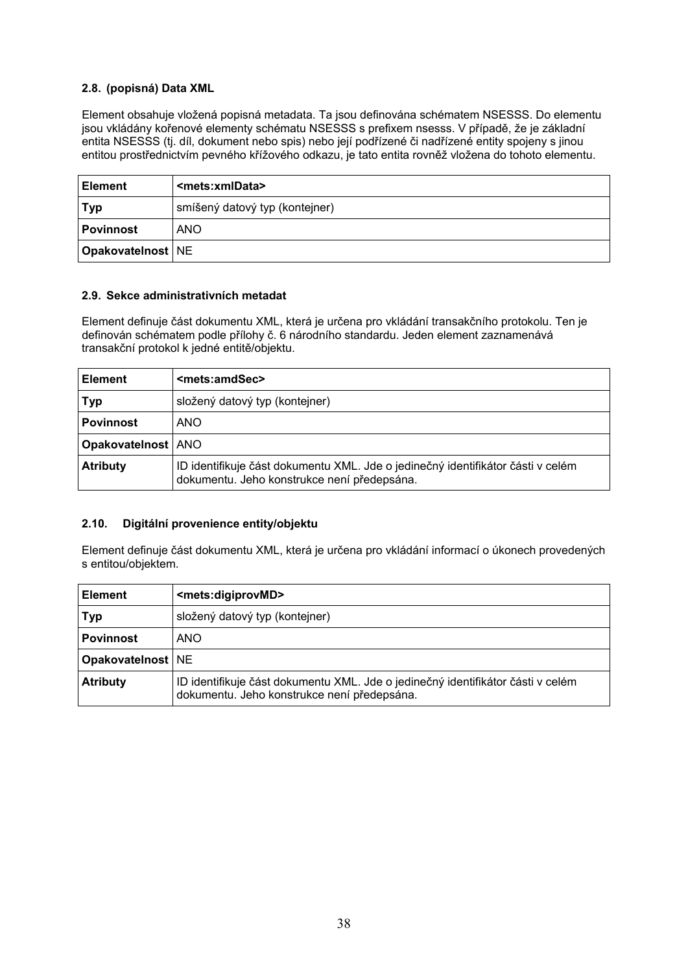### **2.8. (popisná) Data XML**

Element obsahuje vložená popisná metadata. Ta jsou definována schématem NSESSS. Do elementu jsou vkládány kořenové elementy schématu NSESSS s prefixem nsesss. V případě, že je základní entita NSESSS (tj. díl, dokument nebo spis) nebo její podřízené či nadřízené entity spojeny s jinou entitou prostřednictvím pevného křížového odkazu, je tato entita rovněž vložena do tohoto elementu.

| <b>Element</b>      | <mets:xmldata></mets:xmldata>  |
|---------------------|--------------------------------|
| $ $ Typ             | smíšený datový typ (kontejner) |
| l Povinnost         | <b>ANO</b>                     |
| Opakovatelnost   NE |                                |

#### **2.9. Sekce administrativních metadat**

Element definuje část dokumentu XML, která je určena pro vkládání transakčního protokolu. Ten je definován schématem podle přílohy č. 6 národního standardu. Jeden element zaznamenává transakční protokol k jedné entitě/objektu.

| <b>Element</b>            | <mets:amdsec></mets:amdsec>                                                                                                    |
|---------------------------|--------------------------------------------------------------------------------------------------------------------------------|
| Typ                       | složený datový typ (kontejner)                                                                                                 |
| <b>Povinnost</b>          | ANO                                                                                                                            |
| <b>Opakovatelnost ANO</b> |                                                                                                                                |
| <b>Atributy</b>           | ID identifikuje část dokumentu XML. Jde o jedinečný identifikátor části v celém<br>dokumentu. Jeho konstrukce není předepsána. |

#### **2.10. Digitální provenience entity/objektu**

Element definuje část dokumentu XML, která je určena pro vkládání informací o úkonech provedených s entitou/objektem.

| <b>Element</b>      | <mets:digiprovmd></mets:digiprovmd>                                                                                            |
|---------------------|--------------------------------------------------------------------------------------------------------------------------------|
| <b>Typ</b>          | složený datový typ (kontejner)                                                                                                 |
| <b>Povinnost</b>    | ANO                                                                                                                            |
| Opakovatelnost   NE |                                                                                                                                |
| <b>Atributy</b>     | ID identifikuje část dokumentu XML. Jde o jedinečný identifikátor části v celém<br>dokumentu. Jeho konstrukce není předepsána. |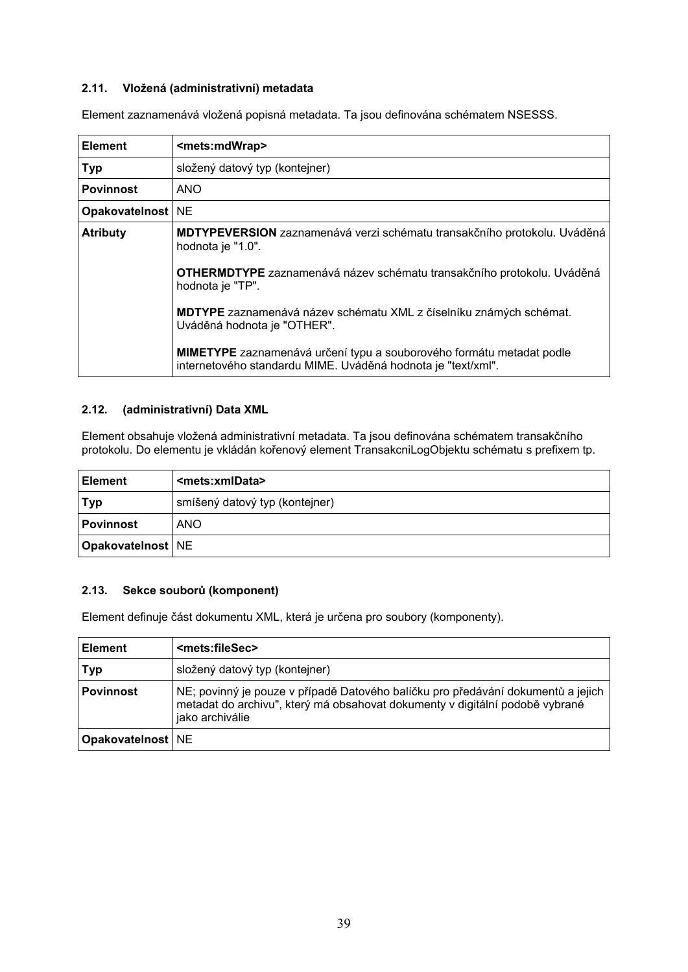### **2.11. Vložená (administrativní) metadata**

Element zaznamenává vložená popisná metadata. Ta jsou definována schématem NSESSS.

| <b>Element</b>      | <mets:mdwrap></mets:mdwrap>                                                                                                                 |
|---------------------|---------------------------------------------------------------------------------------------------------------------------------------------|
| <b>Typ</b>          | složený datový typ (kontejner)                                                                                                              |
| <b>Povinnost</b>    | <b>ANO</b>                                                                                                                                  |
| Opakovatelnost   NE |                                                                                                                                             |
| <b>Atributy</b>     | MDTYPEVERSION zaznamenává verzi schématu transakčního protokolu. Uváděná<br>hodnota je "1.0".                                               |
|                     | OTHERMDTYPE zaznamenává název schématu transakčního protokolu. Uváděná<br>hodnota je "TP".                                                  |
|                     | MDTYPE zaznamenává název schématu XML z číselníku známých schémat.<br>Uváděná hodnota je "OTHER".                                           |
|                     | <b>MIMETYPE</b> zaznamenává určení typu a souborového formátu metadat podle<br>internetového standardu MIME. Uváděná hodnota je "text/xml". |

#### **2.12. (administrativní) Data XML**

Element obsahuje vložená administrativní metadata. Ta jsou definována schématem transakčního protokolu. Do elementu je vkládán kořenový element TransakcniLogObjektu schématu s prefixem tp.

| <b>Element</b>      | <mets:xmldata></mets:xmldata>  |
|---------------------|--------------------------------|
| <b>Typ</b>          | smíšený datový typ (kontejner) |
| l Povinnost         | <b>ANO</b>                     |
| Opakovatelnost   NE |                                |

#### **2.13. Sekce souborů (komponent)**

Element definuje část dokumentu XML, která je určena pro soubory (komponenty).

| <b>Element</b>      | <mets:filesec></mets:filesec>                                                                                                                                                       |
|---------------------|-------------------------------------------------------------------------------------------------------------------------------------------------------------------------------------|
| Typ                 | složený datový typ (kontejner)                                                                                                                                                      |
| <b>Povinnost</b>    | NE; povinný je pouze v případě Datového balíčku pro předávání dokumentů a jejich<br>metadat do archivu", který má obsahovat dokumenty v digitální podobě vybrané<br>jako archiválie |
| Opakovatelnost   NE |                                                                                                                                                                                     |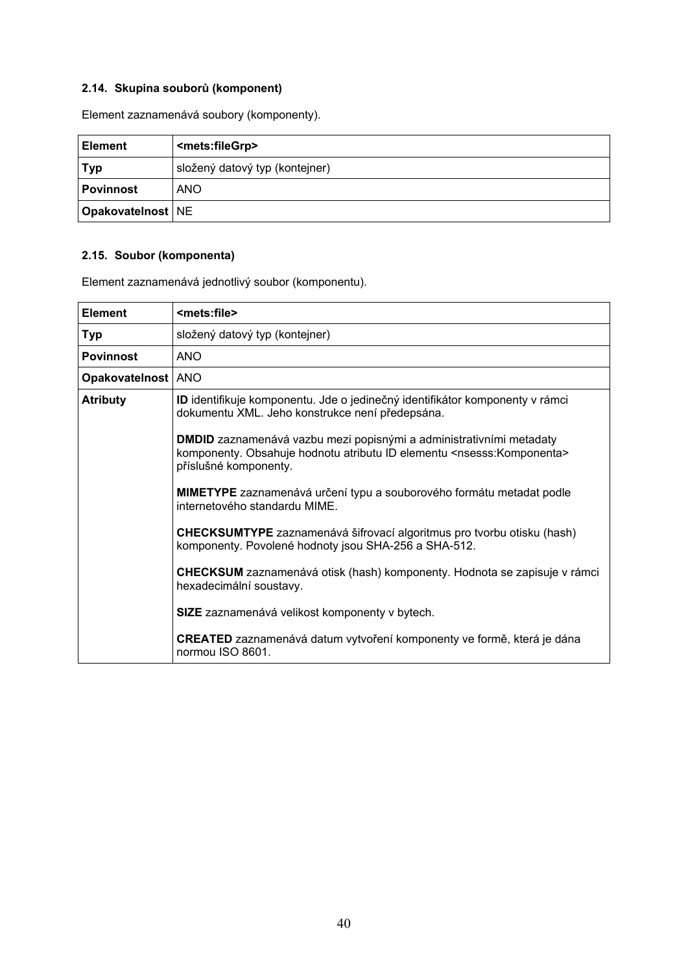# **2.14. Skupina souborů (komponent)**

Element zaznamenává soubory (komponenty).

| <b>Element</b>      | <mets:filegrp></mets:filegrp>  |
|---------------------|--------------------------------|
| Typ                 | složený datový typ (kontejner) |
| <b>Povinnost</b>    | <b>ANO</b>                     |
| Opakovatelnost   NE |                                |

# **2.15. Soubor (komponenta)**

Element zaznamenává jednotlivý soubor (komponentu).

| <b>Element</b>     | <mets:file></mets:file>                                                                                                                                                                     |
|--------------------|---------------------------------------------------------------------------------------------------------------------------------------------------------------------------------------------|
| Typ                | složený datový typ (kontejner)                                                                                                                                                              |
| <b>Povinnost</b>   | <b>ANO</b>                                                                                                                                                                                  |
| Opakovatelnost ANO |                                                                                                                                                                                             |
| <b>Atributy</b>    | ID identifikuje komponentu. Jde o jedinečný identifikátor komponenty v rámci<br>dokumentu XML. Jeho konstrukce není předepsána.                                                             |
|                    | <b>DMDID</b> zaznamenává vazbu mezi popisnými a administrativními metadaty<br>komponenty. Obsahuje hodnotu atributu ID elementu <nsesss: komponenta=""><br/>příslušné komponenty.</nsesss:> |
|                    | MIMETYPE zaznamenává určení typu a souborového formátu metadat podle<br>internetového standardu MIME.                                                                                       |
|                    | CHECKSUMTYPE zaznamenává šifrovací algoritmus pro tvorbu otisku (hash)<br>komponenty. Povolené hodnoty jsou SHA-256 a SHA-512.                                                              |
|                    | CHECKSUM zaznamenává otisk (hash) komponenty. Hodnota se zapisuje v rámci<br>hexadecimální soustavy.                                                                                        |
|                    | SIZE zaznamenává velikost komponenty v bytech.                                                                                                                                              |
|                    | <b>CREATED</b> zaznamenává datum vytvoření komponenty ve formě, která je dána<br>normou ISO 8601.                                                                                           |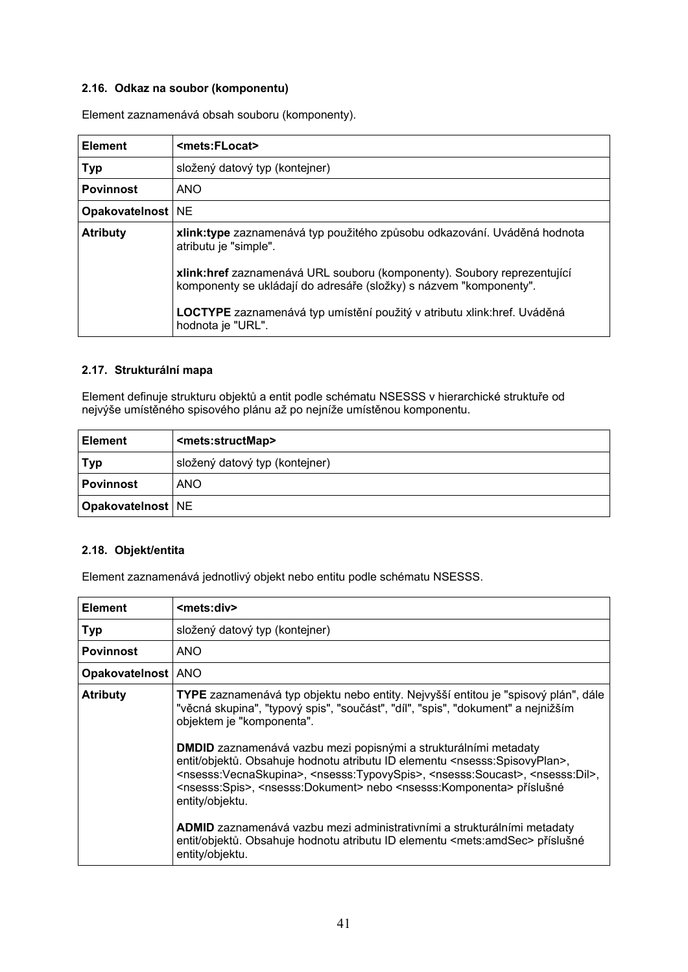### **2.16. Odkaz na soubor (komponentu)**

Element zaznamenává obsah souboru (komponenty).

| <b>Element</b>      | <mets:flocat></mets:flocat>                                                                                                                   |
|---------------------|-----------------------------------------------------------------------------------------------------------------------------------------------|
| <b>Typ</b>          | složený datový typ (kontejner)                                                                                                                |
| <b>Povinnost</b>    | <b>ANO</b>                                                                                                                                    |
| Opakovatelnost   NE |                                                                                                                                               |
| <b>Atributy</b>     | xlink:type zaznamenává typ použitého způsobu odkazování. Uváděná hodnota<br>atributu je "simple".                                             |
|                     | xlink:href zaznamenává URL souboru (komponenty). Soubory reprezentující<br>komponenty se ukládají do adresáře (složky) s názvem "komponenty". |
|                     | <b>LOCTYPE</b> zaznamenává typ umístění použitý v atributu xlink:href. Uváděná<br>hodnota je "URL".                                           |

#### **2.17. Strukturální mapa**

Element definuje strukturu objektů a entit podle schématu NSESSS v hierarchické struktuře od nejvýše umístěného spisového plánu až po nejníže umístěnou komponentu.

| <b>Element</b>      | <mets:structmap></mets:structmap> |
|---------------------|-----------------------------------|
| <b>Typ</b>          | složený datový typ (kontejner)    |
| l Povinnost         | <b>ANO</b>                        |
| Opakovatelnost   NE |                                   |

# **2.18. Objekt/entita**

Element zaznamenává jednotlivý objekt nebo entitu podle schématu NSESSS.

| <b>Element</b>       | <mets:div></mets:div>                                                                                                                                                                                                                                                                                                                                                                                                                                                                                                                                                                                                                                                                                                                                                                                                                                                                     |
|----------------------|-------------------------------------------------------------------------------------------------------------------------------------------------------------------------------------------------------------------------------------------------------------------------------------------------------------------------------------------------------------------------------------------------------------------------------------------------------------------------------------------------------------------------------------------------------------------------------------------------------------------------------------------------------------------------------------------------------------------------------------------------------------------------------------------------------------------------------------------------------------------------------------------|
| <b>Typ</b>           | složený datový typ (kontejner)                                                                                                                                                                                                                                                                                                                                                                                                                                                                                                                                                                                                                                                                                                                                                                                                                                                            |
| <b>Povinnost</b>     | <b>ANO</b>                                                                                                                                                                                                                                                                                                                                                                                                                                                                                                                                                                                                                                                                                                                                                                                                                                                                                |
| Opakovatelnost   ANO |                                                                                                                                                                                                                                                                                                                                                                                                                                                                                                                                                                                                                                                                                                                                                                                                                                                                                           |
| <b>Atributy</b>      | TYPE zaznamenává typ objektu nebo entity. Nejvyšší entitou je "spisový plán", dále<br>"věcná skupina", "typový spis", "součást", "díl", "spis", "dokument" a nejnižším<br>objektem je "komponenta".<br><b>DMDID</b> zaznamenává vazbu mezi popisnými a strukturálními metadaty<br>entit/objektů. Obsahuje hodnotu atributu ID elementu <nsesss:spisovyplan>,<br/><nsesss:vecnaskupina>, <nsesss:typovyspis>, <nsesss:soucast>, <nsesss:dil>,<br/><nsesss:spis>, <nsesss:dokument> nebo <nsesss:komponenta> příslušné<br/>entity/objektu.<br/>ADMID zaznamenává vazbu mezi administrativními a strukturálními metadaty<br/>entit/objektů. Obsahuje hodnotu atributu ID elementu <mets:amdsec> příslušné<br/>entity/objektu.</mets:amdsec></nsesss:komponenta></nsesss:dokument></nsesss:spis></nsesss:dil></nsesss:soucast></nsesss:typovyspis></nsesss:vecnaskupina></nsesss:spisovyplan> |